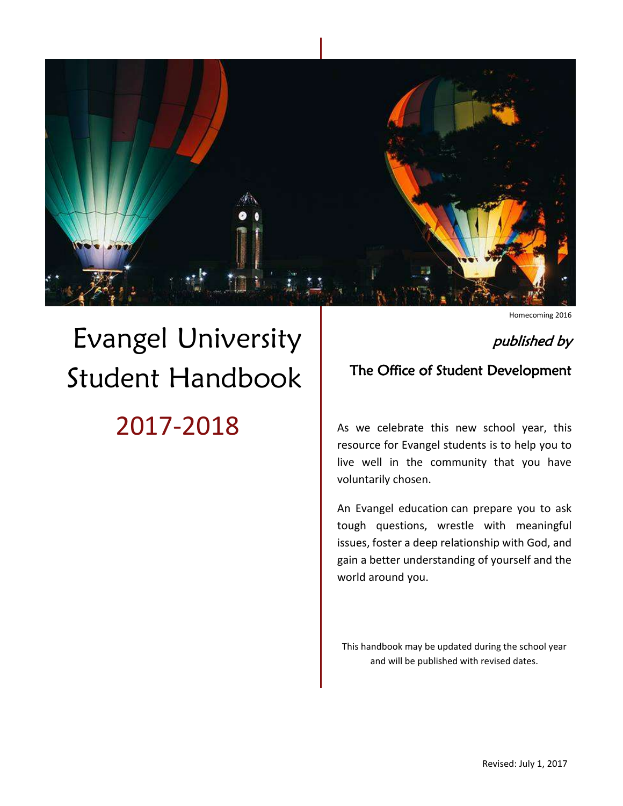

# Evangel University Student Handbook 2017-2018

Homecoming 2016

# published by

# The Office of Student Development

As we celebrate this new school year, this resource for Evangel students is to help you to live well in the community that you have voluntarily chosen.

An Evangel education can prepare you to ask tough questions, wrestle with meaningful issues, foster a deep relationship with God, and gain a better understanding of yourself and the world around you.

This handbook may be updated during the school year and will be published with revised dates.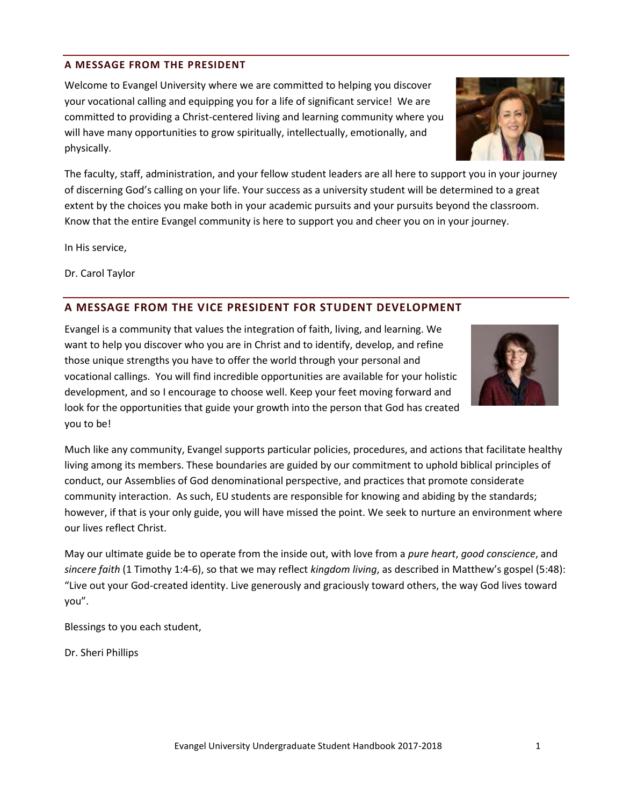# <span id="page-1-0"></span>**A MESSAGE FROM THE PRESIDENT**

Welcome to Evangel University where we are committed to helping you discover your vocational calling and equipping you for a life of significant service! We are committed to providing a Christ-centered living and learning community where you will have many opportunities to grow spiritually, intellectually, emotionally, and physically.

The faculty, staff, administration, and your fellow student leaders are all here to support you in your journey of discerning God's calling on your life. Your success as a university student will be determined to a great extent by the choices you make both in your academic pursuits and your pursuits beyond the classroom. Know that the entire Evangel community is here to support you and cheer you on in your journey.

In His service,

Dr. Carol Taylor

# <span id="page-1-1"></span>**A MESSAGE FROM THE VICE PRESIDENT FOR STUDENT DEVELOPMENT**

Evangel is a community that values the integration of faith, living, and learning. We want to help you discover who you are in Christ and to identify, develop, and refine those unique strengths you have to offer the world through your personal and vocational callings. You will find incredible opportunities are available for your holistic development, and so I encourage to choose well. Keep your feet moving forward and look for the opportunities that guide your growth into the person that God has created you to be!

Much like any community, Evangel supports particular policies, procedures, and actions that facilitate healthy living among its members. These boundaries are guided by our commitment to uphold biblical principles of conduct, our Assemblies of God denominational perspective, and practices that promote considerate community interaction. As such, EU students are responsible for knowing and abiding by the standards; however, if that is your only guide, you will have missed the point. We seek to nurture an environment where our lives reflect Christ.

May our ultimate guide be to operate from the inside out, with love from a *pure heart*, *good conscience*, and *sincere faith* (1 Timothy 1:4-6), so that we may reflect *kingdom living*, as described in Matthew's gospel (5:48): "Live out your God-created identity. Live generously and graciously toward others, the way God lives toward you".

Blessings to you each student,

Dr. Sheri Phillips



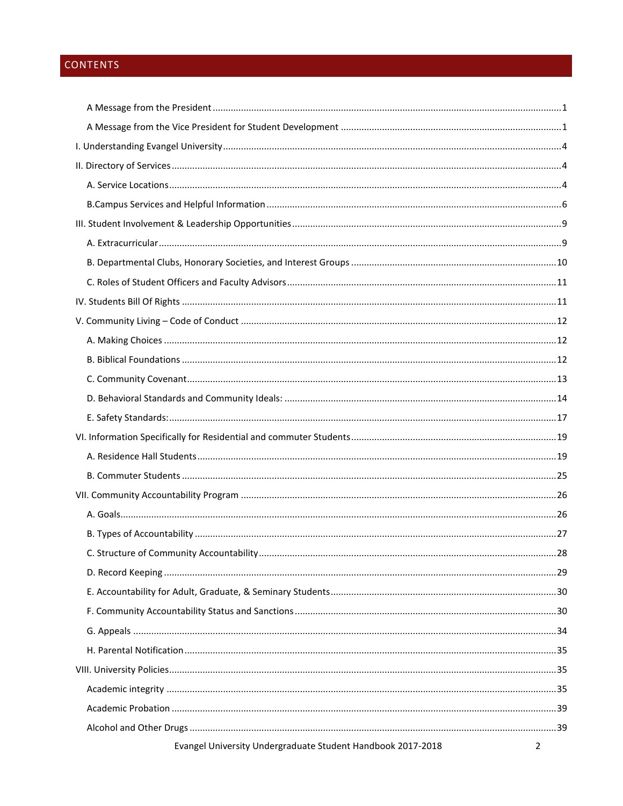# CONTENTS

| Evangel University Undergraduate Student Handbook 2017-2018 | 2 |
|-------------------------------------------------------------|---|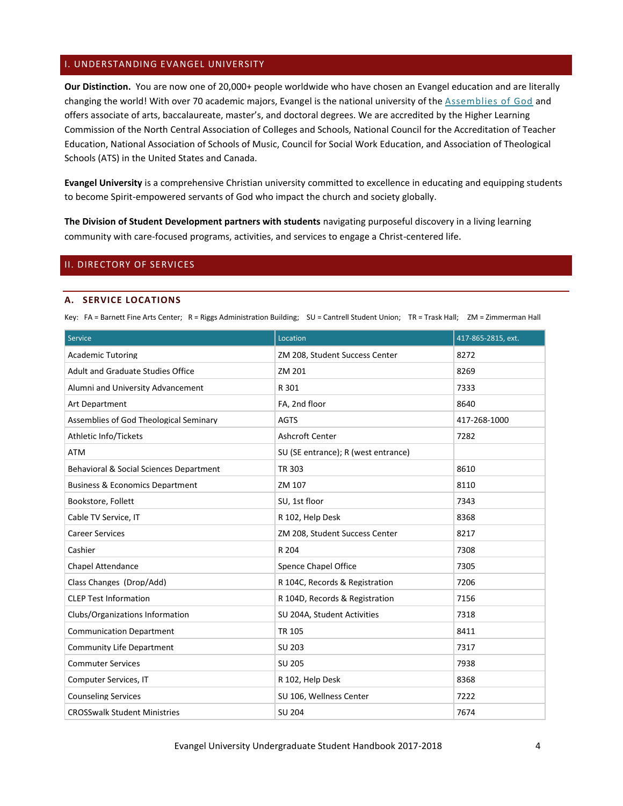# <span id="page-4-0"></span>I. UNDERSTANDING EVANGEL UNIVERSITY

**Our Distinction.** You are now one of 20,000+ people worldwide who have chosen an Evangel education and are literally changing the world! With over 70 academic majors, Evangel is the national university of th[e Assemblies of God](http://www.ag.org/) and offers associate of arts, baccalaureate, master's, and doctoral degrees. We are accredited by the Higher Learning Commission of the North Central Association of Colleges and Schools, National Council for the Accreditation of Teacher Education, National Association of Schools of Music, Council for Social Work Education, and Association of Theological Schools (ATS) in the United States and Canada.

**Evangel University** is a comprehensive Christian university committed to excellence in educating and equipping students to become Spirit-empowered servants of God who impact the church and society globally.

**The Division of Student Development partners with students** navigating purposeful discovery in a living learning community with care-focused programs, activities, and services to engage a Christ-centered life.

# <span id="page-4-2"></span><span id="page-4-1"></span>II. DIRECTORY OF SERVICES

#### **A. SERVICE LOCATIONS**

Key: FA = Barnett Fine Arts Center; R = Riggs Administration Building; SU = Cantrell Student Union; TR = Trask Hall; ZM = Zimmerman Hall

| <b>Service</b>                             | Location                            | 417-865-2815, ext. |
|--------------------------------------------|-------------------------------------|--------------------|
| <b>Academic Tutoring</b>                   | ZM 208, Student Success Center      | 8272               |
| <b>Adult and Graduate Studies Office</b>   | ZM 201                              | 8269               |
| Alumni and University Advancement          | R 301                               | 7333               |
| Art Department                             | FA, 2nd floor                       | 8640               |
| Assemblies of God Theological Seminary     | <b>AGTS</b>                         | 417-268-1000       |
| Athletic Info/Tickets                      | <b>Ashcroft Center</b>              | 7282               |
| <b>ATM</b>                                 | SU (SE entrance); R (west entrance) |                    |
| Behavioral & Social Sciences Department    | TR 303                              | 8610               |
| <b>Business &amp; Economics Department</b> | ZM 107                              | 8110               |
| Bookstore, Follett                         | SU, 1st floor                       | 7343               |
| Cable TV Service, IT                       | R 102, Help Desk                    | 8368               |
| <b>Career Services</b>                     | ZM 208, Student Success Center      | 8217               |
| Cashier                                    | R 204                               | 7308               |
| <b>Chapel Attendance</b>                   | Spence Chapel Office                | 7305               |
| Class Changes (Drop/Add)                   | R 104C, Records & Registration      | 7206               |
| <b>CLEP Test Information</b>               | R 104D, Records & Registration      | 7156               |
| Clubs/Organizations Information            | SU 204A, Student Activities         | 7318               |
| <b>Communication Department</b>            | <b>TR 105</b>                       | 8411               |
| <b>Community Life Department</b>           | SU 203                              | 7317               |
| <b>Commuter Services</b>                   | SU 205                              | 7938               |
| Computer Services, IT                      | R 102, Help Desk                    | 8368               |
| <b>Counseling Services</b>                 | SU 106, Wellness Center             | 7222               |
| <b>CROSSwalk Student Ministries</b>        | <b>SU 204</b>                       | 7674               |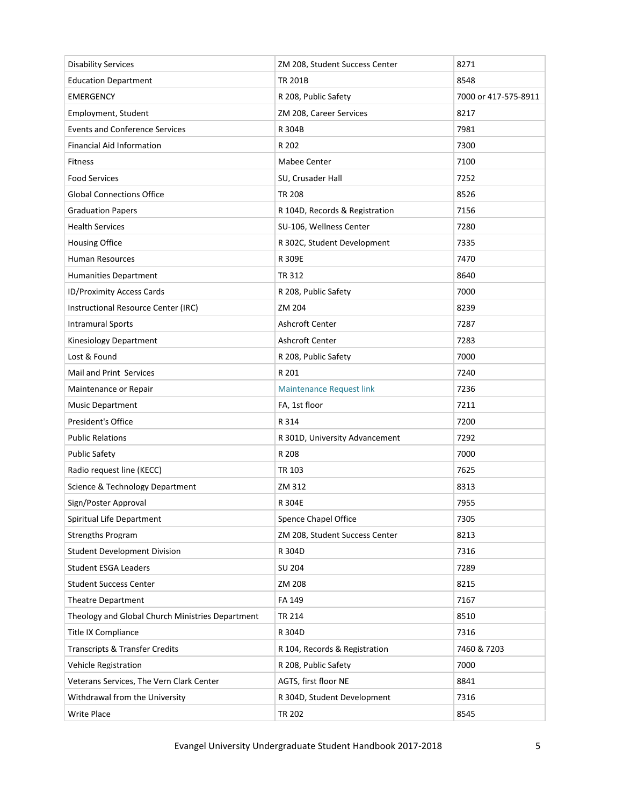| <b>Disability Services</b>                       | ZM 208, Student Success Center  | 8271                 |
|--------------------------------------------------|---------------------------------|----------------------|
| <b>Education Department</b>                      | <b>TR 201B</b>                  | 8548                 |
| <b>EMERGENCY</b>                                 | R 208, Public Safety            | 7000 or 417-575-8911 |
| Employment, Student                              | ZM 208, Career Services         | 8217                 |
| <b>Events and Conference Services</b>            | R 304B                          | 7981                 |
| <b>Financial Aid Information</b>                 | R 202                           | 7300                 |
| <b>Fitness</b>                                   | Mabee Center                    | 7100                 |
| <b>Food Services</b>                             | SU, Crusader Hall               | 7252                 |
| <b>Global Connections Office</b>                 | <b>TR 208</b>                   | 8526                 |
| <b>Graduation Papers</b>                         | R 104D, Records & Registration  | 7156                 |
| <b>Health Services</b>                           | SU-106, Wellness Center         | 7280                 |
| <b>Housing Office</b>                            | R 302C, Student Development     | 7335                 |
| Human Resources                                  | R 309E                          | 7470                 |
| <b>Humanities Department</b>                     | TR 312                          | 8640                 |
| <b>ID/Proximity Access Cards</b>                 | R 208, Public Safety            | 7000                 |
| Instructional Resource Center (IRC)              | ZM 204                          | 8239                 |
| <b>Intramural Sports</b>                         | Ashcroft Center                 | 7287                 |
| Kinesiology Department                           | Ashcroft Center                 | 7283                 |
| Lost & Found                                     | R 208, Public Safety            | 7000                 |
| Mail and Print Services                          | R 201                           | 7240                 |
| Maintenance or Repair                            | <b>Maintenance Request link</b> | 7236                 |
| <b>Music Department</b>                          | FA, 1st floor                   | 7211                 |
| President's Office                               | R 314                           | 7200                 |
| <b>Public Relations</b>                          | R 301D, University Advancement  | 7292                 |
| <b>Public Safety</b>                             | R 208                           | 7000                 |
| Radio request line (KECC)                        | TR 103                          | 7625                 |
| Science & Technology Department                  | ZM 312                          | 8313                 |
| Sign/Poster Approval                             | R 304E                          | 7955                 |
| Spiritual Life Department                        | <b>Spence Chapel Office</b>     | 7305                 |
| <b>Strengths Program</b>                         | ZM 208, Student Success Center  | 8213                 |
| <b>Student Development Division</b>              | R 304D                          | 7316                 |
| <b>Student ESGA Leaders</b>                      | SU 204                          | 7289                 |
| <b>Student Success Center</b>                    | ZM 208                          | 8215                 |
| Theatre Department                               | FA 149                          | 7167                 |
| Theology and Global Church Ministries Department | TR 214                          | 8510                 |
| Title IX Compliance                              | R 304D                          | 7316                 |
| <b>Transcripts &amp; Transfer Credits</b>        | R 104, Records & Registration   | 7460 & 7203          |
| Vehicle Registration                             | R 208, Public Safety            | 7000                 |
| Veterans Services, The Vern Clark Center         | AGTS, first floor NE            | 8841                 |
| Withdrawal from the University                   | R 304D, Student Development     | 7316                 |
| Write Place                                      | TR 202                          | 8545                 |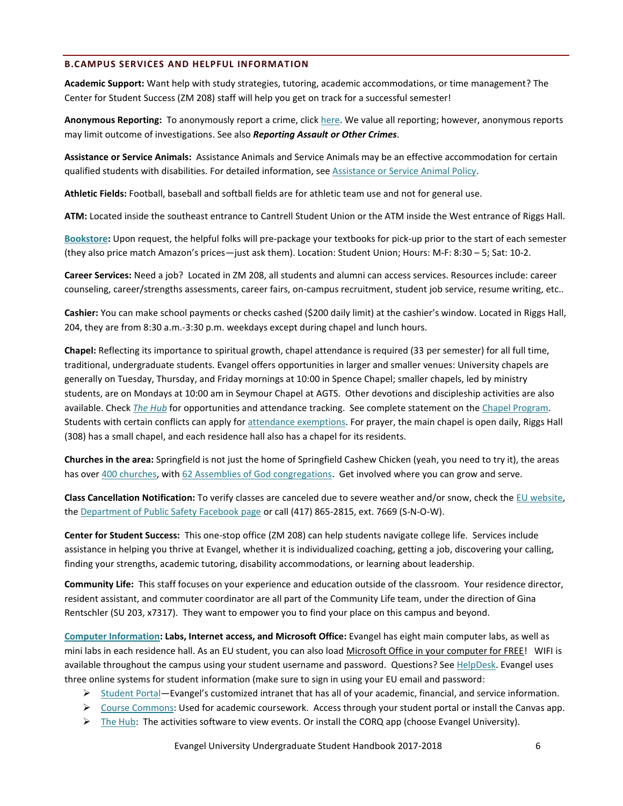#### <span id="page-6-0"></span>**B.CAMPUS SERVICES AND HELPFUL INFORMATION**

**Academic Support:** Want help with study strategies, tutoring, academic accommodations, or time management? The Center for Student Success (ZM 208) staff will help you get on track for a successful semester!

**Anonymous Reporting:** To anonymously report a crime, clic[k here.](https://www.evangel.edu/offices/student-development/public-safety/) We value all reporting; however, anonymous reports may limit outcome of investigations. See also *Reporting Assault or Other Crimes*.

**Assistance or Service Animals:** Assistance Animals and Service Animals may be an effective accommodation for certain qualified students with disabilities. For detailed information, see [Assistance or Service Animal Policy.](https://www.evangel.edu/financial/more-information/consumer-information/students-with-disabilities-handbook/assistance-service-animals-policy/)

**Athletic Fields:** Football, baseball and softball fields are for athletic team use and not for general use.

**ATM:** Located inside the southeast entrance to Cantrell Student Union or the ATM inside the West entrance of Riggs Hall.

**[Bookstore:](http://www.bkstr.com/evangelstore/home)** Upon request, the helpful folks will pre-package your textbooks for pick-up prior to the start of each semester (they also price match Amazon's prices—just ask them). Location: Student Union; Hours: M-F: 8:30 – 5; Sat: 10-2.

**Career Services:** Need a job? Located in ZM 208, all students and alumni can access services. Resources include: career counseling, career/strengths assessments, career fairs, on-campus recruitment, student job service, resume writing, etc..

**Cashier:** You can make school payments or checks cashed (\$200 daily limit) at the cashier's window. Located in Riggs Hall, 204, they are from 8:30 a.m.-3:30 p.m. weekdays except during chapel and lunch hours.

**Chapel:** Reflecting its importance to spiritual growth, chapel attendance is required (33 per semester) for all full time, traditional, undergraduate students. Evangel offers opportunities in larger and smaller venues: University chapels are generally on Tuesday, Thursday, and Friday mornings at 10:00 in Spence Chapel; smaller chapels, led by ministry students, are on Mondays at 10:00 am in Seymour Chapel at AGTS. Other devotions and discipleship activities are also available. Check *[The Hub](https://thehub.evangel.edu/)* for opportunities and attendance tracking. See complete statement on the [Chapel Program.](#page-40-1) Students with certain conflicts can apply fo[r attendance exemptions.](https://web.evangel.edu/Portal/Student/Chapel/forms/index.asp) For prayer, the main chapel is open daily, Riggs Hall (308) has a small chapel, and each residence hall also has a chapel for its residents.

**Churches in the area:** Springfield is not just the home of Springfield Cashew Chicken (yeah, you need to try it), the areas has over [400 churches,](http://www.churchfinder.com/churches/mo/springfield) with [62 Assemblies of God congregations.](https://ag.org/Resources/Directories/Find-a-Church/?z=65802) Get involved where you can grow and serve.

**Class Cancellation Notification:** To verify classes are canceled due to severe weather and/or snow, check th[e EU website,](http://www.evangel.edu/) the [Department of Public Safety Facebook page](https://www.facebook.com/EvangelDPS) or call (417) 865-2815, ext. 7669 (S-N-O-W).

**Center for Student Success:** This one-stop office (ZM 208) can help students navigate college life. Services include assistance in helping you thrive at Evangel, whether it is individualized coaching, getting a job, discovering your calling, finding your strengths, academic tutoring, disability accommodations, or learning about leadership.

**Community Life:** This staff focuses on your experience and education outside of the classroom. Your residence director, resident assistant, and commuter coordinator are all part of the Community Life team, under the direction of Gina Rentschler (SU 203, x7317). They want to empower you to find your place on this campus and beyond.

**[Computer Information:](https://help.evangel.edu/hc/en-us/articles/205722985-Incoming-Student-IT-Information-Sheet) Labs, Internet access, and Microsoft Office:** Evangel has eight main computer labs, as well as mini labs in each residence hall. As an EU student, you can also load Microsoft Office in your computer for FREE! WIFI is available throughout the campus using your student username and password. Questions? See [HelpDesk.](http://web.evangel.edu/apps/public/hd/) Evangel uses three online systems for student information (make sure to sign in using your EU email and password:

- ▶ [Student Portal](https://web.evangel.edu/portal/student/index.asp)–Evangel's customized intranet that has all of your academic, financial, and service information.
- $\triangleright$  [Course Commons:](https://courses.evangel.edu/) Used for academic coursework. Access through your student portal or install the Canvas app.
- $\triangleright$  [The Hub:](https://thehub.evangel.edu/) The activities software to view events. Or install the CORQ app (choose Evangel University).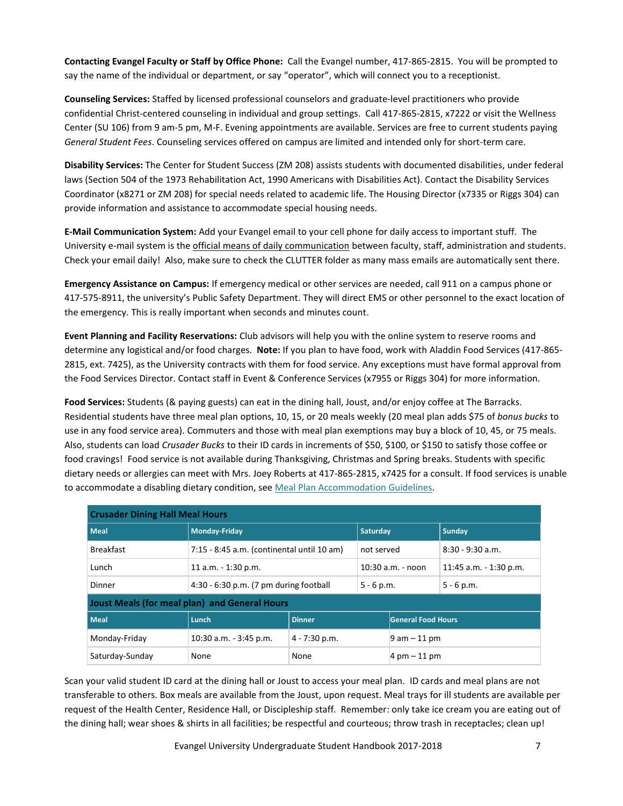**Contacting Evangel Faculty or Staff by Office Phone:** Call the Evangel number, 417-865-2815. You will be prompted to say the name of the individual or department, or say "operator", which will connect you to a receptionist.

**Counseling Services:** Staffed by licensed professional counselors and graduate-level practitioners who provide confidential Christ-centered counseling in individual and group settings. Call 417-865-2815, x7222 or visit the Wellness Center (SU 106) from 9 am-5 pm, M-F. Evening appointments are available. Services are free to current students paying *General Student Fees*. Counseling services offered on campus are limited and intended only for short-term care.

**Disability Services:** The Center for Student Success (ZM 208) assists students with documented disabilities, under federal laws (Section 504 of the 1973 Rehabilitation Act, 1990 Americans with Disabilities Act). Contact the Disability Services Coordinator (x8271 or ZM 208) for special needs related to academic life. The Housing Director (x7335 or Riggs 304) can provide information and assistance to accommodate special housing needs.

**E-Mail Communication System:** Add your Evangel email to your cell phone for daily access to important stuff. The University e-mail system is the official means of daily communication between faculty, staff, administration and students. Check your email daily! Also, make sure to check the CLUTTER folder as many mass emails are automatically sent there.

**Emergency Assistance on Campus:** If emergency medical or other services are needed, call 911 on a campus phone or 417-575-8911, the university's Public Safety Department. They will direct EMS or other personnel to the exact location of the emergency. This is really important when seconds and minutes count.

**Event Planning and Facility Reservations:** Club advisors will help you with the online system to reserve rooms and determine any logistical and/or food charges. **Note:** If you plan to have food, work with Aladdin Food Services (417-865- 2815, ext. 7425), as the University contracts with them for food service. Any exceptions must have formal approval from the Food Services Director. Contact staff in Event & Conference Services (x7955 or Riggs 304) for more information.

**Food Services:** Students (& paying guests) can eat in the dining hall, Joust, and/or enjoy coffee at The Barracks. Residential students have three meal plan options, 10, 15, or 20 meals weekly (20 meal plan adds \$75 of *bonus bucks* to use in any food service area). Commuters and those with meal plan exemptions may buy a block of 10, 45, or 75 meals. Also, students can load *Crusader Bucks* to their ID cards in increments of \$50, \$100, or \$150 to satisfy those coffee or food cravings! Food service is not available during Thanksgiving, Christmas and Spring breaks. Students with specific dietary needs or allergies can meet with Mrs. Joey Roberts at 417-865-2815, x7425 for a consult. If food services is unable to accommodate a disabling dietary condition, see [Meal Plan Accommodation Guidelines.](http://web.evangel.edu/community/download.asp?k=HOU_MealDisabilityApplicationGuidelines)

| <b>Crusader Dining Hall Meal Hours</b>        |                                            |                 |                     |                                  |                          |
|-----------------------------------------------|--------------------------------------------|-----------------|---------------------|----------------------------------|--------------------------|
| Meal                                          | Monday-Friday                              |                 | <b>Saturday</b>     |                                  | Sunday                   |
| <b>Breakfast</b>                              | 7:15 - 8:45 a.m. (continental until 10 am) |                 | not served          |                                  | $8:30 - 9:30$ a.m.       |
| Lunch                                         | 11 a.m. $-$ 1:30 p.m.                      |                 | $10:30$ a.m. - noon |                                  | 11:45 a.m. $-$ 1:30 p.m. |
| Dinner                                        | 4:30 - 6:30 p.m. (7 pm during football     |                 | $5 - 6 p.m.$        |                                  | $5 - 6 p.m.$             |
| Joust Meals (for meal plan) and General Hours |                                            |                 |                     |                                  |                          |
| <b>Meal</b>                                   | Lunch                                      | <b>Dinner</b>   |                     | <b>General Food Hours</b>        |                          |
| Monday-Friday                                 | $10:30$ a.m. $-3:45$ p.m.                  | $4 - 7:30$ p.m. |                     | $9$ am $-11$ pm                  |                          |
| Saturday-Sunday                               | None                                       | None            |                     | $ 4 \text{ pm} - 11 \text{ pm} $ |                          |

Scan your valid student ID card at the dining hall or Joust to access your meal plan. ID cards and meal plans are not transferable to others. Box meals are available from the Joust, upon request. Meal trays for ill students are available per request of the Health Center, Residence Hall, or Discipleship staff. Remember: only take ice cream you are eating out of the dining hall; wear shoes & shirts in all facilities; be respectful and courteous; throw trash in receptacles; clean up!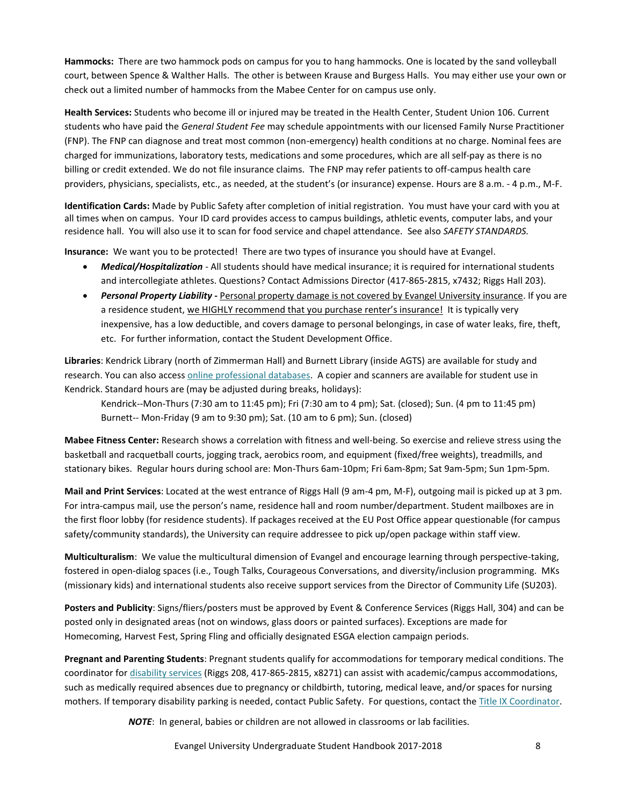**Hammocks:** There are two hammock pods on campus for you to hang hammocks. One is located by the sand volleyball court, between Spence & Walther Halls. The other is between Krause and Burgess Halls. You may either use your own or check out a limited number of hammocks from the Mabee Center for on campus use only.

**Health Services:** Students who become ill or injured may be treated in the Health Center, Student Union 106. Current students who have paid the *General Student Fee* may schedule appointments with our licensed Family Nurse Practitioner (FNP). The FNP can diagnose and treat most common (non-emergency) health conditions at no charge. Nominal fees are charged for immunizations, laboratory tests, medications and some procedures, which are all self-pay as there is no billing or credit extended. We do not file insurance claims. The FNP may refer patients to off-campus health care providers, physicians, specialists, etc., as needed, at the student's (or insurance) expense. Hours are 8 a.m. - 4 p.m., M-F.

**Identification Cards:** Made by Public Safety after completion of initial registration. You must have your card with you at all times when on campus. Your ID card provides access to campus buildings, athletic events, computer labs, and your residence hall. You will also use it to scan for food service and chapel attendance. See also *SAFETY STANDARDS.*

**Insurance:** We want you to be protected! There are two types of insurance you should have at Evangel.

- *Medical/Hospitalization* All students should have medical insurance; it is required for international students and intercollegiate athletes. Questions? Contact Admissions Director (417-865-2815, x7432; Riggs Hall 203).
- *Personal Property Liability* **-** Personal property damage is not covered by Evangel University insurance. If you are a residence student, we HIGHLY recommend that you purchase renter's insurance! It is typically very inexpensive, has a low deductible, and covers damage to personal belongings, in case of water leaks, fire, theft, etc. For further information, contact the Student Development Office.

**Libraries**: Kendrick Library (north of Zimmerman Hall) and Burnett Library (inside AGTS) are available for study and research. You can also access [online professional databases.](http://web.evangel.edu/Library/databases.asp) A copier and scanners are available for student use in Kendrick. Standard hours are (may be adjusted during breaks, holidays):

Kendrick--Mon-Thurs (7:30 am to 11:45 pm); Fri (7:30 am to 4 pm); Sat. (closed); Sun. (4 pm to 11:45 pm) Burnett-- Mon-Friday (9 am to 9:30 pm); Sat. (10 am to 6 pm); Sun. (closed)

**Mabee Fitness Center:** Research shows a correlation with fitness and well-being. So exercise and relieve stress using the basketball and racquetball courts, jogging track, aerobics room, and equipment (fixed/free weights), treadmills, and stationary bikes. Regular hours during school are: Mon-Thurs 6am-10pm; Fri 6am-8pm; Sat 9am-5pm; Sun 1pm-5pm.

**Mail and Print Services**: Located at the west entrance of Riggs Hall (9 am-4 pm, M-F), outgoing mail is picked up at 3 pm. For intra-campus mail, use the person's name, residence hall and room number/department. Student mailboxes are in the first floor lobby (for residence students). If packages received at the EU Post Office appear questionable (for campus safety/community standards), the University can require addressee to pick up/open package within staff view.

**Multiculturalism**: We value the multicultural dimension of Evangel and encourage learning through perspective-taking, fostered in open-dialog spaces (i.e., Tough Talks, Courageous Conversations, and diversity/inclusion programming. MKs (missionary kids) and international students also receive support services from the Director of Community Life (SU203).

**Posters and Publicity**: Signs/fliers/posters must be approved by Event & Conference Services (Riggs Hall, 304) and can be posted only in designated areas (not on windows, glass doors or painted surfaces). Exceptions are made for Homecoming, Harvest Fest, Spring Fling and officially designated ESGA election campaign periods.

**Pregnant and Parenting Students**: Pregnant students qualify for accommodations for temporary medical conditions. The coordinator fo[r disability services](mailto:houseknechts@evangel.edu) (Riggs 208, 417-865-2815, x8271) can assist with academic/campus accommodations, such as medically required absences due to pregnancy or childbirth, tutoring, medical leave, and/or spaces for nursing mothers. If temporary disability parking is needed, contact Public Safety. For questions, contact the [Title IX Coordinator.](mailto:phillipss@evangel.edu)

*NOTE*: In general, babies or children are not allowed in classrooms or lab facilities.

Evangel University Undergraduate Student Handbook 2017-2018 8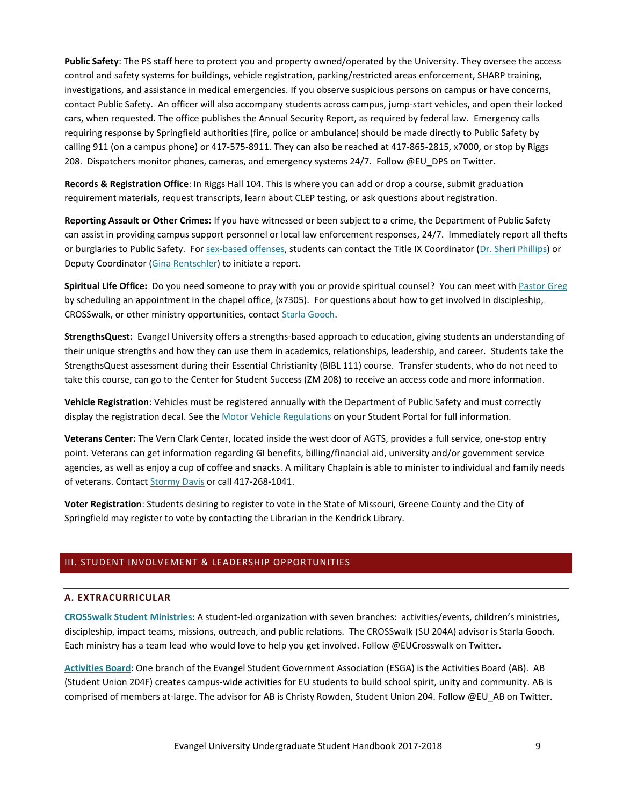**Public Safety**: The PS staff here to protect you and property owned/operated by the University. They oversee the access control and safety systems for buildings, vehicle registration, parking/restricted areas enforcement, SHARP training, investigations, and assistance in medical emergencies. If you observe suspicious persons on campus or have concerns, contact Public Safety. An officer will also accompany students across campus, jump-start vehicles, and open their locked cars, when requested. The office publishes the Annual Security Report, as required by federal law. Emergency calls requiring response by Springfield authorities (fire, police or ambulance) should be made directly to Public Safety by calling 911 (on a campus phone) or 417-575-8911. They can also be reached at 417-865-2815, x7000, or stop by Riggs 208. Dispatchers monitor phones, cameras, and emergency systems 24/7. Follow @EU\_DPS on Twitter.

**Records & Registration Office**: In Riggs Hall 104. This is where you can add or drop a course, submit graduation requirement materials, request transcripts, learn about CLEP testing, or ask questions about registration.

**Reporting Assault or Other Crimes:** If you have witnessed or been subject to a crime, the Department of Public Safety can assist in providing campus support personnel or local law enforcement responses, 24/7. Immediately report all thefts or burglaries to Public Safety. Fo[r sex-based offenses,](#page-60-0) students can contact the Title IX Coordinator [\(Dr. Sheri Phillips\)](mailto:phillipss@evangel.edu) or Deputy Coordinator [\(Gina Rentschler\)](mailto:rentschlerg@evangel.edu) to initiate a report.

**Spiritual Life Office:** Do you need someone to pray with you or provide spiritual counsel? You can meet with [Pastor Greg](mailto:johnsg@evangel.edu) by scheduling an appointment in the chapel office, (x7305). For questions about how to get involved in discipleship, CROSSwalk, or other ministry opportunities, contact [Starla Gooch.](mailto:goochs@evangel.edu)

**StrengthsQuest:** Evangel University offers a strengths-based approach to education, giving students an understanding of their unique strengths and how they can use them in academics, relationships, leadership, and career. Students take the StrengthsQuest assessment during their Essential Christianity (BIBL 111) course. Transfer students, who do not need to take this course, can go to the Center for Student Success (ZM 208) to receive an access code and more information.

**Vehicle Registration**: Vehicles must be registered annually with the Department of Public Safety and must correctly display the registration decal. See the [Motor Vehicle Regulations](https://web.evangel.edu/Security/VehicleRegulations.asp) on your Student Portal for full information.

**Veterans Center:** The Vern Clark Center, located inside the west door of AGTS, provides a full service, one-stop entry point. Veterans can get information regarding GI benefits, billing/financial aid, university and/or government service agencies, as well as enjoy a cup of coffee and snacks. A military Chaplain is able to minister to individual and family needs of veterans. Contact [Stormy Davis](mailto:daviss@evangel.edu) or call 417-268-1041.

**Voter Registration**: Students desiring to register to vote in the State of Missouri, Greene County and the City of Springfield may register to vote by contacting the Librarian in the Kendrick Library.

# <span id="page-9-1"></span><span id="page-9-0"></span>III. STUDENT INVOLVEMENT & LEADERSHIP OPPORTUNITIES

#### **A. EXTRACURRICULAR**

**[CROSSwalk Student Ministries](http://web.evangel.edu/Clubs/CrossWalk/index.html)**: A student-led organization with seven branches: activities/events, children's ministries, discipleship, impact teams, missions, outreach, and public relations. The CROSSwalk (SU 204A) advisor is Starla Gooch. Each ministry has a team lead who would love to help you get involved. Follow @EUCrosswalk on Twitter.

**[Activities Board](https://www.facebook.com/activitiesboard.evangel)**: One branch of the Evangel Student Government Association (ESGA) is the Activities Board (AB). AB (Student Union 204F) creates campus-wide activities for EU students to build school spirit, unity and community. AB is comprised of members at-large. The advisor for AB is Christy Rowden, Student Union 204. Follow @EU\_AB on Twitter.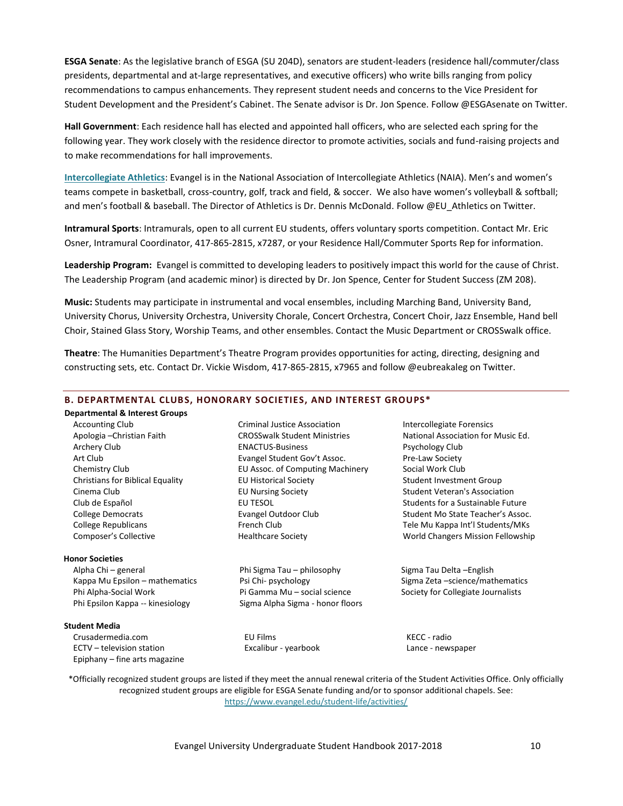**ESGA Senate**: As the legislative branch of ESGA (SU 204D), senators are student-leaders (residence hall/commuter/class presidents, departmental and at-large representatives, and executive officers) who write bills ranging from policy recommendations to campus enhancements. They represent student needs and concerns to the Vice President for Student Development and the President's Cabinet. The Senate advisor is Dr. Jon Spence. Follow @ESGAsenate on Twitter.

**Hall Government**: Each residence hall has elected and appointed hall officers, who are selected each spring for the following year. They work closely with the residence director to promote activities, socials and fund-raising projects and to make recommendations for hall improvements.

**[Intercollegiate Athletics](http://www.evangelathletics.com/)**: Evangel is in the National Association of Intercollegiate Athletics (NAIA). Men's and women's teams compete in basketball, cross-country, golf, track and field, & soccer. We also have women's volleyball & softball; and men's football & baseball. The Director of Athletics is Dr. Dennis McDonald. Follow @EU Athletics on Twitter.

**Intramural Sports**: Intramurals, open to all current EU students, offers voluntary sports competition. Contact Mr. Eric Osner, Intramural Coordinator, 417-865-2815, x7287, or your Residence Hall/Commuter Sports Rep for information.

**Leadership Program:** Evangel is committed to developing leaders to positively impact this world for the cause of Christ. The Leadership Program (and academic minor) is directed by Dr. Jon Spence, Center for Student Success (ZM 208).

**Music:** Students may participate in instrumental and vocal ensembles, including Marching Band, University Band, University Chorus, University Orchestra, University Chorale, Concert Orchestra, Concert Choir, Jazz Ensemble, Hand bell Choir, Stained Glass Story, Worship Teams, and other ensembles. Contact the Music Department or CROSSwalk office.

**Theatre**: The Humanities Department's Theatre Program provides opportunities for acting, directing, designing and constructing sets, etc. Contact Dr. Vickie Wisdom, 417-865-2815, x7965 and follow @eubreakaleg on Twitter.

#### <span id="page-10-0"></span>**B. DEPARTMENTAL CLUBS, HONORARY SOCIETIES, AND INTEREST GROUPS\***

#### **Departmental & Interest Groups**

Accounting Club Apologia –Christian Faith Archery Club Art Club Chemistry Club Christians for Biblical Equality Cinema Club Club de Español College Democrats College Republicans Composer's Collective

#### **Honor Societies**

Alpha Chi – general Kappa Mu Epsilon – mathematics Phi Alpha-Social Work Phi Epsilon Kappa -- kinesiology

#### **Student Media**

Crusadermedia.com ECTV – television station Epiphany – fine arts magazine

Criminal Justice Association CROSSwalk Student Ministries ENACTUS-Business Evangel Student Gov't Assoc. EU Assoc. of Computing Machinery EU Historical Society EU Nursing Society EU TESOL Evangel Outdoor Club French Club Healthcare Society

Phi Sigma Tau – philosophy Psi Chi- psychology Pi Gamma Mu – social science Sigma Alpha Sigma - honor floors

EU Films Excalibur - yearbook Intercollegiate Forensics National Association for Music Ed. Psychology Club Pre-Law Society Social Work Club Student Investment Group Student Veteran's Association Students for a Sustainable Future Student Mo State Teacher's Assoc. Tele Mu Kappa Int'l Students/MKs World Changers Mission Fellowship

Sigma Tau Delta –English Sigma Zeta –science/mathematics Society for Collegiate Journalists

KECC - radio Lance - newspaper

\*Officially recognized student groups are listed if they meet the annual renewal criteria of the Student Activities Office. Only officially recognized student groups are eligible for ESGA Senate funding and/or to sponsor additional chapels. See: <https://www.evangel.edu/student-life/activities/>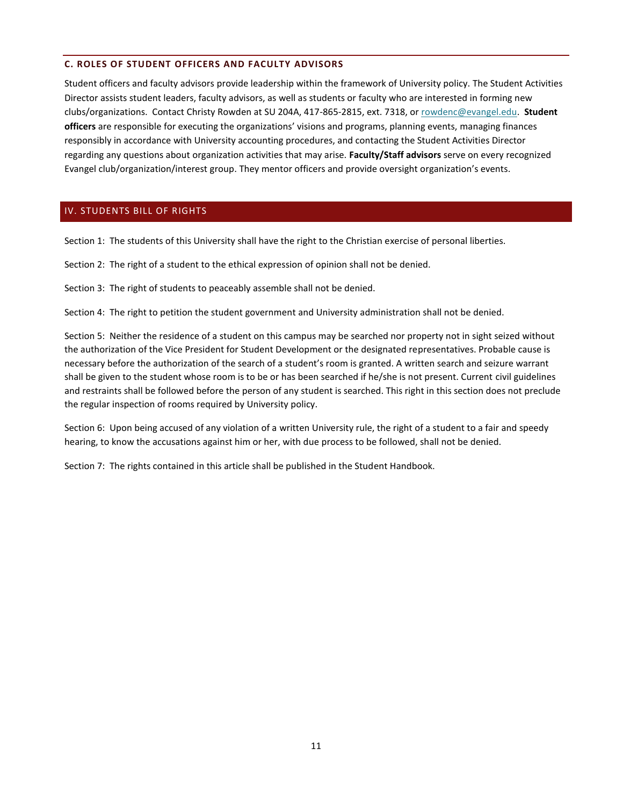# <span id="page-11-0"></span>**C. ROLES OF STUDENT OFFICERS AND FACULTY ADVISORS**

Student officers and faculty advisors provide leadership within the framework of University policy. The Student Activities Director assists student leaders, faculty advisors, as well as students or faculty who are interested in forming new clubs/organizations. Contact Christy Rowden at SU 204A, 417-865-2815, ext. 7318, or [rowdenc@evangel.edu.](mailto:rowdenc@evangel.edu) **Student officers** are responsible for executing the organizations' visions and programs, planning events, managing finances responsibly in accordance with University accounting procedures, and contacting the Student Activities Director regarding any questions about organization activities that may arise. **Faculty/Staff advisors** serve on every recognized Evangel club/organization/interest group. They mentor officers and provide oversight organization's events.

# <span id="page-11-1"></span>IV. STUDENTS BILL OF RIGHTS

Section 1: The students of this University shall have the right to the Christian exercise of personal liberties.

Section 2: The right of a student to the ethical expression of opinion shall not be denied.

Section 3: The right of students to peaceably assemble shall not be denied.

Section 4: The right to petition the student government and University administration shall not be denied.

Section 5: Neither the residence of a student on this campus may be searched nor property not in sight seized without the authorization of the Vice President for Student Development or the designated representatives. Probable cause is necessary before the authorization of the search of a student's room is granted. A written search and seizure warrant shall be given to the student whose room is to be or has been searched if he/she is not present. Current civil guidelines and restraints shall be followed before the person of any student is searched. This right in this section does not preclude the regular inspection of rooms required by University policy.

Section 6: Upon being accused of any violation of a written University rule, the right of a student to a fair and speedy hearing, to know the accusations against him or her, with due process to be followed, shall not be denied.

Section 7: The rights contained in this article shall be published in the Student Handbook.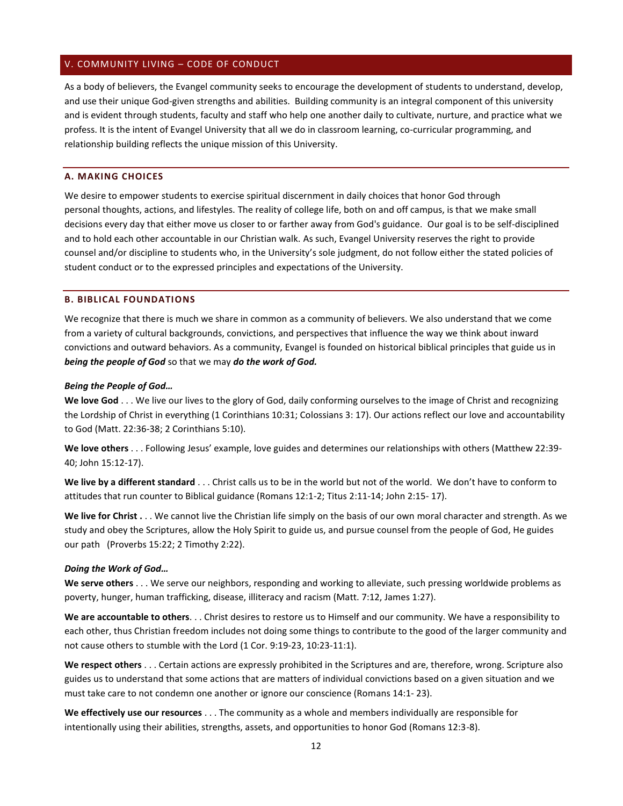#### <span id="page-12-0"></span>V. COMMUNITY LIVING – CODE OF CONDUCT

As a body of believers, the Evangel community seeks to encourage the development of students to understand, develop, and use their unique God-given strengths and abilities. Building community is an integral component of this university and is evident through students, faculty and staff who help one another daily to cultivate, nurture, and practice what we profess. It is the intent of Evangel University that all we do in classroom learning, co-curricular programming, and relationship building reflects the unique mission of this University.

#### <span id="page-12-1"></span>**A. MAKING CHOICES**

We desire to empower students to exercise spiritual discernment in daily choices that honor God through personal thoughts, actions, and lifestyles. The reality of college life, both on and off campus, is that we make small decisions every day that either move us closer to or farther away from God's guidance. Our goal is to be self-disciplined and to hold each other accountable in our Christian walk. As such, Evangel University reserves the right to provide counsel and/or discipline to students who, in the University's sole judgment, do not follow either the stated policies of student conduct or to the expressed principles and expectations of the University.

#### <span id="page-12-2"></span>**B. BIBLICAL FOUNDATIONS**

We recognize that there is much we share in common as a community of believers. We also understand that we come from a variety of cultural backgrounds, convictions, and perspectives that influence the way we think about inward convictions and outward behaviors. As a community, Evangel is founded on historical biblical principles that guide us in *being the people of God* so that we may *do the work of God.* 

#### *Being the People of God…*

**We love God** . . . We live our lives to the glory of God, daily conforming ourselves to the image of Christ and recognizing the Lordship of Christ in everything (1 Corinthians 10:31; Colossians 3: 17). Our actions reflect our love and accountability to God (Matt. 22:36-38; 2 Corinthians 5:10).

**We love others** . . . Following Jesus' example, love guides and determines our relationships with others (Matthew 22:39- 40; John 15:12-17).

**We live by a different standard** . . . Christ calls us to be in the world but not of the world. We don't have to conform to attitudes that run counter to Biblical guidance (Romans 12:1-2; Titus 2:11-14; John 2:15- 17).

**We live for Christ .** . . We cannot live the Christian life simply on the basis of our own moral character and strength. As we study and obey the Scriptures, allow the Holy Spirit to guide us, and pursue counsel from the people of God, He guides our path (Proverbs 15:22; 2 Timothy 2:22).

#### *Doing the Work of God…*

**We serve others** . . . We serve our neighbors, responding and working to alleviate, such pressing worldwide problems as poverty, hunger, human trafficking, disease, illiteracy and racism (Matt. 7:12, James 1:27).

**We are accountable to others**. . . Christ desires to restore us to Himself and our community. We have a responsibility to each other, thus Christian freedom includes not doing some things to contribute to the good of the larger community and not cause others to stumble with the Lord (1 Cor. 9:19-23, 10:23-11:1).

**We respect others** . . . Certain actions are expressly prohibited in the Scriptures and are, therefore, wrong. Scripture also guides us to understand that some actions that are matters of individual convictions based on a given situation and we must take care to not condemn one another or ignore our conscience (Romans 14:1- 23).

**We effectively use our resources** . . . The community as a whole and members individually are responsible for intentionally using their abilities, strengths, assets, and opportunities to honor God (Romans 12:3-8).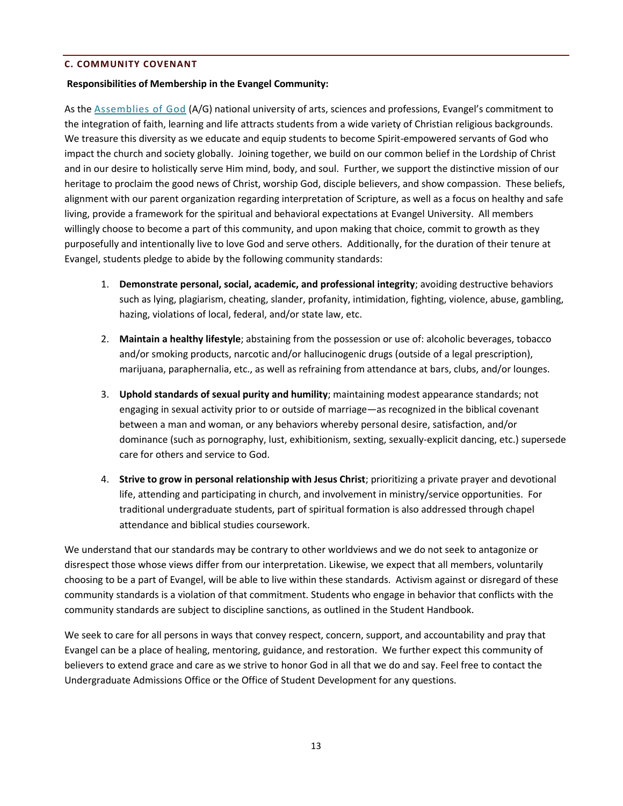# <span id="page-13-0"></span>**C. COMMUNITY COVENANT**

# **Responsibilities of Membership in the Evangel Community:**

As th[e Assemblies of God](http://www.ag.org/) (A/G) national university of arts, sciences and professions, Evangel's commitment to the integration of faith, learning and life attracts students from a wide variety of Christian religious backgrounds. We treasure this diversity as we educate and equip students to become Spirit-empowered servants of God who impact the church and society globally. Joining together, we build on our common belief in the Lordship of Christ and in our desire to holistically serve Him mind, body, and soul. Further, we support the distinctive mission of our heritage to proclaim the good news of Christ, worship God, disciple believers, and show compassion. These beliefs, alignment with our parent organization regarding interpretation of Scripture, as well as a focus on healthy and safe living, provide a framework for the spiritual and behavioral expectations at Evangel University. All members willingly choose to become a part of this community, and upon making that choice, commit to growth as they purposefully and intentionally live to love God and serve others. Additionally, for the duration of their tenure at Evangel, students pledge to abide by the following community standards:

- 1. **Demonstrate personal, social, academic, and professional integrity**; avoiding destructive behaviors such as lying, plagiarism, cheating, slander, profanity, intimidation, fighting, violence, abuse, gambling, hazing, violations of local, federal, and/or state law, etc.
- 2. **Maintain a healthy lifestyle**; abstaining from the possession or use of: alcoholic beverages, tobacco and/or smoking products, narcotic and/or hallucinogenic drugs (outside of a legal prescription), marijuana, paraphernalia, etc., as well as refraining from attendance at bars, clubs, and/or lounges.
- 3. **Uphold standards of sexual purity and humility**; maintaining modest appearance standards; not engaging in sexual activity prior to or outside of marriage—as recognized in the biblical covenant between a man and woman, or any behaviors whereby personal desire, satisfaction, and/or dominance (such as pornography, lust, exhibitionism, sexting, sexually-explicit dancing, etc.) supersede care for others and service to God.
- 4. **Strive to grow in personal relationship with Jesus Christ**; prioritizing a private prayer and devotional life, attending and participating in church, and involvement in ministry/service opportunities. For traditional undergraduate students, part of spiritual formation is also addressed through chapel attendance and biblical studies coursework.

We understand that our standards may be contrary to other worldviews and we do not seek to antagonize or disrespect those whose views differ from our interpretation. Likewise, we expect that all members, voluntarily choosing to be a part of Evangel, will be able to live within these standards. Activism against or disregard of these community standards is a violation of that commitment. Students who engage in behavior that conflicts with the community standards are subject to discipline sanctions, as outlined in the Student Handbook.

We seek to care for all persons in ways that convey respect, concern, support, and accountability and pray that Evangel can be a place of healing, mentoring, guidance, and restoration. We further expect this community of believers to extend grace and care as we strive to honor God in all that we do and say. Feel free to contact the Undergraduate Admissions Office or the Office of Student Development for any questions.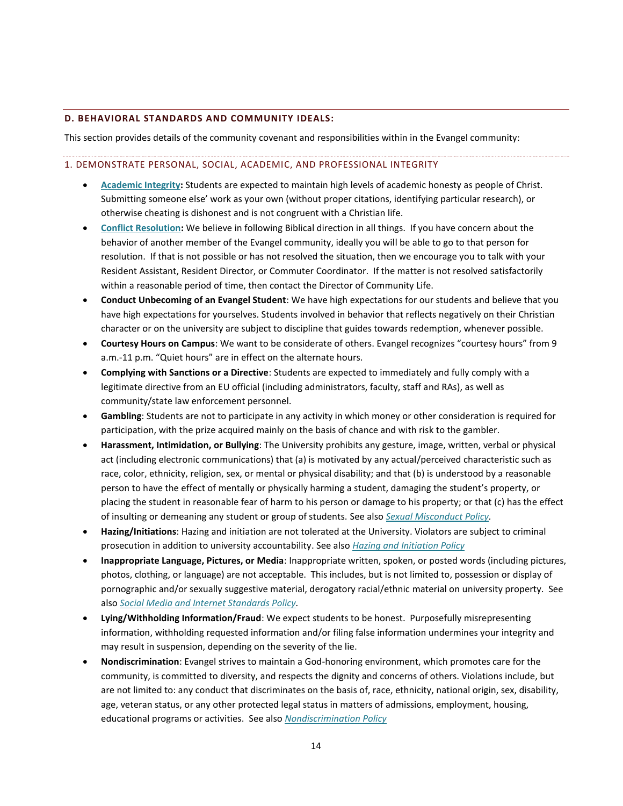# <span id="page-14-0"></span>**D. BEHAVIORAL STANDARDS AND COMMUNITY IDEALS:**

This section provides details of the community covenant and responsibilities within in the Evangel community:

#### <span id="page-14-1"></span>1. DEMONSTRATE PERSONAL, SOCIAL, ACADEMIC, AND PROFESSIONAL INTEGRITY

- **[Academic Integrity:](#page-35-2)** Students are expected to maintain high levels of academic honesty as people of Christ. Submitting someone else' work as your own (without proper citations, identifying particular research), or otherwise cheating is dishonest and is not congruent with a Christian life.
- **[Conflict Resolution:](#page-27-0)** We believe in following Biblical direction in all things. If you have concern about the behavior of another member of the Evangel community, ideally you will be able to go to that person for resolution. If that is not possible or has not resolved the situation, then we encourage you to talk with your Resident Assistant, Resident Director, or Commuter Coordinator. If the matter is not resolved satisfactorily within a reasonable period of time, then contact the Director of Community Life.
- **Conduct Unbecoming of an Evangel Student**: We have high expectations for our students and believe that you have high expectations for yourselves. Students involved in behavior that reflects negatively on their Christian character or on the university are subject to discipline that guides towards redemption, whenever possible.
- **Courtesy Hours on Campus**: We want to be considerate of others. Evangel recognizes "courtesy hours" from 9 a.m.-11 p.m. "Quiet hours" are in effect on the alternate hours.
- **Complying with Sanctions or a Directive**: Students are expected to immediately and fully comply with a legitimate directive from an EU official (including administrators, faculty, staff and RAs), as well as community/state law enforcement personnel.
- **Gambling**: Students are not to participate in any activity in which money or other consideration is required for participation, with the prize acquired mainly on the basis of chance and with risk to the gambler.
- **Harassment, Intimidation, or Bullying**: The University prohibits any gesture, image, written, verbal or physical act (including electronic communications) that (a) is motivated by any actual/perceived characteristic such as race, color, ethnicity, religion, sex, or mental or physical disability; and that (b) is understood by a reasonable person to have the effect of mentally or physically harming a student, damaging the student's property, or placing the student in reasonable fear of harm to his person or damage to his property; or that (c) has the effect of insulting or demeaning any student or group of students. See also *[Sexual Misconduct Policy.](#page-53-0)*
- **Hazing/Initiations**: Hazing and initiation are not tolerated at the University. Violators are subject to criminal prosecution in addition to university accountability. See also *[Hazing and Initiation Policy](#page-48-0)*
- **Inappropriate Language, Pictures, or Media**: Inappropriate written, spoken, or posted words (including pictures, photos, clothing, or language) are not acceptable. This includes, but is not limited to, possession or display of pornographic and/or sexually suggestive material, derogatory racial/ethnic material on university property. See also *[Social Media and Internet Standards Policy.](#page-62-0)*
- **Lying/Withholding Information/Fraud**: We expect students to be honest. Purposefully misrepresenting information, withholding requested information and/or filing false information undermines your integrity and may result in suspension, depending on the severity of the lie.
- **Nondiscrimination**: Evangel strives to maintain a God-honoring environment, which promotes care for the community, is committed to diversity, and respects the dignity and concerns of others. Violations include, but are not limited to: any conduct that discriminates on the basis of, race, ethnicity, national origin, sex, disability, age, veteran status, or any other protected legal status in matters of admissions, employment, housing, educational programs or activities. See also *[Nondiscrimination Policy](#page-51-1)*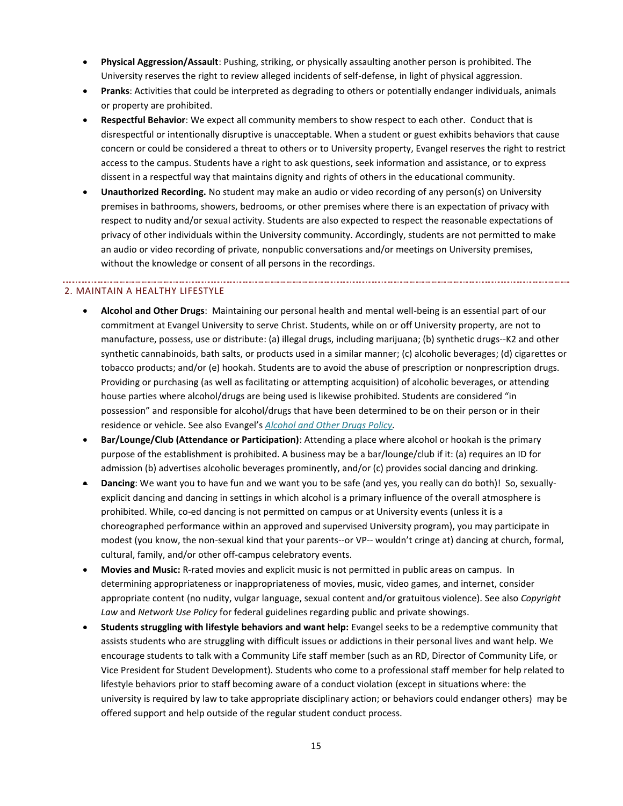- **Physical Aggression/Assault**: Pushing, striking, or physically assaulting another person is prohibited. The University reserves the right to review alleged incidents of self-defense, in light of physical aggression.
- **Pranks**: Activities that could be interpreted as degrading to others or potentially endanger individuals, animals or property are prohibited.
- **Respectful Behavior**: We expect all community members to show respect to each other. Conduct that is disrespectful or intentionally disruptive is unacceptable. When a student or guest exhibits behaviors that cause concern or could be considered a threat to others or to University property, Evangel reserves the right to restrict access to the campus. Students have a right to ask questions, seek information and assistance, or to express dissent in a respectful way that maintains dignity and rights of others in the educational community.
- **Unauthorized Recording.** No student may make an audio or video recording of any person(s) on University premises in bathrooms, showers, bedrooms, or other premises where there is an expectation of privacy with respect to nudity and/or sexual activity. Students are also expected to respect the reasonable expectations of privacy of other individuals within the University community. Accordingly, students are not permitted to make an audio or video recording of private, nonpublic conversations and/or meetings on University premises, without the knowledge or consent of all persons in the recordings.

# 2. MAINTAIN A HEALTHY LIFESTYLE

- **Alcohol and Other Drugs**: Maintaining our personal health and mental well-being is an essential part of our commitment at Evangel University to serve Christ. Students, while on or off University property, are not to manufacture, possess, use or distribute: (a) illegal drugs, including marijuana; (b) synthetic drugs--K2 and other synthetic cannabinoids, bath salts, or products used in a similar manner; (c) alcoholic beverages; (d) cigarettes or tobacco products; and/or (e) hookah. Students are to avoid the abuse of prescription or nonprescription drugs. Providing or purchasing (as well as facilitating or attempting acquisition) of alcoholic beverages, or attending house parties where alcohol/drugs are being used is likewise prohibited. Students are considered "in possession" and responsible for alcohol/drugs that have been determined to be on their person or in their residence or vehicle. See also Evangel's *[Alcohol and Other Drugs Policy.](#page-39-1)*
- **Bar/Lounge/Club (Attendance or Participation)**: Attending a place where alcohol or hookah is the primary purpose of the establishment is prohibited. A business may be a bar/lounge/club if it: (a) requires an ID for admission (b) advertises alcoholic beverages prominently, and/or (c) provides social dancing and drinking.
- **Dancing**: We want you to have fun and we want you to be safe (and yes, you really can do both)! So, sexuallyexplicit dancing and dancing in settings in which alcohol is a primary influence of the overall atmosphere is prohibited. While, co-ed dancing is not permitted on campus or at University events (unless it is a choreographed performance within an approved and supervised University program), you may participate in modest (you know, the non-sexual kind that your parents--or VP-- wouldn't cringe at) dancing at church, formal, cultural, family, and/or other off-campus celebratory events.
- **Movies and Music:** R-rated movies and explicit music is not permitted in public areas on campus. In determining appropriateness or inappropriateness of movies, music, video games, and internet, consider appropriate content (no nudity, vulgar language, sexual content and/or gratuitous violence). See also *Copyright Law* and *Network Use Policy* for federal guidelines regarding public and private showings.
- **Students struggling with lifestyle behaviors and want help:** Evangel seeks to be a redemptive community that assists students who are struggling with difficult issues or addictions in their personal lives and want help. We encourage students to talk with a Community Life staff member (such as an RD, Director of Community Life, or Vice President for Student Development). Students who come to a professional staff member for help related to lifestyle behaviors prior to staff becoming aware of a conduct violation (except in situations where: the university is required by law to take appropriate disciplinary action; or behaviors could endanger others) may be offered support and help outside of the regular student conduct process.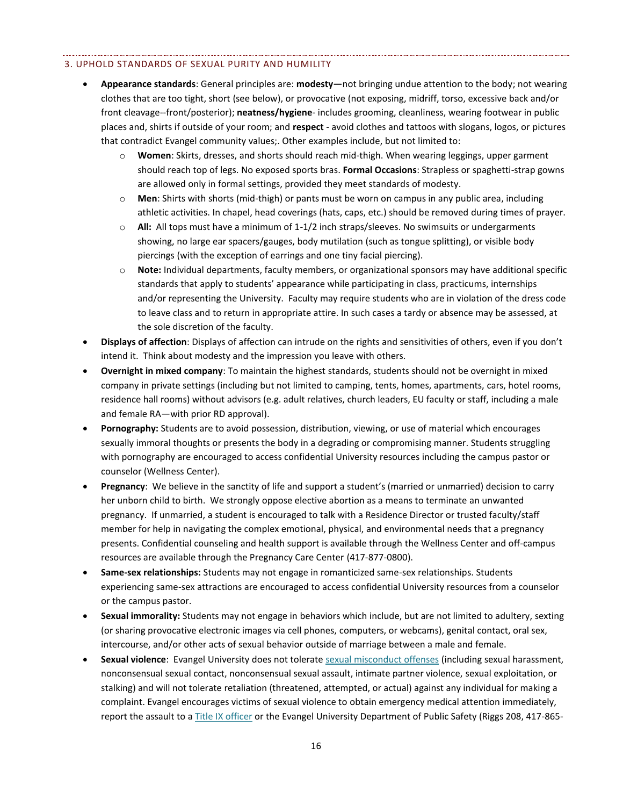#### 3. UPHOLD STANDARDS OF SEXUAL PURITY AND HUMILITY

- **Appearance standards**: General principles are: **modesty—**not bringing undue attention to the body; not wearing clothes that are too tight, short (see below), or provocative (not exposing, midriff, torso, excessive back and/or front cleavage--front/posterior); **neatness/hygiene**- includes grooming, cleanliness, wearing footwear in public places and, shirts if outside of your room; and **respect** - avoid clothes and tattoos with slogans, logos, or pictures that contradict Evangel community values;. Other examples include, but not limited to:
	- o **Women**: Skirts, dresses, and shorts should reach mid-thigh. When wearing leggings, upper garment should reach top of legs. No exposed sports bras. **Formal Occasions**: Strapless or spaghetti-strap gowns are allowed only in formal settings, provided they meet standards of modesty.
	- o **Men**: Shirts with shorts (mid-thigh) or pants must be worn on campus in any public area, including athletic activities. In chapel, head coverings (hats, caps, etc.) should be removed during times of prayer.
	- o **All:** All tops must have a minimum of 1-1/2 inch straps/sleeves. No swimsuits or undergarments showing, no large ear spacers/gauges, body mutilation (such as tongue splitting), or visible body piercings (with the exception of earrings and one tiny facial piercing).
	- o **Note:** Individual departments, faculty members, or organizational sponsors may have additional specific standards that apply to students' appearance while participating in class, practicums, internships and/or representing the University. Faculty may require students who are in violation of the dress code to leave class and to return in appropriate attire. In such cases a tardy or absence may be assessed, at the sole discretion of the faculty.
- **Displays of affection**: Displays of affection can intrude on the rights and sensitivities of others, even if you don't intend it. Think about modesty and the impression you leave with others.
- **Overnight in mixed company**: To maintain the highest standards, students should not be overnight in mixed company in private settings (including but not limited to camping, tents, homes, apartments, cars, hotel rooms, residence hall rooms) without advisors (e.g. adult relatives, church leaders, EU faculty or staff, including a male and female RA—with prior RD approval).
- **Pornography:** Students are to avoid possession, distribution, viewing, or use of material which encourages sexually immoral thoughts or presents the body in a degrading or compromising manner. Students struggling with pornography are encouraged to access confidential University resources including the campus pastor or counselor (Wellness Center).
- **Pregnancy**: We believe in the sanctity of life and support a student's (married or unmarried) decision to carry her unborn child to birth. We strongly oppose elective abortion as a means to terminate an unwanted pregnancy. If unmarried, a student is encouraged to talk with a Residence Director or trusted faculty/staff member for help in navigating the complex emotional, physical, and environmental needs that a pregnancy presents. Confidential counseling and health support is available through the Wellness Center and off-campus resources are available through the Pregnancy Care Center (417-877-0800).
- **Same-sex relationships:** Students may not engage in romanticized same-sex relationships. Students experiencing same-sex attractions are encouraged to access confidential University resources from a counselor or the campus pastor.
- **Sexual immorality:** Students may not engage in behaviors which include, but are not limited to adultery, sexting (or sharing provocative electronic images via cell phones, computers, or webcams), genital contact, oral sex, intercourse, and/or other acts of sexual behavior outside of marriage between a male and female.
- **Sexual violence**: Evangel University does not tolerate [sexual misconduct offenses](#page-60-0) (including sexual harassment, nonconsensual sexual contact, nonconsensual sexual assault, intimate partner violence, sexual exploitation, or stalking) and will not tolerate retaliation (threatened, attempted, or actual) against any individual for making a complaint. Evangel encourages victims of sexual violence to obtain emergency medical attention immediately, report the assault to a [Title IX officer](mailto:phillipss@evangel.edu) or the Evangel University Department of Public Safety (Riggs 208, 417-865-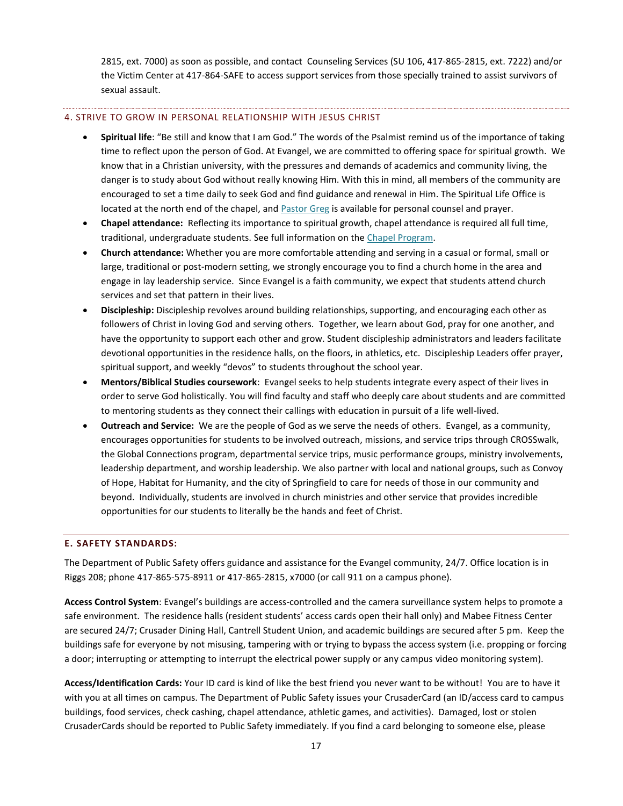2815, ext. 7000) as soon as possible, and contact Counseling Services (SU 106, 417-865-2815, ext. 7222) and/or the Victim Center at 417-864-SAFE to access support services from those specially trained to assist survivors of sexual assault.

#### 4. STRIVE TO GROW IN PERSONAL RELATIONSHIP WITH JESUS CHRIST

- **Spiritual life**: "Be still and know that I am God." The words of the Psalmist remind us of the importance of taking time to reflect upon the person of God. At Evangel, we are committed to offering space for spiritual growth. We know that in a Christian university, with the pressures and demands of academics and community living, the danger is to study about God without really knowing Him. With this in mind, all members of the community are encouraged to set a time daily to seek God and find guidance and renewal in Him. The Spiritual Life Office is located at the north end of the chapel, and [Pastor Greg](mailto:johnsg@evangel.edu) is available for personal counsel and prayer.
- **Chapel attendance:** Reflecting its importance to spiritual growth, chapel attendance is required all full time, traditional, undergraduate students. See full information on the [Chapel Program.](#page-40-1)
- **Church attendance:** Whether you are more comfortable attending and serving in a casual or formal, small or large, traditional or post-modern setting, we strongly encourage you to find a church home in the area and engage in lay leadership service. Since Evangel is a faith community, we expect that students attend church services and set that pattern in their lives.
- **Discipleship:** Discipleship revolves around building relationships, supporting, and encouraging each other as followers of Christ in loving God and serving others. Together, we learn about God, pray for one another, and have the opportunity to support each other and grow. Student discipleship administrators and leaders facilitate devotional opportunities in the residence halls, on the floors, in athletics, etc. Discipleship Leaders offer prayer, spiritual support, and weekly "devos" to students throughout the school year.
- **Mentors/Biblical Studies coursework**: Evangel seeks to help students integrate every aspect of their lives in order to serve God holistically. You will find faculty and staff who deeply care about students and are committed to mentoring students as they connect their callings with education in pursuit of a life well-lived.
- **Outreach and Service:** We are the people of God as we serve the needs of others. Evangel, as a community, encourages opportunities for students to be involved outreach, missions, and service trips through CROSSwalk, the Global Connections program, departmental service trips, music performance groups, ministry involvements, leadership department, and worship leadership. We also partner with local and national groups, such as Convoy of Hope, Habitat for Humanity, and the city of Springfield to care for needs of those in our community and beyond. Individually, students are involved in church ministries and other service that provides incredible opportunities for our students to literally be the hands and feet of Christ.

# <span id="page-17-0"></span>**E. SAFETY STANDARDS:**

The Department of Public Safety offers guidance and assistance for the Evangel community, 24/7. Office location is in Riggs 208; phone 417-865-575-8911 or 417-865-2815, x7000 (or call 911 on a campus phone).

**Access Control System**: Evangel's buildings are access-controlled and the camera surveillance system helps to promote a safe environment. The residence halls (resident students' access cards open their hall only) and Mabee Fitness Center are secured 24/7; Crusader Dining Hall, Cantrell Student Union, and academic buildings are secured after 5 pm. Keep the buildings safe for everyone by not misusing, tampering with or trying to bypass the access system (i.e. propping or forcing a door; interrupting or attempting to interrupt the electrical power supply or any campus video monitoring system).

**Access/Identification Cards:** Your ID card is kind of like the best friend you never want to be without! You are to have it with you at all times on campus. The Department of Public Safety issues your CrusaderCard (an ID/access card to campus buildings, food services, check cashing, chapel attendance, athletic games, and activities). Damaged, lost or stolen CrusaderCards should be reported to Public Safety immediately. If you find a card belonging to someone else, please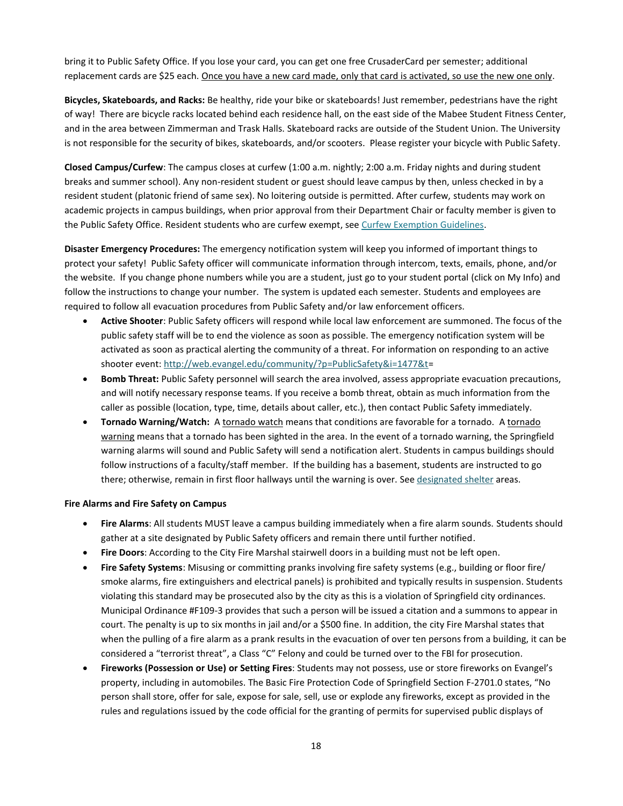bring it to Public Safety Office. If you lose your card, you can get one free CrusaderCard per semester; additional replacement cards are \$25 each. Once you have a new card made, only that card is activated, so use the new one only.

**Bicycles, Skateboards, and Racks:** Be healthy, ride your bike or skateboards! Just remember, pedestrians have the right of way! There are bicycle racks located behind each residence hall, on the east side of the Mabee Student Fitness Center, and in the area between Zimmerman and Trask Halls. Skateboard racks are outside of the Student Union. The University is not responsible for the security of bikes, skateboards, and/or scooters. Please register your bicycle with Public Safety.

**Closed Campus/Curfew**: The campus closes at curfew (1:00 a.m. nightly; 2:00 a.m. Friday nights and during student breaks and summer school). Any non-resident student or guest should leave campus by then, unless checked in by a resident student (platonic friend of same sex). No loitering outside is permitted. After curfew, students may work on academic projects in campus buildings, when prior approval from their Department Chair or faculty member is given to the Public Safety Office. Resident students who are curfew exempt, se[e Curfew Exemption Guidelines.](#page-43-0)

**Disaster Emergency Procedures:** The emergency notification system will keep you informed of important things to protect your safety! Public Safety officer will communicate information through intercom, texts, emails, phone, and/or the website. If you change phone numbers while you are a student, just go to your student portal (click on My Info) and follow the instructions to change your number. The system is updated each semester. Students and employees are required to follow all evacuation procedures from Public Safety and/or law enforcement officers.

- **Active Shooter**: Public Safety officers will respond while local law enforcement are summoned. The focus of the public safety staff will be to end the violence as soon as possible. The emergency notification system will be activated as soon as practical alerting the community of a threat. For information on responding to an active shooter event: [http://web.evangel.edu/community/?p=PublicSafety&i=1477&t=](http://web.evangel.edu/community/?p=PublicSafety&i=1477&t)
- **Bomb Threat:** Public Safety personnel will search the area involved, assess appropriate evacuation precautions, and will notify necessary response teams. If you receive a bomb threat, obtain as much information from the caller as possible (location, type, time, details about caller, etc.), then contact Public Safety immediately.
- **Tornado Warning/Watch:** A tornado watch means that conditions are favorable for a tornado. A tornado warning means that a tornado has been sighted in the area. In the event of a tornado warning, the Springfield warning alarms will sound and Public Safety will send a notification alert. Students in campus buildings should follow instructions of a faculty/staff member. If the building has a basement, students are instructed to go there; otherwise, remain in first floor hallways until the warning is over. See [designated shelter](http://www.evangel.edu/financial/more-information/consumer-information/emergency-or-crisis-plan/) areas.

#### **Fire Alarms and Fire Safety on Campus**

- **Fire Alarms**: All students MUST leave a campus building immediately when a fire alarm sounds. Students should gather at a site designated by Public Safety officers and remain there until further notified.
- **Fire Doors**: According to the City Fire Marshal stairwell doors in a building must not be left open.
- **Fire Safety Systems**: Misusing or committing pranks involving fire safety systems (e.g., building or floor fire/ smoke alarms, fire extinguishers and electrical panels) is prohibited and typically results in suspension. Students violating this standard may be prosecuted also by the city as this is a violation of Springfield city ordinances. Municipal Ordinance #F109-3 provides that such a person will be issued a citation and a summons to appear in court. The penalty is up to six months in jail and/or a \$500 fine. In addition, the city Fire Marshal states that when the pulling of a fire alarm as a prank results in the evacuation of over ten persons from a building, it can be considered a "terrorist threat", a Class "C" Felony and could be turned over to the FBI for prosecution.
- **Fireworks (Possession or Use) or Setting Fires**: Students may not possess, use or store fireworks on Evangel's property, including in automobiles. The Basic Fire Protection Code of Springfield Section F-2701.0 states, "No person shall store, offer for sale, expose for sale, sell, use or explode any fireworks, except as provided in the rules and regulations issued by the code official for the granting of permits for supervised public displays of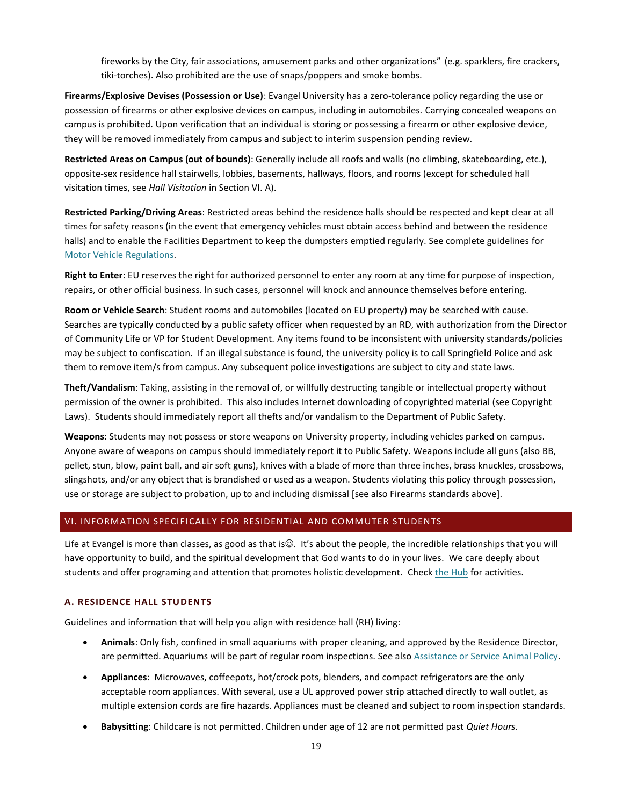fireworks by the City, fair associations, amusement parks and other organizations" (e.g. sparklers, fire crackers, tiki-torches). Also prohibited are the use of snaps/poppers and smoke bombs.

**Firearms/Explosive Devises (Possession or Use)**: Evangel University has a zero-tolerance policy regarding the use or possession of firearms or other explosive devices on campus, including in automobiles. Carrying concealed weapons on campus is prohibited. Upon verification that an individual is storing or possessing a firearm or other explosive device, they will be removed immediately from campus and subject to interim suspension pending review.

**Restricted Areas on Campus (out of bounds)**: Generally include all roofs and walls (no climbing, skateboarding, etc.), opposite-sex residence hall stairwells, lobbies, basements, hallways, floors, and rooms (except for scheduled hall visitation times, see *Hall Visitation* in Section VI. A).

**Restricted Parking/Driving Areas**: Restricted areas behind the residence halls should be respected and kept clear at all times for safety reasons (in the event that emergency vehicles must obtain access behind and between the residence halls) and to enable the Facilities Department to keep the dumpsters emptied regularly. See complete guidelines for [Motor Vehicle Regulations.](https://web.evangel.edu/Security/VehicleRegulations.asp)

**Right to Enter**: EU reserves the right for authorized personnel to enter any room at any time for purpose of inspection, repairs, or other official business. In such cases, personnel will knock and announce themselves before entering.

**Room or Vehicle Search**: Student rooms and automobiles (located on EU property) may be searched with cause. Searches are typically conducted by a public safety officer when requested by an RD, with authorization from the Director of Community Life or VP for Student Development. Any items found to be inconsistent with university standards/policies may be subject to confiscation. If an illegal substance is found, the university policy is to call Springfield Police and ask them to remove item/s from campus. Any subsequent police investigations are subject to city and state laws.

**Theft/Vandalism**: Taking, assisting in the removal of, or willfully destructing tangible or intellectual property without permission of the owner is prohibited. This also includes Internet downloading of copyrighted material (see Copyright Laws). Students should immediately report all thefts and/or vandalism to the Department of Public Safety.

**Weapons**: Students may not possess or store weapons on University property, including vehicles parked on campus. Anyone aware of weapons on campus should immediately report it to Public Safety. Weapons include all guns (also BB, pellet, stun, blow, paint ball, and air soft guns), knives with a blade of more than three inches, brass knuckles, crossbows, slingshots, and/or any object that is brandished or used as a weapon. Students violating this policy through possession, use or storage are subject to probation, up to and including dismissal [see also Firearms standards above].

# <span id="page-19-0"></span>VI. INFORMATION SPECIFICALLY FOR RESIDENTIAL AND COMMUTER STUDENTS

Life at Evangel is more than classes, as good as that is $\mathcal{O}$ . It's about the people, the incredible relationships that you will have opportunity to build, and the spiritual development that God wants to do in your lives. We care deeply about students and offer programing and attention that promotes holistic development. Chec[k the Hub](https://thehub.evangel.edu/) for activities.

#### <span id="page-19-1"></span>**A. RESIDENCE HALL STUDENTS**

Guidelines and information that will help you align with residence hall (RH) living:

- **Animals**: Only fish, confined in small aquariums with proper cleaning, and approved by the Residence Director, are permitted. Aquariums will be part of regular room inspections. See also [Assistance or Service Animal Policy.](https://www.evangel.edu/financial/more-information/consumer-information/students-with-disabilities-handbook/assistance-service-animals-policy/)
- **Appliances**: Microwaves, coffeepots, hot/crock pots, blenders, and compact refrigerators are the only acceptable room appliances. With several, use a UL approved power strip attached directly to wall outlet, as multiple extension cords are fire hazards. Appliances must be cleaned and subject to room inspection standards.
- **Babysitting**: Childcare is not permitted. Children under age of 12 are not permitted past *Quiet Hours*.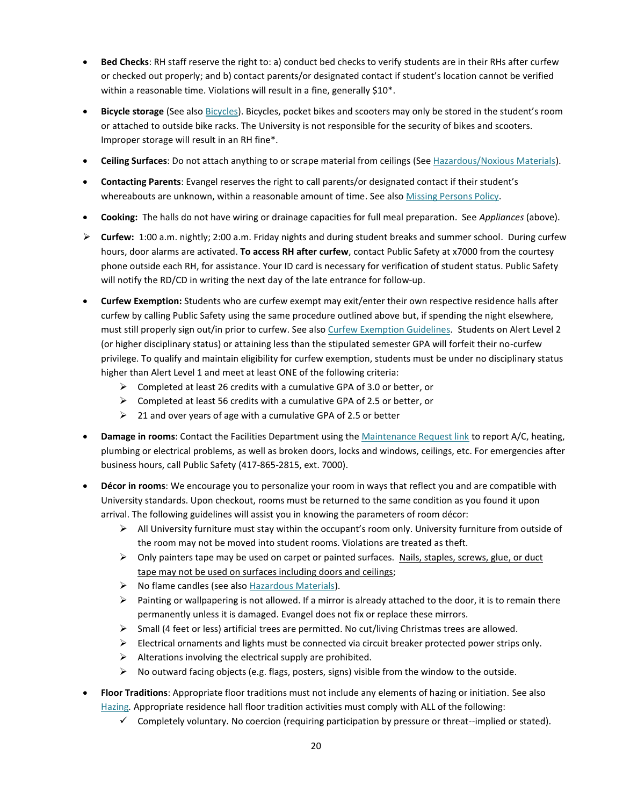- **Bed Checks**: RH staff reserve the right to: a) conduct bed checks to verify students are in their RHs after curfew or checked out properly; and b) contact parents/or designated contact if student's location cannot be verified within a reasonable time. Violations will result in a fine, generally \$10<sup>\*</sup>.
- **Bicycle storage** (See also [Bicycles](#page-17-0)). Bicycles, pocket bikes and scooters may only be stored in the student's room or attached to outside bike racks. The University is not responsible for the security of bikes and scooters. Improper storage will result in an RH fine\*.
- **Ceiling Surfaces**: Do not attach anything to or scrape material from ceilings (See [Hazardous/Noxious Materials\)](#page-47-2).
- **Contacting Parents**: Evangel reserves the right to call parents/or designated contact if their student's whereabouts are unknown, within a reasonable amount of time. See also [Missing Persons Policy.](#page-51-0)
- **Cooking:** The halls do not have wiring or drainage capacities for full meal preparation. See *Appliances* (above).
- **Curfew:** 1:00 a.m. nightly; 2:00 a.m. Friday nights and during student breaks and summer school. During curfew hours, door alarms are activated. **To access RH after curfew**, contact Public Safety at x7000 from the courtesy phone outside each RH, for assistance. Your ID card is necessary for verification of student status. Public Safety will notify the RD/CD in writing the next day of the late entrance for follow-up.
- **Curfew Exemption:** Students who are curfew exempt may exit/enter their own respective residence halls after curfew by calling Public Safety using the same procedure outlined above but, if spending the night elsewhere, must still properly sign out/in prior to curfew. See als[o Curfew Exemption Guidelines.](#page-43-0) Students on Alert Level 2 (or higher disciplinary status) or attaining less than the stipulated semester GPA will forfeit their no-curfew privilege. To qualify and maintain eligibility for curfew exemption, students must be under no disciplinary status higher than Alert Level 1 and meet at least ONE of the following criteria:
	- $\triangleright$  Completed at least 26 credits with a cumulative GPA of 3.0 or better, or
	- $\triangleright$  Completed at least 56 credits with a cumulative GPA of 2.5 or better, or
	- $\geq$  21 and over years of age with a cumulative GPA of 2.5 or better
- **Damage in rooms**: Contact the Facilities Department using th[e Maintenance Request link](https://www.myschoolbuilding.com/myschoolbuilding/myrequest.asp) to report A/C, heating, plumbing or electrical problems, as well as broken doors, locks and windows, ceilings, etc. For emergencies after business hours, call Public Safety (417-865-2815, ext. 7000).
- **Décor in rooms**: We encourage you to personalize your room in ways that reflect you and are compatible with University standards. Upon checkout, rooms must be returned to the same condition as you found it upon arrival. The following guidelines will assist you in knowing the parameters of room décor:
	- $\triangleright$  All University furniture must stay within the occupant's room only. University furniture from outside of the room may not be moved into student rooms. Violations are treated as theft.
	- $\triangleright$  Only painters tape may be used on carpet or painted surfaces. Nails, staples, screws, glue, or duct tape may not be used on surfaces including doors and ceilings;
	- $\triangleright$  No flame candles (see also [Hazardous Materials\)](#page-47-2).
	- $\triangleright$  Painting or wallpapering is not allowed. If a mirror is already attached to the door, it is to remain there permanently unless it is damaged. Evangel does not fix or replace these mirrors.
	- $\triangleright$  Small (4 feet or less) artificial trees are permitted. No cut/living Christmas trees are allowed.
	- $\triangleright$  Electrical ornaments and lights must be connected via circuit breaker protected power strips only.
	- $\triangleright$  Alterations involving the electrical supply are prohibited.
	- $\triangleright$  No outward facing objects (e.g. flags, posters, signs) visible from the window to the outside.
- **Floor Traditions**: Appropriate floor traditions must not include any elements of hazing or initiation. See also [Hazing](#page-48-0)*.* Appropriate residence hall floor tradition activities must comply with ALL of the following:
	- $\checkmark$  Completely voluntary. No coercion (requiring participation by pressure or threat--implied or stated).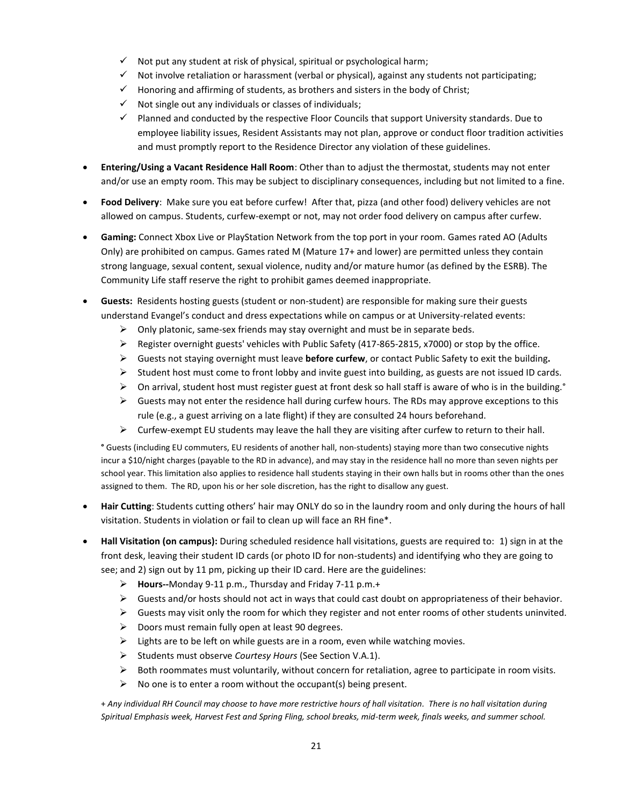- $\checkmark$  Not put any student at risk of physical, spiritual or psychological harm;
- $\checkmark$  Not involve retaliation or harassment (verbal or physical), against any students not participating;
- $\checkmark$  Honoring and affirming of students, as brothers and sisters in the body of Christ;
- $\checkmark$  Not single out any individuals or classes of individuals;
- $\checkmark$  Planned and conducted by the respective Floor Councils that support University standards. Due to employee liability issues, Resident Assistants may not plan, approve or conduct floor tradition activities and must promptly report to the Residence Director any violation of these guidelines.
- **Entering/Using a Vacant Residence Hall Room**: Other than to adjust the thermostat, students may not enter and/or use an empty room. This may be subject to disciplinary consequences, including but not limited to a fine.
- **Food Delivery**: Make sure you eat before curfew! After that, pizza (and other food) delivery vehicles are not allowed on campus. Students, curfew-exempt or not, may not order food delivery on campus after curfew.
- **Gaming:** Connect Xbox Live or PlayStation Network from the top port in your room. Games rated AO (Adults Only) are prohibited on campus. Games rated M (Mature 17+ and lower) are permitted unless they contain strong language, sexual content, sexual violence, nudity and/or mature humor (as defined by the ESRB). The Community Life staff reserve the right to prohibit games deemed inappropriate.
- **Guests:** Residents hosting guests (student or non-student) are responsible for making sure their guests understand Evangel's conduct and dress expectations while on campus or at University-related events:
	- $\triangleright$  Only platonic, same-sex friends may stay overnight and must be in separate beds.
	- $\triangleright$  Register overnight guests' vehicles with Public Safety (417-865-2815, x7000) or stop by the office.
	- Guests not staying overnight must leave **before curfew**, or contact Public Safety to exit the building**.**
	- $\triangleright$  Student host must come to front lobby and invite guest into building, as guests are not issued ID cards.
	- $\triangleright$  On arrival, student host must register guest at front desk so hall staff is aware of who is in the building. $\cdot$
	- $\triangleright$  Guests may not enter the residence hall during curfew hours. The RDs may approve exceptions to this rule (e.g., a guest arriving on a late flight) if they are consulted 24 hours beforehand.
	- $\triangleright$  Curfew-exempt EU students may leave the hall they are visiting after curfew to return to their hall.

**°** Guests (including EU commuters, EU residents of another hall, non-students) staying more than two consecutive nights incur a \$10/night charges (payable to the RD in advance), and may stay in the residence hall no more than seven nights per school year. This limitation also applies to residence hall students staying in their own halls but in rooms other than the ones assigned to them. The RD, upon his or her sole discretion, has the right to disallow any guest.

- **Hair Cutting**: Students cutting others' hair may ONLY do so in the laundry room and only during the hours of hall visitation. Students in violation or fail to clean up will face an RH fine\*.
- **Hall Visitation (on campus):** During scheduled residence hall visitations, guests are required to: 1) sign in at the front desk, leaving their student ID cards (or photo ID for non-students) and identifying who they are going to see; and 2) sign out by 11 pm, picking up their ID card. Here are the guidelines:
	- **Hours--**Monday 9-11 p.m., Thursday and Friday 7-11 p.m.+
	- $\triangleright$  Guests and/or hosts should not act in ways that could cast doubt on appropriateness of their behavior.
	- $\triangleright$  Guests may visit only the room for which they register and not enter rooms of other students uninvited.
	- $\triangleright$  Doors must remain fully open at least 90 degrees.
	- $\triangleright$  Lights are to be left on while guests are in a room, even while watching movies.
	- Students must observe *Courtesy Hours* (See Section V.A.1).
	- $\triangleright$  Both roommates must voluntarily, without concern for retaliation, agree to participate in room visits.
	- $\triangleright$  No one is to enter a room without the occupant(s) being present.

+ *Any individual RH Council may choose to have more restrictive hours of hall visitation. There is no hall visitation during Spiritual Emphasis week, Harvest Fest and Spring Fling, school breaks, mid-term week, finals weeks, and summer school.*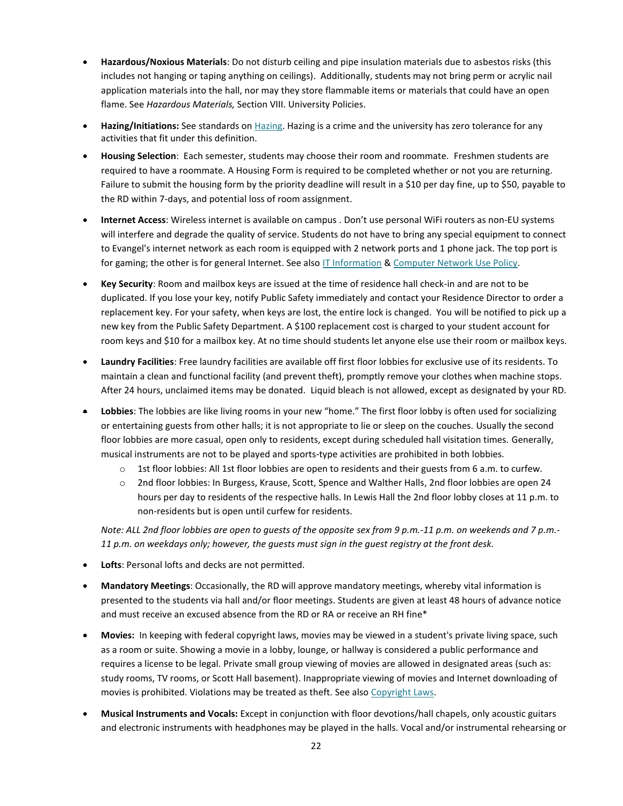- **Hazardous/Noxious Materials**: Do not disturb ceiling and pipe insulation materials due to asbestos risks (this includes not hanging or taping anything on ceilings). Additionally, students may not bring perm or acrylic nail application materials into the hall, nor may they store flammable items or materials that could have an open flame. See *Hazardous Materials,* Section VIII. University Policies.
- **Hazing/Initiations:** See standards on [Hazing.](#page-14-1) Hazing is a crime and the university has zero tolerance for any activities that fit under this definition.
- **Housing Selection**: Each semester, students may choose their room and roommate. Freshmen students are required to have a roommate. A Housing Form is required to be completed whether or not you are returning. Failure to submit the housing form by the priority deadline will result in a \$10 per day fine, up to \$50, payable to the RD within 7-days, and potential loss of room assignment.
- **Internet Access**: Wireless internet is available on campus . Don't use personal WiFi routers as non-EU systems will interfere and degrade the quality of service. Students do not have to bring any special equipment to connect to Evangel's internet network as each room is equipped with 2 network ports and 1 phone jack. The top port is for gaming; the other is for general Internet. See also [IT Information](https://help.evangel.edu/hc/en-us/articles/205722985-Incoming-Student-IT-Information-Sheet) & [Computer Network Use Policy.](https://help.evangel.edu/hc/en-us/articles/201383185-Network-Use-Policy)
- **Key Security**: Room and mailbox keys are issued at the time of residence hall check-in and are not to be duplicated. If you lose your key, notify Public Safety immediately and contact your Residence Director to order a replacement key. For your safety, when keys are lost, the entire lock is changed. You will be notified to pick up a new key from the Public Safety Department. A \$100 replacement cost is charged to your student account for room keys and \$10 for a mailbox key. At no time should students let anyone else use their room or mailbox keys.
- **Laundry Facilities**: Free laundry facilities are available off first floor lobbies for exclusive use of its residents. To maintain a clean and functional facility (and prevent theft), promptly remove your clothes when machine stops. After 24 hours, unclaimed items may be donated. Liquid bleach is not allowed, except as designated by your RD.
- **Lobbies**: The lobbies are like living rooms in your new "home." The first floor lobby is often used for socializing or entertaining guests from other halls; it is not appropriate to lie or sleep on the couches. Usually the second floor lobbies are more casual, open only to residents, except during scheduled hall visitation times. Generally, musical instruments are not to be played and sports-type activities are prohibited in both lobbies.
	- o 1st floor lobbies: All 1st floor lobbies are open to residents and their guests from 6 a.m. to curfew.
	- o 2nd floor lobbies: In Burgess, Krause, Scott, Spence and Walther Halls, 2nd floor lobbies are open 24 hours per day to residents of the respective halls. In Lewis Hall the 2nd floor lobby closes at 11 p.m. to non-residents but is open until curfew for residents.

*Note: ALL 2nd floor lobbies are open to guests of the opposite sex from 9 p.m.-11 p.m. on weekends and 7 p.m.- 11 p.m. on weekdays only; however, the guests must sign in the guest registry at the front desk.*

- **Lofts**: Personal lofts and decks are not permitted.
- **Mandatory Meetings**: Occasionally, the RD will approve mandatory meetings, whereby vital information is presented to the students via hall and/or floor meetings. Students are given at least 48 hours of advance notice and must receive an excused absence from the RD or RA or receive an RH fine\*
- **Movies:** In keeping with federal copyright laws, movies may be viewed in a student's private living space, such as a room or suite. Showing a movie in a lobby, lounge, or hallway is considered a public performance and requires a license to be legal. Private small group viewing of movies are allowed in designated areas (such as: study rooms, TV rooms, or Scott Hall basement). Inappropriate viewing of movies and Internet downloading of movies is prohibited. Violations may be treated as theft. See als[o Copyright Laws.](#page-42-2)
- **Musical Instruments and Vocals:** Except in conjunction with floor devotions/hall chapels, only acoustic guitars and electronic instruments with headphones may be played in the halls. Vocal and/or instrumental rehearsing or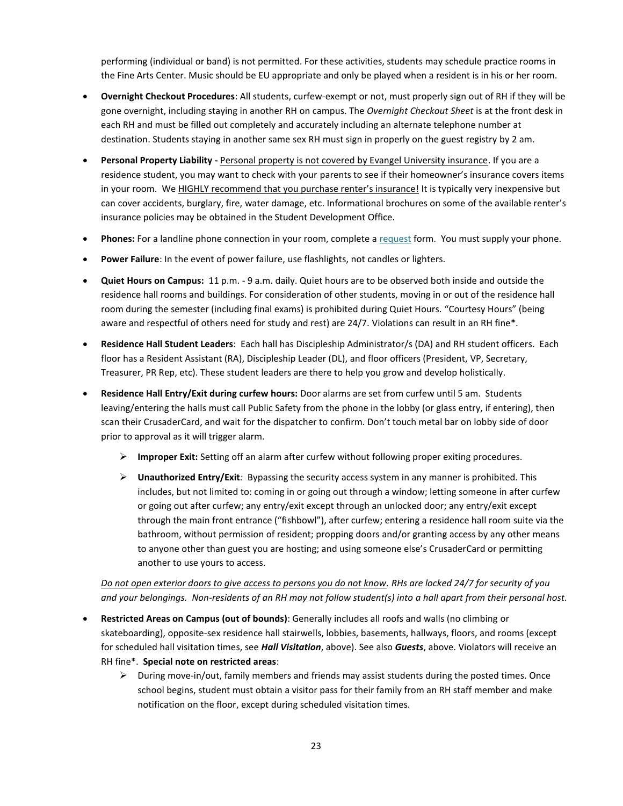performing (individual or band) is not permitted. For these activities, students may schedule practice rooms in the Fine Arts Center. Music should be EU appropriate and only be played when a resident is in his or her room.

- **Overnight Checkout Procedures**: All students, curfew-exempt or not, must properly sign out of RH if they will be gone overnight, including staying in another RH on campus. The *Overnight Checkout Sheet* is at the front desk in each RH and must be filled out completely and accurately including an alternate telephone number at destination. Students staying in another same sex RH must sign in properly on the guest registry by 2 am.
- **Personal Property Liability -** Personal property is not covered by Evangel University insurance. If you are a residence student, you may want to check with your parents to see if their homeowner's insurance covers items in your room. We HIGHLY recommend that you purchase renter's insurance! It is typically very inexpensive but can cover accidents, burglary, fire, water damage, etc. Informational brochures on some of the available renter's insurance policies may be obtained in the Student Development Office.
- **Phones:** For a landline phone connection in your room, complete a [request](https://www.myschoolbuilding.com/myschoolbuilding/myrequest.asp) form. You must supply your phone.
- **Power Failure**: In the event of power failure, use flashlights, not candles or lighters.
- **Quiet Hours on Campus:** 11 p.m. 9 a.m. daily. Quiet hours are to be observed both inside and outside the residence hall rooms and buildings. For consideration of other students, moving in or out of the residence hall room during the semester (including final exams) is prohibited during Quiet Hours. "Courtesy Hours" (being aware and respectful of others need for study and rest) are 24/7. Violations can result in an RH fine\*.
- **Residence Hall Student Leaders**: Each hall has Discipleship Administrator/s (DA) and RH student officers. Each floor has a Resident Assistant (RA), Discipleship Leader (DL), and floor officers (President, VP, Secretary, Treasurer, PR Rep, etc). These student leaders are there to help you grow and develop holistically.
- **Residence Hall Entry/Exit during curfew hours:** Door alarms are set from curfew until 5 am. Students leaving/entering the halls must call Public Safety from the phone in the lobby (or glass entry, if entering), then scan their CrusaderCard, and wait for the dispatcher to confirm. Don't touch metal bar on lobby side of door prior to approval as it will trigger alarm.
	- **Improper Exit:** Setting off an alarm after curfew without following proper exiting procedures.
	- **Unauthorized Entry/Exit***:* Bypassing the security access system in any manner is prohibited. This includes, but not limited to: coming in or going out through a window; letting someone in after curfew or going out after curfew; any entry/exit except through an unlocked door; any entry/exit except through the main front entrance ("fishbowl"), after curfew; entering a residence hall room suite via the bathroom, without permission of resident; propping doors and/or granting access by any other means to anyone other than guest you are hosting; and using someone else's CrusaderCard or permitting another to use yours to access.

*Do not open exterior doors to give access to persons you do not know. RHs are locked 24/7 for security of you and your belongings. Non-residents of an RH may not follow student(s) into a hall apart from their personal host.*

- **Restricted Areas on Campus (out of bounds)**: Generally includes all roofs and walls (no climbing or skateboarding), opposite-sex residence hall stairwells, lobbies, basements, hallways, floors, and rooms (except for scheduled hall visitation times, see *Hall Visitation*, above). See also *Guests*, above. Violators will receive an RH fine\*. **Special note on restricted areas**:
	- $\triangleright$  During move-in/out, family members and friends may assist students during the posted times. Once school begins, student must obtain a visitor pass for their family from an RH staff member and make notification on the floor, except during scheduled visitation times.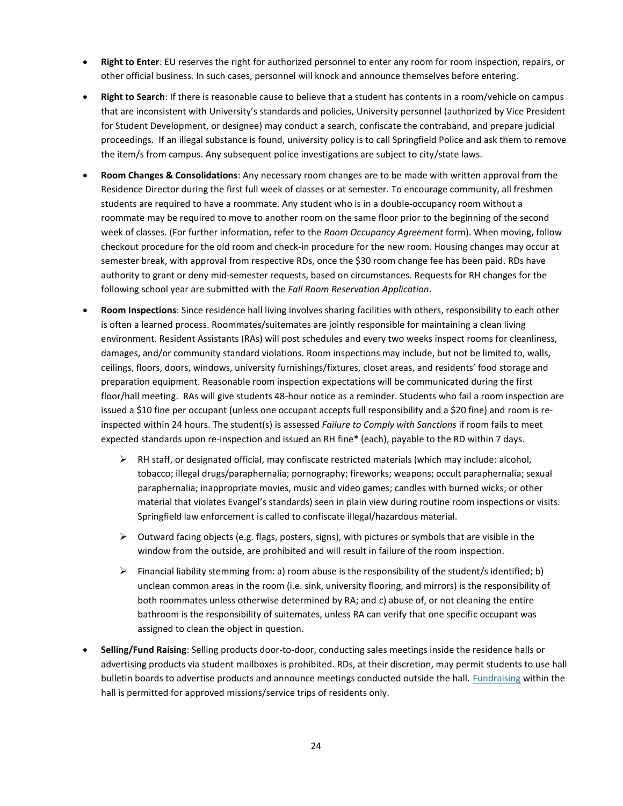- **Right to Enter**: EU reserves the right for authorized personnel to enter any room for room inspection, repairs, or other official business. In such cases, personnel will knock and announce themselves before entering.
- **Right to Search**: If there is reasonable cause to believe that a student has contents in a room/vehicle on campus that are inconsistent with University's standards and policies, University personnel (authorized by Vice President for Student Development, or designee) may conduct a search, confiscate the contraband, and prepare judicial proceedings. If an illegal substance is found, university policy is to call Springfield Police and ask them to remove the item/s from campus. Any subsequent police investigations are subject to city/state laws.
- **Room Changes & Consolidations**: Any necessary room changes are to be made with written approval from the Residence Director during the first full week of classes or at semester. To encourage community, all freshmen students are required to have a roommate. Any student who is in a double-occupancy room without a roommate may be required to move to another room on the same floor prior to the beginning of the second week of classes. (For further information, refer to the *Room Occupancy Agreement* form). When moving, follow checkout procedure for the old room and check-in procedure for the new room. Housing changes may occur at semester break, with approval from respective RDs, once the \$30 room change fee has been paid. RDs have authority to grant or deny mid-semester requests, based on circumstances. Requests for RH changes for the following school year are submitted with the *Fall Room Reservation Application*.
- **Room Inspections**: Since residence hall living involves sharing facilities with others, responsibility to each other is often a learned process. Roommates/suitemates are jointly responsible for maintaining a clean living environment. Resident Assistants (RAs) will post schedules and every two weeks inspect rooms for cleanliness, damages, and/or community standard violations. Room inspections may include, but not be limited to, walls, ceilings, floors, doors, windows, university furnishings/fixtures, closet areas, and residents' food storage and preparation equipment. Reasonable room inspection expectations will be communicated during the first floor/hall meeting. RAs will give students 48-hour notice as a reminder. Students who fail a room inspection are issued a \$10 fine per occupant (unless one occupant accepts full responsibility and a \$20 fine) and room is reinspected within 24 hours. The student(s) is assessed *Failure to Comply with Sanctions* if room fails to meet expected standards upon re-inspection and issued an RH fine\* (each), payable to the RD within 7 days.
	- RH staff, or designated official, may confiscate restricted materials (which may include: alcohol, tobacco; illegal drugs/paraphernalia; pornography; fireworks; weapons; occult paraphernalia; sexual paraphernalia; inappropriate movies, music and video games; candles with burned wicks; or other material that violates Evangel's standards) seen in plain view during routine room inspections or visits. Springfield law enforcement is called to confiscate illegal/hazardous material.
	- $\triangleright$  Outward facing objects (e.g. flags, posters, signs), with pictures or symbols that are visible in the window from the outside, are prohibited and will result in failure of the room inspection.
	- Financial liability stemming from: a) room abuse is the responsibility of the student/s identified; b) unclean common areas in the room (i.e. sink, university flooring, and mirrors) is the responsibility of both roommates unless otherwise determined by RA; and c) abuse of, or not cleaning the entire bathroom is the responsibility of suitemates, unless RA can verify that one specific occupant was assigned to clean the object in question.
- **Selling/Fund Raising**: Selling products door-to-door, conducting sales meetings inside the residence halls or advertising products via student mailboxes is prohibited. RDs, at their discretion, may permit students to use hall bulletin boards to advertise products and announce meetings conducted outside the hall. [Fundraising](#page-47-1) within the hall is permitted for approved missions/service trips of residents only.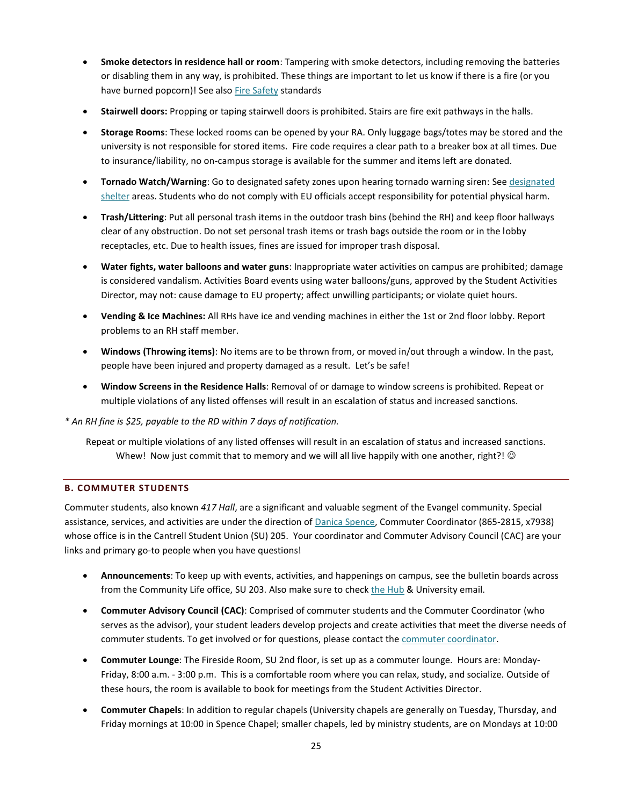- **Smoke detectors in residence hall or room**: Tampering with smoke detectors, including removing the batteries or disabling them in any way, is prohibited. These things are important to let us know if there is a fire (or you have burned popcorn)! See also [Fire Safety](#page-17-0) standards
- **Stairwell doors:** Propping or taping stairwell doors is prohibited. Stairs are fire exit pathways in the halls.
- **Storage Rooms**: These locked rooms can be opened by your RA. Only luggage bags/totes may be stored and the university is not responsible for stored items. Fire code requires a clear path to a breaker box at all times. Due to insurance/liability, no on-campus storage is available for the summer and items left are donated.
- **Tornado Watch/Warning**: Go to designated safety zones upon hearing tornado warning siren: Se[e designated](http://www.evangel.edu/financial/more-information/consumer-information/emergency-or-crisis-plan/)  [shelter](http://www.evangel.edu/financial/more-information/consumer-information/emergency-or-crisis-plan/) areas. Students who do not comply with EU officials accept responsibility for potential physical harm.
- **Trash/Littering**: Put all personal trash items in the outdoor trash bins (behind the RH) and keep floor hallways clear of any obstruction. Do not set personal trash items or trash bags outside the room or in the lobby receptacles, etc. Due to health issues, fines are issued for improper trash disposal.
- **Water fights, water balloons and water guns**: Inappropriate water activities on campus are prohibited; damage is considered vandalism. Activities Board events using water balloons/guns, approved by the Student Activities Director, may not: cause damage to EU property; affect unwilling participants; or violate quiet hours.
- **Vending & Ice Machines:** All RHs have ice and vending machines in either the 1st or 2nd floor lobby. Report problems to an RH staff member.
- **Windows (Throwing items)**: No items are to be thrown from, or moved in/out through a window. In the past, people have been injured and property damaged as a result. Let's be safe!
- **Window Screens in the Residence Halls**: Removal of or damage to window screens is prohibited. Repeat or multiple violations of any listed offenses will result in an escalation of status and increased sanctions.

*\* An RH fine is \$25, payable to the RD within 7 days of notification.*

Repeat or multiple violations of any listed offenses will result in an escalation of status and increased sanctions. Whew! Now just commit that to memory and we will all live happily with one another, right?!  $\odot$ 

## <span id="page-25-0"></span>**B. COMMUTER STUDENTS**

Commuter students, also known *417 Hall*, are a significant and valuable segment of the Evangel community. Special assistance, services, and activities are under the direction of [Danica Spence,](mailto:spenced@evangel.edu) Commuter Coordinator (865-2815, x7938) whose office is in the Cantrell Student Union (SU) 205. Your coordinator and Commuter Advisory Council (CAC) are your links and primary go-to people when you have questions!

- **Announcements**: To keep up with events, activities, and happenings on campus, see the bulletin boards across from the Community Life office, SU 203. Also make sure to check [the Hub](https://thehub.evangel.edu/) & University email.
- **Commuter Advisory Council (CAC)**: Comprised of commuter students and the Commuter Coordinator (who serves as the advisor), your student leaders develop projects and create activities that meet the diverse needs of commuter students. To get involved or for questions, please contact the [commuter coordinator.](mailto:spenced@evangel.edu)
- **Commuter Lounge**: The Fireside Room, SU 2nd floor, is set up as a commuter lounge. Hours are: Monday-Friday, 8:00 a.m. - 3:00 p.m. This is a comfortable room where you can relax, study, and socialize. Outside of these hours, the room is available to book for meetings from the Student Activities Director.
- **Commuter Chapels**: In addition to regular chapels (University chapels are generally on Tuesday, Thursday, and Friday mornings at 10:00 in Spence Chapel; smaller chapels, led by ministry students, are on Mondays at 10:00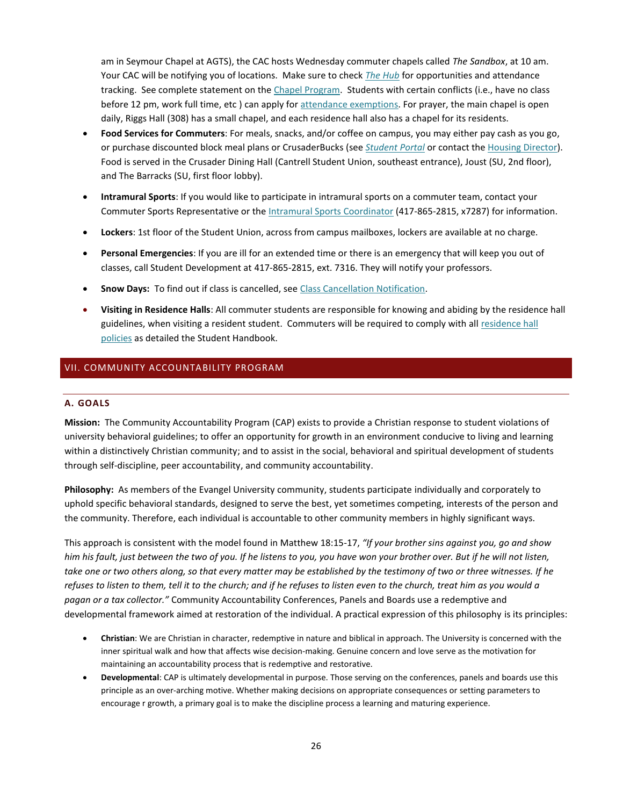am in Seymour Chapel at AGTS), the CAC hosts Wednesday commuter chapels called *The Sandbox*, at 10 am. Your CAC will be notifying you of locations. Make sure to check *[The Hub](https://thehub.evangel.edu/)* for opportunities and attendance tracking. See complete statement on the [Chapel Program.](#page-40-1) Students with certain conflicts (i.e., have no class before 12 pm, work full time, etc ) can apply fo[r attendance exemptions.](https://web.evangel.edu/Portal/Student/Chapel/forms/index.asp) For prayer, the main chapel is open daily, Riggs Hall (308) has a small chapel, and each residence hall also has a chapel for its residents.

- **Food Services for Commuters**: For meals, snacks, and/or coffee on campus, you may either pay cash as you go, or purchase discounted block meal plans or CrusaderBucks (see *[Student Portal](https://web.evangel.edu/portal/student/index.asp)* or contact th[e Housing Director\)](mailto:smallwoodp@evangel.edu?subject=Commuter%20Meal%20Plan). Food is served in the Crusader Dining Hall (Cantrell Student Union, southeast entrance), Joust (SU, 2nd floor), and The Barracks (SU, first floor lobby).
- **Intramural Sports**: If you would like to participate in intramural sports on a commuter team, contact your Commuter Sports Representative or the [Intramural Sports Coordinator](mailto:osnere@evangel.edu) (417-865-2815, x7287) for information.
- **Lockers**: 1st floor of the Student Union, across from campus mailboxes, lockers are available at no charge.
- **Personal Emergencies**: If you are ill for an extended time or there is an emergency that will keep you out of classes, call Student Development at 417-865-2815, ext. 7316. They will notify your professors.
- **Snow Days:** To find out if class is cancelled, see [Class Cancellation Notification.](#page-6-0)
- **Visiting in Residence Halls**: All commuter students are responsible for knowing and abiding by the residence hall guidelines, when visiting a resident student. Commuters will be required to comply with all residence hall [policies](#page-19-1) as detailed the Student Handbook.

# <span id="page-26-1"></span><span id="page-26-0"></span>VII. COMMUNITY ACCOUNTABILITY PROGRAM

#### **A. GOALS**

**Mission:** The Community Accountability Program (CAP) exists to provide a Christian response to student violations of university behavioral guidelines; to offer an opportunity for growth in an environment conducive to living and learning within a distinctively Christian community; and to assist in the social, behavioral and spiritual development of students through self-discipline, peer accountability, and community accountability.

**Philosophy:** As members of the Evangel University community, students participate individually and corporately to uphold specific behavioral standards, designed to serve the best, yet sometimes competing, interests of the person and the community. Therefore, each individual is accountable to other community members in highly significant ways.

This approach is consistent with the model found in Matthew 18:15-17, *"If your brother sins against you, go and show him his fault, just between the two of you. If he listens to you, you have won your brother over. But if he will not listen, take one or two others along, so that every matter may be established by the testimony of two or three witnesses. If he refuses to listen to them, tell it to the church; and if he refuses to listen even to the church, treat him as you would a pagan or a tax collector."* Community Accountability Conferences, Panels and Boards use a redemptive and developmental framework aimed at restoration of the individual. A practical expression of this philosophy is its principles:

- **Christian**: We are Christian in character, redemptive in nature and biblical in approach. The University is concerned with the inner spiritual walk and how that affects wise decision-making. Genuine concern and love serve as the motivation for maintaining an accountability process that is redemptive and restorative.
- **Developmental**: CAP is ultimately developmental in purpose. Those serving on the conferences, panels and boards use this principle as an over-arching motive. Whether making decisions on appropriate consequences or setting parameters to encourage r growth, a primary goal is to make the discipline process a learning and maturing experience.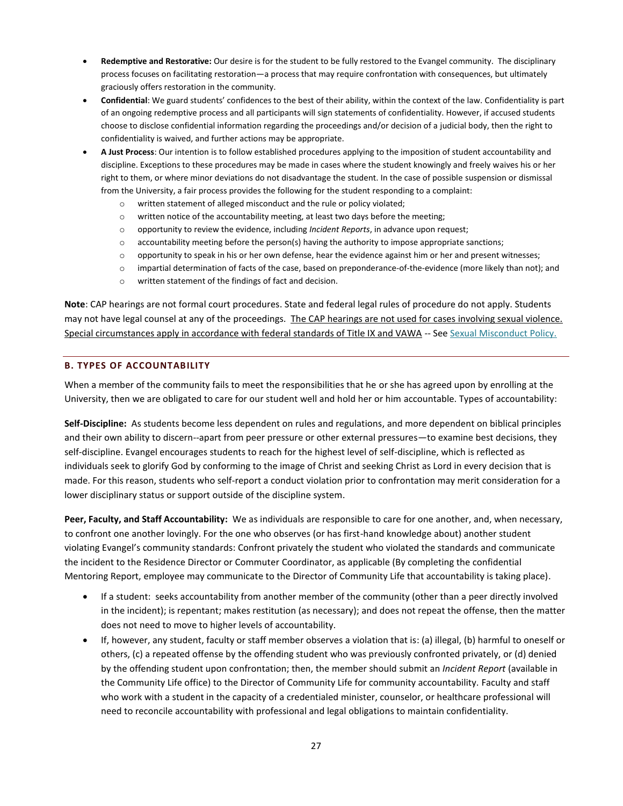- **Redemptive and Restorative:** Our desire is for the student to be fully restored to the Evangel community. The disciplinary process focuses on facilitating restoration—a process that may require confrontation with consequences, but ultimately graciously offers restoration in the community.
- **Confidential**: We guard students' confidences to the best of their ability, within the context of the law. Confidentiality is part of an ongoing redemptive process and all participants will sign statements of confidentiality. However, if accused students choose to disclose confidential information regarding the proceedings and/or decision of a judicial body, then the right to confidentiality is waived, and further actions may be appropriate.
- **A Just Process**: Our intention is to follow established procedures applying to the imposition of student accountability and discipline. Exceptions to these procedures may be made in cases where the student knowingly and freely waives his or her right to them, or where minor deviations do not disadvantage the student. In the case of possible suspension or dismissal from the University, a fair process provides the following for the student responding to a complaint:
	- o written statement of alleged misconduct and the rule or policy violated;
	- o written notice of the accountability meeting, at least two days before the meeting;
	- o opportunity to review the evidence, including *Incident Reports*, in advance upon request;
	- $\circ$  accountability meeting before the person(s) having the authority to impose appropriate sanctions;
	- o opportunity to speak in his or her own defense, hear the evidence against him or her and present witnesses;
	- o impartial determination of facts of the case, based on preponderance-of-the-evidence (more likely than not); and
	- o written statement of the findings of fact and decision.

**Note**: CAP hearings are not formal court procedures. State and federal legal rules of procedure do not apply. Students may not have legal counsel at any of the proceedings. The CAP hearings are not used for cases involving sexual violence. Special circumstances apply in accordance with federal standards of Title IX and VAWA -- Se[e Sexual Misconduct Policy.](#page-53-0)

#### <span id="page-27-0"></span>**B. TYPES OF ACCOUNTABILITY**

When a member of the community fails to meet the responsibilities that he or she has agreed upon by enrolling at the University, then we are obligated to care for our student well and hold her or him accountable. Types of accountability:

**Self-Discipline:** As students become less dependent on rules and regulations, and more dependent on biblical principles and their own ability to discern--apart from peer pressure or other external pressures—to examine best decisions, they self-discipline. Evangel encourages students to reach for the highest level of self-discipline, which is reflected as individuals seek to glorify God by conforming to the image of Christ and seeking Christ as Lord in every decision that is made. For this reason, students who self-report a conduct violation prior to confrontation may merit consideration for a lower disciplinary status or support outside of the discipline system.

**Peer, Faculty, and Staff Accountability:** We as individuals are responsible to care for one another, and, when necessary, to confront one another lovingly. For the one who observes (or has first-hand knowledge about) another student violating Evangel's community standards: Confront privately the student who violated the standards and communicate the incident to the Residence Director or Commuter Coordinator, as applicable (By completing the confidential Mentoring Report, employee may communicate to the Director of Community Life that accountability is taking place).

- If a student: seeks accountability from another member of the community (other than a peer directly involved in the incident); is repentant; makes restitution (as necessary); and does not repeat the offense, then the matter does not need to move to higher levels of accountability.
- If, however, any student, faculty or staff member observes a violation that is: (a) illegal, (b) harmful to oneself or others, (c) a repeated offense by the offending student who was previously confronted privately, or (d) denied by the offending student upon confrontation; then, the member should submit an *Incident Report* (available in the Community Life office) to the Director of Community Life for community accountability. Faculty and staff who work with a student in the capacity of a credentialed minister, counselor, or healthcare professional will need to reconcile accountability with professional and legal obligations to maintain confidentiality.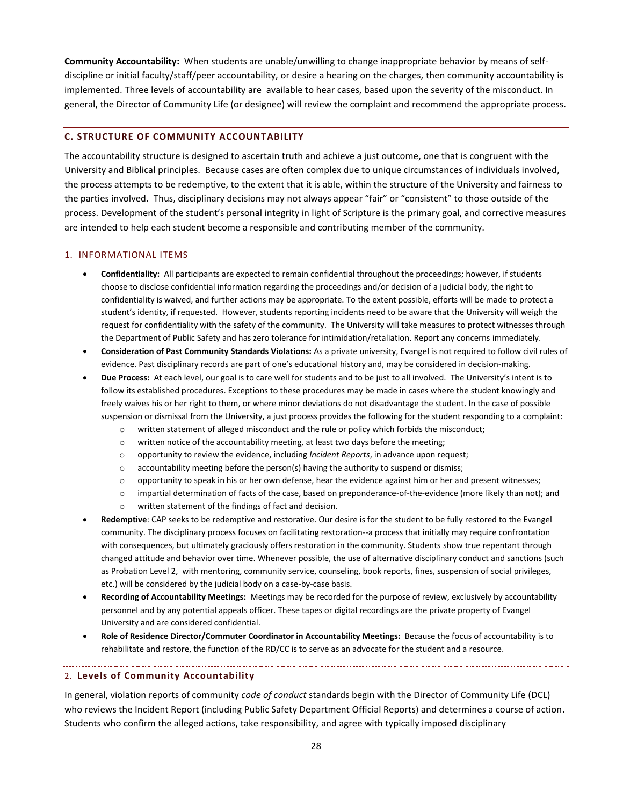**Community Accountability:** When students are unable/unwilling to change inappropriate behavior by means of selfdiscipline or initial faculty/staff/peer accountability, or desire a hearing on the charges, then community accountability is implemented. Three levels of accountability are available to hear cases, based upon the severity of the misconduct. In general, the Director of Community Life (or designee) will review the complaint and recommend the appropriate process.

#### <span id="page-28-0"></span>**C. STRUCTURE OF COMMUNITY ACCOUNTABILITY**

The accountability structure is designed to ascertain truth and achieve a just outcome, one that is congruent with the University and Biblical principles. Because cases are often complex due to unique circumstances of individuals involved, the process attempts to be redemptive, to the extent that it is able, within the structure of the University and fairness to the parties involved. Thus, disciplinary decisions may not always appear "fair" or "consistent" to those outside of the process. Development of the student's personal integrity in light of Scripture is the primary goal, and corrective measures are intended to help each student become a responsible and contributing member of the community.

#### 1. INFORMATIONAL ITEMS

- **Confidentiality:** All participants are expected to remain confidential throughout the proceedings; however, if students choose to disclose confidential information regarding the proceedings and/or decision of a judicial body, the right to confidentiality is waived, and further actions may be appropriate. To the extent possible, efforts will be made to protect a student's identity, if requested. However, students reporting incidents need to be aware that the University will weigh the request for confidentiality with the safety of the community. The University will take measures to protect witnesses through the Department of Public Safety and has zero tolerance for intimidation/retaliation. Report any concerns immediately.
- **Consideration of Past Community Standards Violations:** As a private university, Evangel is not required to follow civil rules of evidence. Past disciplinary records are part of one's educational history and, may be considered in decision-making.
- **Due Process:** At each level, our goal is to care well for students and to be just to all involved. The University's intent is to follow its established procedures. Exceptions to these procedures may be made in cases where the student knowingly and freely waives his or her right to them, or where minor deviations do not disadvantage the student. In the case of possible suspension or dismissal from the University, a just process provides the following for the student responding to a complaint:
	- o written statement of alleged misconduct and the rule or policy which forbids the misconduct;
	- o written notice of the accountability meeting, at least two days before the meeting;
	- o opportunity to review the evidence, including *Incident Reports*, in advance upon request;
	- $\circ$  accountability meeting before the person(s) having the authority to suspend or dismiss;
	- o opportunity to speak in his or her own defense, hear the evidence against him or her and present witnesses;
	- o impartial determination of facts of the case, based on preponderance-of-the-evidence (more likely than not); and
	- o written statement of the findings of fact and decision.
- **Redemptive**: CAP seeks to be redemptive and restorative. Our desire is for the student to be fully restored to the Evangel community. The disciplinary process focuses on facilitating restoration--a process that initially may require confrontation with consequences, but ultimately graciously offers restoration in the community. Students show true repentant through changed attitude and behavior over time. Whenever possible, the use of alternative disciplinary conduct and sanctions (such as Probation Level 2, with mentoring, community service, counseling, book reports, fines, suspension of social privileges, etc.) will be considered by the judicial body on a case-by-case basis.
- **Recording of Accountability Meetings:** Meetings may be recorded for the purpose of review, exclusively by accountability personnel and by any potential appeals officer. These tapes or digital recordings are the private property of Evangel University and are considered confidential.
- **Role of Residence Director/Commuter Coordinator in Accountability Meetings:** Because the focus of accountability is to rehabilitate and restore, the function of the RD/CC is to serve as an advocate for the student and a resource.

#### 2. **Levels of Community Accountability**

In general, violation reports of community *code of conduct* standards begin with the Director of Community Life (DCL) who reviews the Incident Report (including Public Safety Department Official Reports) and determines a course of action. Students who confirm the alleged actions, take responsibility, and agree with typically imposed disciplinary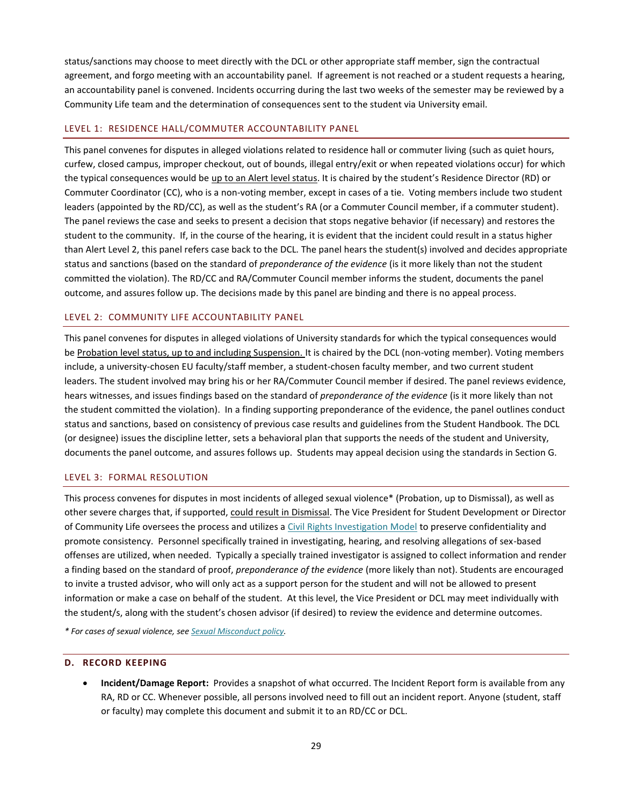status/sanctions may choose to meet directly with the DCL or other appropriate staff member, sign the contractual agreement, and forgo meeting with an accountability panel. If agreement is not reached or a student requests a hearing, an accountability panel is convened. Incidents occurring during the last two weeks of the semester may be reviewed by a Community Life team and the determination of consequences sent to the student via University email.

#### LEVEL 1: RESIDENCE HALL/COMMUTER ACCOUNTABILITY PANEL

This panel convenes for disputes in alleged violations related to residence hall or commuter living (such as quiet hours, curfew, closed campus, improper checkout, out of bounds, illegal entry/exit or when repeated violations occur) for which the typical consequences would be up to an Alert level status. It is chaired by the student's Residence Director (RD) or Commuter Coordinator (CC), who is a non-voting member, except in cases of a tie. Voting members include two student leaders (appointed by the RD/CC), as well as the student's RA (or a Commuter Council member, if a commuter student). The panel reviews the case and seeks to present a decision that stops negative behavior (if necessary) and restores the student to the community. If, in the course of the hearing, it is evident that the incident could result in a status higher than Alert Level 2, this panel refers case back to the DCL. The panel hears the student(s) involved and decides appropriate status and sanctions (based on the standard of *preponderance of the evidence* (is it more likely than not the student committed the violation). The RD/CC and RA/Commuter Council member informs the student, documents the panel outcome, and assures follow up. The decisions made by this panel are binding and there is no appeal process.

#### LEVEL 2: COMMUNITY LIFE ACCOUNTABILITY PANEL

This panel convenes for disputes in alleged violations of University standards for which the typical consequences would be Probation level status, up to and including Suspension. It is chaired by the DCL (non-voting member). Voting members include, a university-chosen EU faculty/staff member, a student-chosen faculty member, and two current student leaders. The student involved may bring his or her RA/Commuter Council member if desired. The panel reviews evidence, hears witnesses, and issues findings based on the standard of *preponderance of the evidence* (is it more likely than not the student committed the violation). In a finding supporting preponderance of the evidence, the panel outlines conduct status and sanctions, based on consistency of previous case results and guidelines from the Student Handbook. The DCL (or designee) issues the discipline letter, sets a behavioral plan that supports the needs of the student and University, documents the panel outcome, and assures follows up. Students may appeal decision using the standards in Section G.

#### LEVEL 3: FORMAL RESOLUTION

This process convenes for disputes in most incidents of alleged sexual violence\* (Probation, up to Dismissal), as well as other severe charges that, if supported, could result in Dismissal. The Vice President for Student Development or Director of Community Life oversees the process and utilizes a Civil Rights Investigation Model to preserve confidentiality and promote consistency. Personnel specifically trained in investigating, hearing, and resolving allegations of sex-based offenses are utilized, when needed. Typically a specially trained investigator is assigned to collect information and render a finding based on the standard of proof, *preponderance of the evidence* (more likely than not). Students are encouraged to invite a trusted advisor, who will only act as a support person for the student and will not be allowed to present information or make a case on behalf of the student. At this level, the Vice President or DCL may meet individually with the student/s, along with the student's chosen advisor (if desired) to review the evidence and determine outcomes.

*\* For cases of sexual violence, see [Sexual Misconduct policy.](#page-53-0)*

#### <span id="page-29-0"></span>**D. RECORD KEEPING**

 **Incident/Damage Report:** Provides a snapshot of what occurred. The Incident Report form is available from any RA, RD or CC. Whenever possible, all persons involved need to fill out an incident report. Anyone (student, staff or faculty) may complete this document and submit it to an RD/CC or DCL.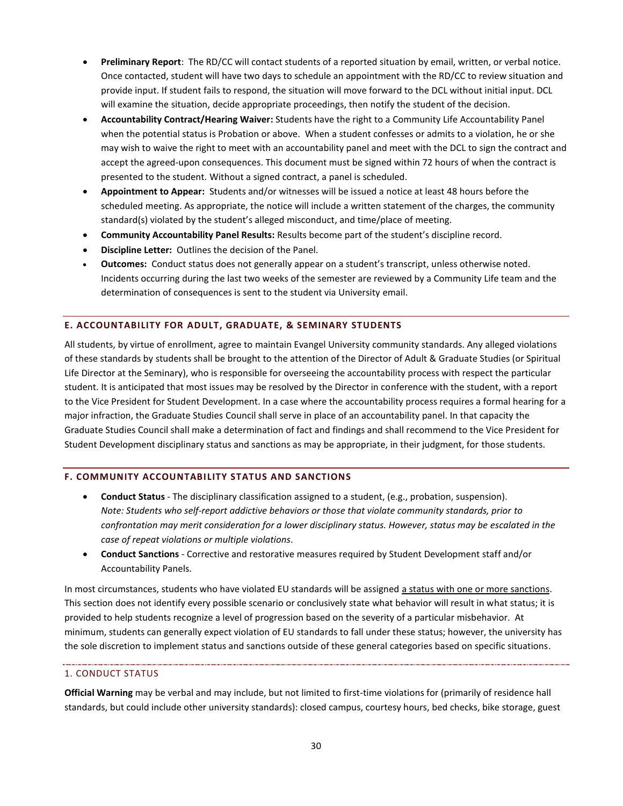- **Preliminary Report**: The RD/CC will contact students of a reported situation by email, written, or verbal notice. Once contacted, student will have two days to schedule an appointment with the RD/CC to review situation and provide input. If student fails to respond, the situation will move forward to the DCL without initial input. DCL will examine the situation, decide appropriate proceedings, then notify the student of the decision.
- **Accountability Contract/Hearing Waiver:** Students have the right to a Community Life Accountability Panel when the potential status is Probation or above. When a student confesses or admits to a violation, he or she may wish to waive the right to meet with an accountability panel and meet with the DCL to sign the contract and accept the agreed-upon consequences. This document must be signed within 72 hours of when the contract is presented to the student. Without a signed contract, a panel is scheduled.
- **Appointment to Appear:** Students and/or witnesses will be issued a notice at least 48 hours before the scheduled meeting. As appropriate, the notice will include a written statement of the charges, the community standard(s) violated by the student's alleged misconduct, and time/place of meeting.
- **Community Accountability Panel Results:** Results become part of the student's discipline record.
- **Discipline Letter:** Outlines the decision of the Panel.
- **Outcomes:** Conduct status does not generally appear on a student's transcript, unless otherwise noted. Incidents occurring during the last two weeks of the semester are reviewed by a Community Life team and the determination of consequences is sent to the student via University email.

#### <span id="page-30-0"></span>**E. ACCOUNTABILITY FOR ADULT, GRADUATE, & SEMINARY STUDENTS**

All students, by virtue of enrollment, agree to maintain Evangel University community standards. Any alleged violations of these standards by students shall be brought to the attention of the Director of Adult & Graduate Studies (or Spiritual Life Director at the Seminary), who is responsible for overseeing the accountability process with respect the particular student. It is anticipated that most issues may be resolved by the Director in conference with the student, with a report to the Vice President for Student Development. In a case where the accountability process requires a formal hearing for a major infraction, the Graduate Studies Council shall serve in place of an accountability panel. In that capacity the Graduate Studies Council shall make a determination of fact and findings and shall recommend to the Vice President for Student Development disciplinary status and sanctions as may be appropriate, in their judgment, for those students.

# <span id="page-30-1"></span>**F. COMMUNITY ACCOUNTABILITY STATUS AND SANCTIONS**

- **Conduct Status**  The disciplinary classification assigned to a student, (e.g., probation, suspension). *Note: Students who self-report addictive behaviors or those that violate community standards, prior to confrontation may merit consideration for a lower disciplinary status. However, status may be escalated in the case of repeat violations or multiple violations*.
- **Conduct Sanctions** Corrective and restorative measures required by Student Development staff and/or Accountability Panels.

In most circumstances, students who have violated EU standards will be assigned a status with one or more sanctions. This section does not identify every possible scenario or conclusively state what behavior will result in what status; it is provided to help students recognize a level of progression based on the severity of a particular misbehavior. At minimum, students can generally expect violation of EU standards to fall under these status; however, the university has the sole discretion to implement status and sanctions outside of these general categories based on specific situations.

#### <span id="page-30-2"></span>1. CONDUCT STATUS

**Official Warning** may be verbal and may include, but not limited to first-time violations for (primarily of residence hall standards, but could include other university standards): closed campus, courtesy hours, bed checks, bike storage, guest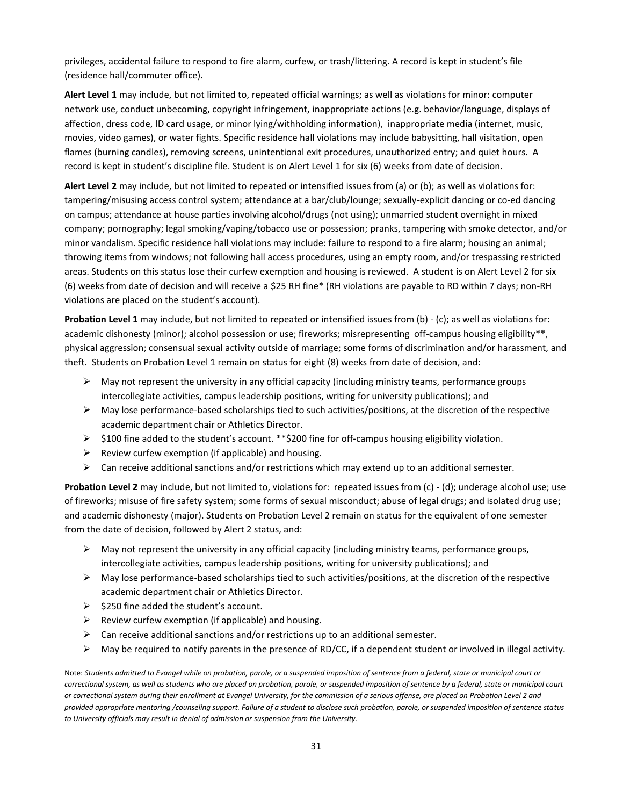privileges, accidental failure to respond to fire alarm, curfew, or trash/littering. A record is kept in student's file (residence hall/commuter office).

**Alert Level 1** may include, but not limited to, repeated official warnings; as well as violations for minor: computer network use, conduct unbecoming, copyright infringement, inappropriate actions (e.g. behavior/language, displays of affection, dress code, ID card usage, or minor lying/withholding information), inappropriate media (internet, music, movies, video games), or water fights. Specific residence hall violations may include babysitting, hall visitation, open flames (burning candles), removing screens, unintentional exit procedures, unauthorized entry; and quiet hours. A record is kept in student's discipline file. Student is on Alert Level 1 for six (6) weeks from date of decision.

**Alert Level 2** may include, but not limited to repeated or intensified issues from (a) or (b); as well as violations for: tampering/misusing access control system; attendance at a bar/club/lounge; sexually-explicit dancing or co-ed dancing on campus; attendance at house parties involving alcohol/drugs (not using); unmarried student overnight in mixed company; pornography; legal smoking/vaping/tobacco use or possession; pranks, tampering with smoke detector, and/or minor vandalism. Specific residence hall violations may include: failure to respond to a fire alarm; housing an animal; throwing items from windows; not following hall access procedures, using an empty room, and/or trespassing restricted areas. Students on this status lose their curfew exemption and housing is reviewed. A student is on Alert Level 2 for six (6) weeks from date of decision and will receive a \$25 RH fine\* (RH violations are payable to RD within 7 days; non-RH violations are placed on the student's account).

**Probation Level 1** may include, but not limited to repeated or intensified issues from (b) - (c); as well as violations for: academic dishonesty (minor); alcohol possession or use; fireworks; misrepresenting off-campus housing eligibility\*\*, physical aggression; consensual sexual activity outside of marriage; some forms of discrimination and/or harassment, and theft. Students on Probation Level 1 remain on status for eight (8) weeks from date of decision, and:

- $\triangleright$  May not represent the university in any official capacity (including ministry teams, performance groups intercollegiate activities, campus leadership positions, writing for university publications); and
- $\triangleright$  May lose performance-based scholarships tied to such activities/positions, at the discretion of the respective academic department chair or Athletics Director.
- $\triangleright$  \$100 fine added to the student's account. \*\*\$200 fine for off-campus housing eligibility violation.
- $\triangleright$  Review curfew exemption (if applicable) and housing.
- $\triangleright$  Can receive additional sanctions and/or restrictions which may extend up to an additional semester.

**Probation Level 2** may include, but not limited to, violations for: repeated issues from (c) - (d); underage alcohol use; use of fireworks; misuse of fire safety system; some forms of sexual misconduct; abuse of legal drugs; and isolated drug use; and academic dishonesty (major). Students on Probation Level 2 remain on status for the equivalent of one semester from the date of decision, followed by Alert 2 status, and:

- $\triangleright$  May not represent the university in any official capacity (including ministry teams, performance groups, intercollegiate activities, campus leadership positions, writing for university publications); and
- $\triangleright$  May lose performance-based scholarships tied to such activities/positions, at the discretion of the respective academic department chair or Athletics Director.
- $\geq$  \$250 fine added the student's account.
- $\triangleright$  Review curfew exemption (if applicable) and housing.
- $\triangleright$  Can receive additional sanctions and/or restrictions up to an additional semester.
- $\triangleright$  May be required to notify parents in the presence of RD/CC, if a dependent student or involved in illegal activity.

Note: *Students admitted to Evangel while on probation, parole, or a suspended imposition of sentence from a federal, state or municipal court or correctional system, as well as students who are placed on probation, parole, or suspended imposition of sentence by a federal, state or municipal court or correctional system during their enrollment at Evangel University, for the commission of a serious offense, are placed on Probation Level 2 and provided appropriate mentoring /counseling support. Failure of a student to disclose such probation, parole, or suspended imposition of sentence status to University officials may result in denial of admission or suspension from the University.*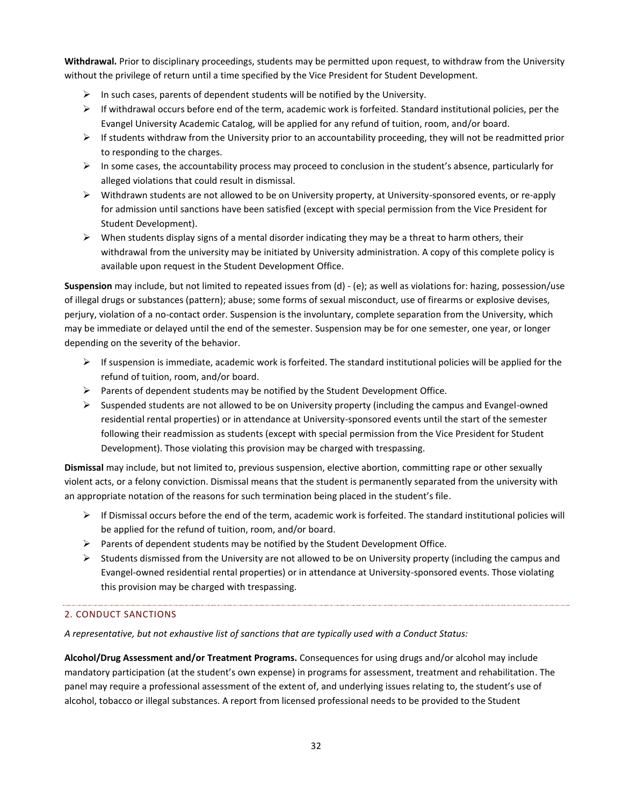**Withdrawal.** Prior to disciplinary proceedings, students may be permitted upon request, to withdraw from the University without the privilege of return until a time specified by the Vice President for Student Development.

- $\triangleright$  In such cases, parents of dependent students will be notified by the University.
- $\triangleright$  If withdrawal occurs before end of the term, academic work is forfeited. Standard institutional policies, per the Evangel University Academic Catalog, will be applied for any refund of tuition, room, and/or board.
- $\triangleright$  If students withdraw from the University prior to an accountability proceeding, they will not be readmitted prior to responding to the charges.
- $\triangleright$  In some cases, the accountability process may proceed to conclusion in the student's absence, particularly for alleged violations that could result in dismissal.
- $\triangleright$  Withdrawn students are not allowed to be on University property, at University-sponsored events, or re-apply for admission until sanctions have been satisfied (except with special permission from the Vice President for Student Development).
- $\triangleright$  When students display signs of a mental disorder indicating they may be a threat to harm others, their withdrawal from the university may be initiated by University administration. A copy of this complete policy is available upon request in the Student Development Office.

**Suspension** may include, but not limited to repeated issues from (d) - (e); as well as violations for: hazing, possession/use of illegal drugs or substances (pattern); abuse; some forms of sexual misconduct, use of firearms or explosive devises, perjury, violation of a no-contact order. Suspension is the involuntary, complete separation from the University, which may be immediate or delayed until the end of the semester. Suspension may be for one semester, one year, or longer depending on the severity of the behavior.

- $\triangleright$  If suspension is immediate, academic work is forfeited. The standard institutional policies will be applied for the refund of tuition, room, and/or board.
- $\triangleright$  Parents of dependent students may be notified by the Student Development Office.
- $\triangleright$  Suspended students are not allowed to be on University property (including the campus and Evangel-owned residential rental properties) or in attendance at University-sponsored events until the start of the semester following their readmission as students (except with special permission from the Vice President for Student Development). Those violating this provision may be charged with trespassing.

**Dismissal** may include, but not limited to, previous suspension, elective abortion, committing rape or other sexually violent acts, or a felony conviction. Dismissal means that the student is permanently separated from the university with an appropriate notation of the reasons for such termination being placed in the student's file.

- $\triangleright$  If Dismissal occurs before the end of the term, academic work is forfeited. The standard institutional policies will be applied for the refund of tuition, room, and/or board.
- $\triangleright$  Parents of dependent students may be notified by the Student Development Office.
- $\triangleright$  Students dismissed from the University are not allowed to be on University property (including the campus and Evangel-owned residential rental properties) or in attendance at University-sponsored events. Those violating this provision may be charged with trespassing.

# 2. CONDUCT SANCTIONS

*A representative, but not exhaustive list of sanctions that are typically used with a Conduct Status:*

**Alcohol/Drug Assessment and/or Treatment Programs.** Consequences for using drugs and/or alcohol may include mandatory participation (at the student's own expense) in programs for assessment, treatment and rehabilitation. The panel may require a professional assessment of the extent of, and underlying issues relating to, the student's use of alcohol, tobacco or illegal substances. A report from licensed professional needs to be provided to the Student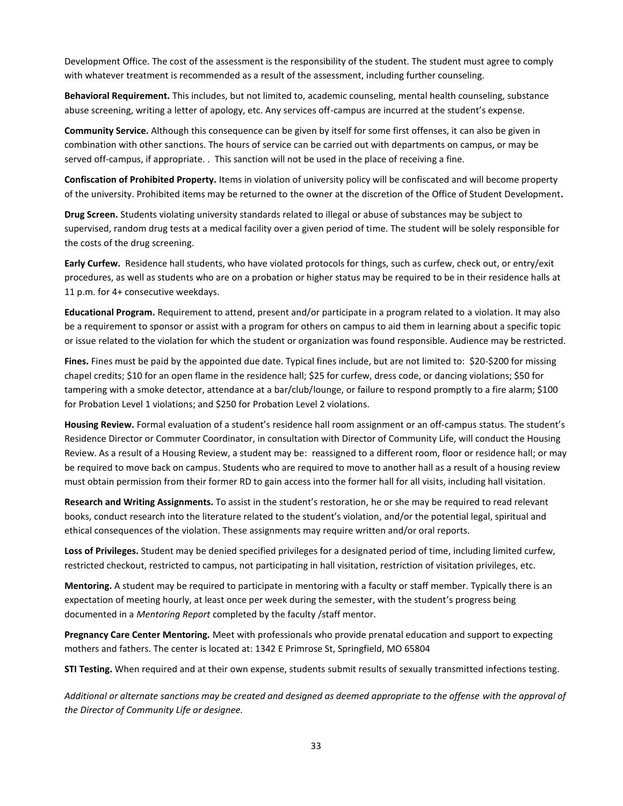Development Office. The cost of the assessment is the responsibility of the student. The student must agree to comply with whatever treatment is recommended as a result of the assessment, including further counseling.

**Behavioral Requirement.** This includes, but not limited to, academic counseling, mental health counseling, substance abuse screening, writing a letter of apology, etc. Any services off-campus are incurred at the student's expense.

**Community Service.** Although this consequence can be given by itself for some first offenses, it can also be given in combination with other sanctions. The hours of service can be carried out with departments on campus, or may be served off-campus, if appropriate. . This sanction will not be used in the place of receiving a fine.

**Confiscation of Prohibited Property.** Items in violation of university policy will be confiscated and will become property of the university. Prohibited items may be returned to the owner at the discretion of the Office of Student Development**.**

**Drug Screen.** Students violating university standards related to illegal or abuse of substances may be subject to supervised, random drug tests at a medical facility over a given period of time. The student will be solely responsible for the costs of the drug screening.

**Early Curfew.** Residence hall students, who have violated protocols for things, such as curfew, check out, or entry/exit procedures, as well as students who are on a probation or higher status may be required to be in their residence halls at 11 p.m. for 4+ consecutive weekdays.

**Educational Program.** Requirement to attend, present and/or participate in a program related to a violation. It may also be a requirement to sponsor or assist with a program for others on campus to aid them in learning about a specific topic or issue related to the violation for which the student or organization was found responsible. Audience may be restricted.

**Fines.** Fines must be paid by the appointed due date. Typical fines include, but are not limited to: \$20-\$200 for missing chapel credits; \$10 for an open flame in the residence hall; \$25 for curfew, dress code, or dancing violations; \$50 for tampering with a smoke detector, attendance at a bar/club/lounge, or failure to respond promptly to a fire alarm; \$100 for Probation Level 1 violations; and \$250 for Probation Level 2 violations.

**Housing Review.** Formal evaluation of a student's residence hall room assignment or an off-campus status. The student's Residence Director or Commuter Coordinator, in consultation with Director of Community Life, will conduct the Housing Review. As a result of a Housing Review, a student may be: reassigned to a different room, floor or residence hall; or may be required to move back on campus. Students who are required to move to another hall as a result of a housing review must obtain permission from their former RD to gain access into the former hall for all visits, including hall visitation.

**Research and Writing Assignments.** To assist in the student's restoration, he or she may be required to read relevant books, conduct research into the literature related to the student's violation, and/or the potential legal, spiritual and ethical consequences of the violation. These assignments may require written and/or oral reports.

**Loss of Privileges.** Student may be denied specified privileges for a designated period of time, including limited curfew, restricted checkout, restricted to campus, not participating in hall visitation, restriction of visitation privileges, etc.

**Mentoring.** A student may be required to participate in mentoring with a faculty or staff member. Typically there is an expectation of meeting hourly, at least once per week during the semester, with the student's progress being documented in a *Mentoring Report* completed by the faculty /staff mentor.

**Pregnancy Care Center Mentoring.** Meet with professionals who provide prenatal education and support to expecting mothers and fathers. The center is located at: 1342 E Primrose St, Springfield, MO 65804

**STI Testing.** When required and at their own expense, students submit results of sexually transmitted infections testing.

*Additional or alternate sanctions may be created and designed as deemed appropriate to the offense with the approval of the Director of Community Life or designee.*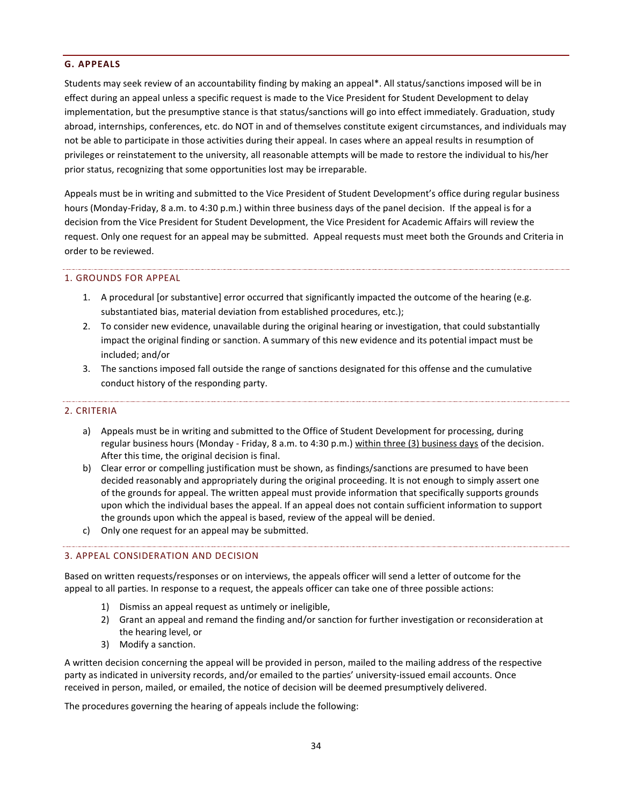#### <span id="page-34-0"></span>**G. APPEALS**

Students may seek review of an accountability finding by making an appeal\*. All status/sanctions imposed will be in effect during an appeal unless a specific request is made to the Vice President for Student Development to delay implementation, but the presumptive stance is that status/sanctions will go into effect immediately. Graduation, study abroad, internships, conferences, etc. do NOT in and of themselves constitute exigent circumstances, and individuals may not be able to participate in those activities during their appeal. In cases where an appeal results in resumption of privileges or reinstatement to the university, all reasonable attempts will be made to restore the individual to his/her prior status, recognizing that some opportunities lost may be irreparable.

Appeals must be in writing and submitted to the Vice President of Student Development's office during regular business hours (Monday-Friday, 8 a.m. to 4:30 p.m.) within three business days of the panel decision. If the appeal is for a decision from the Vice President for Student Development, the Vice President for Academic Affairs will review the request. Only one request for an appeal may be submitted. Appeal requests must meet both the Grounds and Criteria in order to be reviewed.

# 1. GROUNDS FOR APPEAL

- 1. A procedural [or substantive] error occurred that significantly impacted the outcome of the hearing (e.g. substantiated bias, material deviation from established procedures, etc.);
- 2. To consider new evidence, unavailable during the original hearing or investigation, that could substantially impact the original finding or sanction. A summary of this new evidence and its potential impact must be included; and/or
- 3. The sanctions imposed fall outside the range of sanctions designated for this offense and the cumulative conduct history of the responding party.

# 2. CRITERIA

- a) Appeals must be in writing and submitted to the Office of Student Development for processing, during regular business hours (Monday - Friday, 8 a.m. to 4:30 p.m.) within three (3) business days of the decision. After this time, the original decision is final.
- b) Clear error or compelling justification must be shown, as findings/sanctions are presumed to have been decided reasonably and appropriately during the original proceeding. It is not enough to simply assert one of the grounds for appeal. The written appeal must provide information that specifically supports grounds upon which the individual bases the appeal. If an appeal does not contain sufficient information to support the grounds upon which the appeal is based, review of the appeal will be denied.
- c) Only one request for an appeal may be submitted.

#### 3. APPEAL CONSIDERATION AND DECISION

Based on written requests/responses or on interviews, the appeals officer will send a letter of outcome for the appeal to all parties. In response to a request, the appeals officer can take one of three possible actions:

- 1) Dismiss an appeal request as untimely or ineligible,
- 2) Grant an appeal and remand the finding and/or sanction for further investigation or reconsideration at the hearing level, or
- 3) Modify a sanction.

A written decision concerning the appeal will be provided in person, mailed to the mailing address of the respective party as indicated in university records, and/or emailed to the parties' university-issued email accounts. Once received in person, mailed, or emailed, the notice of decision will be deemed presumptively delivered.

The procedures governing the hearing of appeals include the following: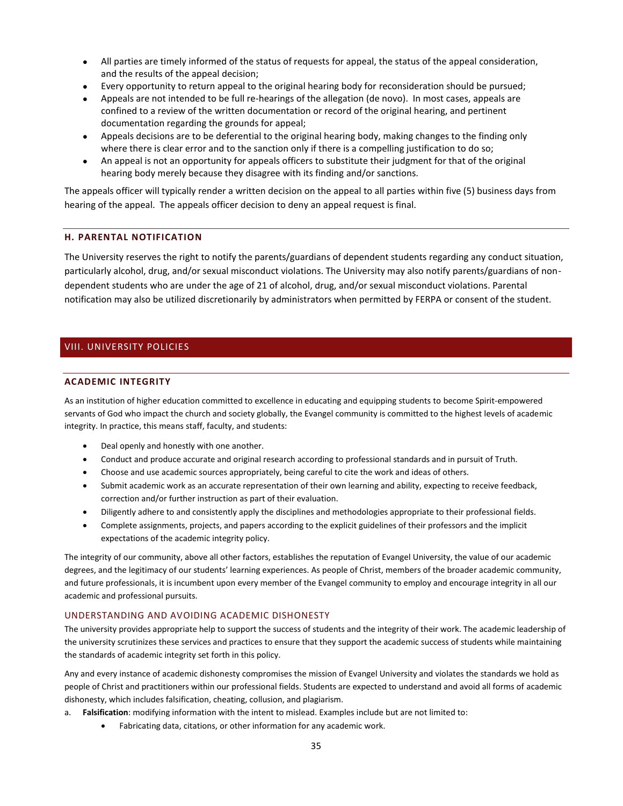- All parties are timely informed of the status of requests for appeal, the status of the appeal consideration, and the results of the appeal decision;
- Every opportunity to return appeal to the original hearing body for reconsideration should be pursued;
- Appeals are not intended to be full re-hearings of the allegation (de novo). In most cases, appeals are confined to a review of the written documentation or record of the original hearing, and pertinent documentation regarding the grounds for appeal;
- Appeals decisions are to be deferential to the original hearing body, making changes to the finding only where there is clear error and to the sanction only if there is a compelling justification to do so;
- An appeal is not an opportunity for appeals officers to substitute their judgment for that of the original hearing body merely because they disagree with its finding and/or sanctions.

The appeals officer will typically render a written decision on the appeal to all parties within five (5) business days from hearing of the appeal. The appeals officer decision to deny an appeal request is final.

#### <span id="page-35-0"></span>**H. PARENTAL NOTIFICATION**

The University reserves the right to notify the parents/guardians of dependent students regarding any conduct situation, particularly alcohol, drug, and/or sexual misconduct violations. The University may also notify parents/guardians of nondependent students who are under the age of 21 of alcohol, drug, and/or sexual misconduct violations. Parental notification may also be utilized discretionarily by administrators when permitted by FERPA or consent of the student.

# <span id="page-35-2"></span><span id="page-35-1"></span>VIII. UNIVERSITY POLICIES

#### **ACADEMIC INTEGRITY**

As an institution of higher education committed to excellence in educating and equipping students to become Spirit-empowered servants of God who impact the church and society globally, the Evangel community is committed to the highest levels of academic integrity. In practice, this means staff, faculty, and students:

- Deal openly and honestly with one another.
- Conduct and produce accurate and original research according to professional standards and in pursuit of Truth.
- Choose and use academic sources appropriately, being careful to cite the work and ideas of others.
- Submit academic work as an accurate representation of their own learning and ability, expecting to receive feedback, correction and/or further instruction as part of their evaluation.
- Diligently adhere to and consistently apply the disciplines and methodologies appropriate to their professional fields.
- Complete assignments, projects, and papers according to the explicit guidelines of their professors and the implicit expectations of the academic integrity policy.

The integrity of our community, above all other factors, establishes the reputation of Evangel University, the value of our academic degrees, and the legitimacy of our students' learning experiences. As people of Christ, members of the broader academic community, and future professionals, it is incumbent upon every member of the Evangel community to employ and encourage integrity in all our academic and professional pursuits.

#### UNDERSTANDING AND AVOIDING ACADEMIC DISHONESTY

The university provides appropriate help to support the success of students and the integrity of their work. The academic leadership of the university scrutinizes these services and practices to ensure that they support the academic success of students while maintaining the standards of academic integrity set forth in this policy.

Any and every instance of academic dishonesty compromises the mission of Evangel University and violates the standards we hold as people of Christ and practitioners within our professional fields. Students are expected to understand and avoid all forms of academic dishonesty, which includes falsification, cheating, collusion, and plagiarism.

- a. **Falsification**: modifying information with the intent to mislead. Examples include but are not limited to:
	- Fabricating data, citations, or other information for any academic work.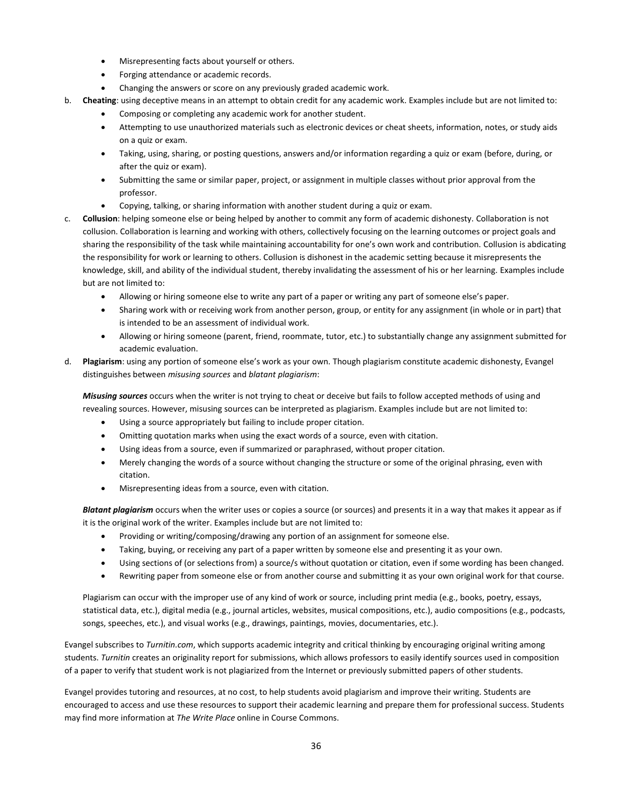- Misrepresenting facts about yourself or others.
- Forging attendance or academic records.
- Changing the answers or score on any previously graded academic work.
- b. **Cheating**: using deceptive means in an attempt to obtain credit for any academic work. Examples include but are not limited to:
	- Composing or completing any academic work for another student.
	- Attempting to use unauthorized materials such as electronic devices or cheat sheets, information, notes, or study aids on a quiz or exam.
	- Taking, using, sharing, or posting questions, answers and/or information regarding a quiz or exam (before, during, or after the quiz or exam).
	- Submitting the same or similar paper, project, or assignment in multiple classes without prior approval from the professor.
	- Copying, talking, or sharing information with another student during a quiz or exam.
- c. **Collusion**: helping someone else or being helped by another to commit any form of academic dishonesty. Collaboration is not collusion. Collaboration is learning and working with others, collectively focusing on the learning outcomes or project goals and sharing the responsibility of the task while maintaining accountability for one's own work and contribution. Collusion is abdicating the responsibility for work or learning to others. Collusion is dishonest in the academic setting because it misrepresents the knowledge, skill, and ability of the individual student, thereby invalidating the assessment of his or her learning. Examples include but are not limited to:
	- Allowing or hiring someone else to write any part of a paper or writing any part of someone else's paper.
	- Sharing work with or receiving work from another person, group, or entity for any assignment (in whole or in part) that is intended to be an assessment of individual work.
	- Allowing or hiring someone (parent, friend, roommate, tutor, etc.) to substantially change any assignment submitted for academic evaluation.
- d. **Plagiarism**: using any portion of someone else's work as your own. Though plagiarism constitute academic dishonesty, Evangel distinguishes between *misusing sources* and *blatant plagiarism*:

*Misusing sources* occurs when the writer is not trying to cheat or deceive but fails to follow accepted methods of using and revealing sources. However, misusing sources can be interpreted as plagiarism. Examples include but are not limited to:

- Using a source appropriately but failing to include proper citation.
- Omitting quotation marks when using the exact words of a source, even with citation.
- Using ideas from a source, even if summarized or paraphrased, without proper citation.
- Merely changing the words of a source without changing the structure or some of the original phrasing, even with citation.
- Misrepresenting ideas from a source, even with citation.

*Blatant plagiarism* occurs when the writer uses or copies a source (or sources) and presents it in a way that makes it appear as if it is the original work of the writer. Examples include but are not limited to:

- Providing or writing/composing/drawing any portion of an assignment for someone else.
- Taking, buying, or receiving any part of a paper written by someone else and presenting it as your own.
- Using sections of (or selections from) a source/s without quotation or citation, even if some wording has been changed.
- Rewriting paper from someone else or from another course and submitting it as your own original work for that course.

Plagiarism can occur with the improper use of any kind of work or source, including print media (e.g., books, poetry, essays, statistical data, etc.), digital media (e.g., journal articles, websites, musical compositions, etc.), audio compositions (e.g., podcasts, songs, speeches, etc.), and visual works (e.g., drawings, paintings, movies, documentaries, etc.).

Evangel subscribes to *Turnitin.com*, which supports academic integrity and critical thinking by encouraging original writing among students. *Turnitin* creates an originality report for submissions, which allows professors to easily identify sources used in composition of a paper to verify that student work is not plagiarized from the Internet or previously submitted papers of other students.

Evangel provides tutoring and resources, at no cost, to help students avoid plagiarism and improve their writing. Students are encouraged to access and use these resources to support their academic learning and prepare them for professional success. Students may find more information at *The Write Place* online in Course Commons.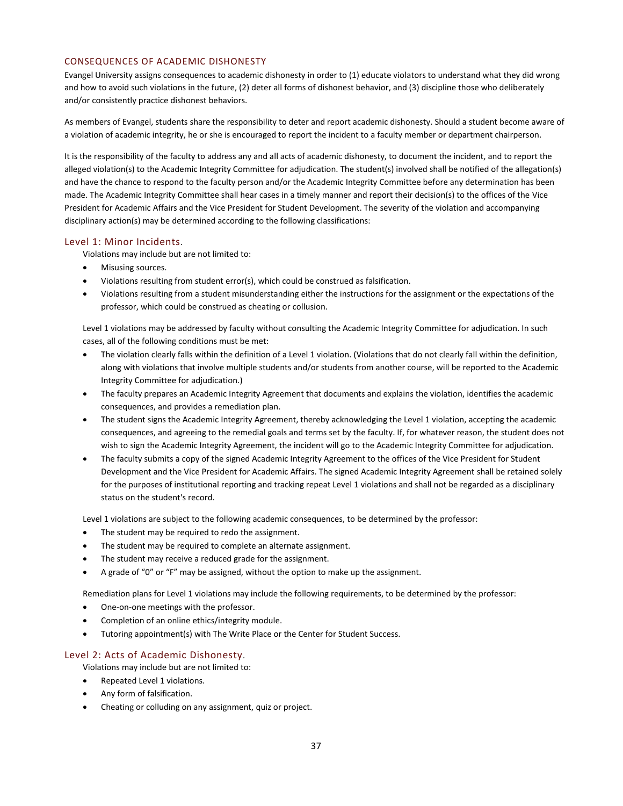#### CONSEQUENCES OF ACADEMIC DISHONESTY

Evangel University assigns consequences to academic dishonesty in order to (1) educate violators to understand what they did wrong and how to avoid such violations in the future, (2) deter all forms of dishonest behavior, and (3) discipline those who deliberately and/or consistently practice dishonest behaviors.

As members of Evangel, students share the responsibility to deter and report academic dishonesty. Should a student become aware of a violation of academic integrity, he or she is encouraged to report the incident to a faculty member or department chairperson.

It is the responsibility of the faculty to address any and all acts of academic dishonesty, to document the incident, and to report the alleged violation(s) to the Academic Integrity Committee for adjudication. The student(s) involved shall be notified of the allegation(s) and have the chance to respond to the faculty person and/or the Academic Integrity Committee before any determination has been made. The Academic Integrity Committee shall hear cases in a timely manner and report their decision(s) to the offices of the Vice President for Academic Affairs and the Vice President for Student Development. The severity of the violation and accompanying disciplinary action(s) may be determined according to the following classifications:

#### Level 1: Minor Incidents.

Violations may include but are not limited to:

- Misusing sources.
- Violations resulting from student error(s), which could be construed as falsification.
- Violations resulting from a student misunderstanding either the instructions for the assignment or the expectations of the professor, which could be construed as cheating or collusion.

Level 1 violations may be addressed by faculty without consulting the Academic Integrity Committee for adjudication. In such cases, all of the following conditions must be met:

- The violation clearly falls within the definition of a Level 1 violation. (Violations that do not clearly fall within the definition, along with violations that involve multiple students and/or students from another course, will be reported to the Academic Integrity Committee for adjudication.)
- The faculty prepares an Academic Integrity Agreement that documents and explains the violation, identifies the academic consequences, and provides a remediation plan.
- The student signs the Academic Integrity Agreement, thereby acknowledging the Level 1 violation, accepting the academic consequences, and agreeing to the remedial goals and terms set by the faculty. If, for whatever reason, the student does not wish to sign the Academic Integrity Agreement, the incident will go to the Academic Integrity Committee for adjudication.
- The faculty submits a copy of the signed Academic Integrity Agreement to the offices of the Vice President for Student Development and the Vice President for Academic Affairs. The signed Academic Integrity Agreement shall be retained solely for the purposes of institutional reporting and tracking repeat Level 1 violations and shall not be regarded as a disciplinary status on the student's record.

Level 1 violations are subject to the following academic consequences, to be determined by the professor:

- The student may be required to redo the assignment.
- The student may be required to complete an alternate assignment.
- The student may receive a reduced grade for the assignment.
- A grade of "0" or "F" may be assigned, without the option to make up the assignment.

Remediation plans for Level 1 violations may include the following requirements, to be determined by the professor:

- One-on-one meetings with the professor.
- Completion of an online ethics/integrity module.
- Tutoring appointment(s) with The Write Place or the Center for Student Success.

#### Level 2: Acts of Academic Dishonesty*.*

Violations may include but are not limited to:

- Repeated Level 1 violations.
- Any form of falsification.
- Cheating or colluding on any assignment, quiz or project.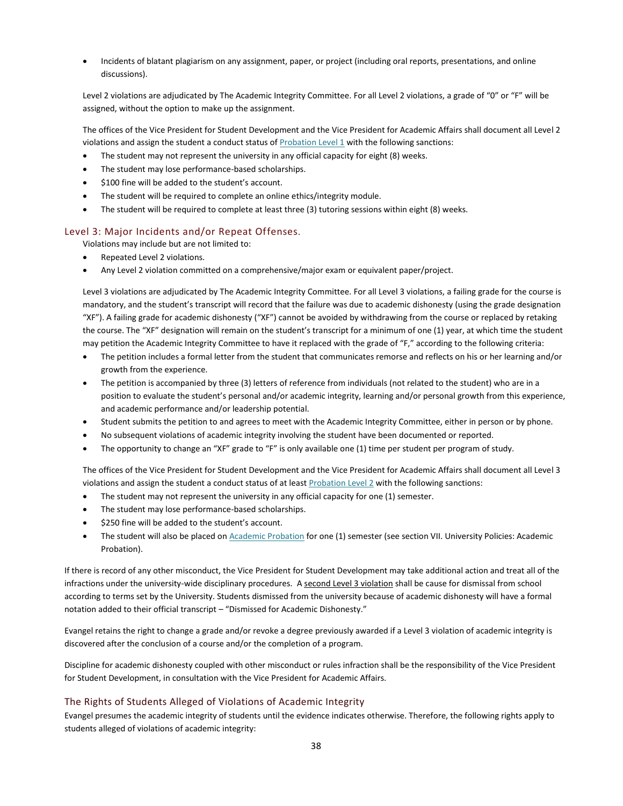Incidents of blatant plagiarism on any assignment, paper, or project (including oral reports, presentations, and online discussions).

Level 2 violations are adjudicated by The Academic Integrity Committee. For all Level 2 violations, a grade of "0" or "F" will be assigned, without the option to make up the assignment.

The offices of the Vice President for Student Development and the Vice President for Academic Affairs shall document all Level 2 violations and assign the student a conduct status of [Probation Level 1](#page-30-2) with the following sanctions:

- The student may not represent the university in any official capacity for eight (8) weeks.
- The student may lose performance-based scholarships.
- \$100 fine will be added to the student's account.
- The student will be required to complete an online ethics/integrity module.
- The student will be required to complete at least three (3) tutoring sessions within eight (8) weeks.

#### Level 3: Major Incidents and/or Repeat Offenses.

Violations may include but are not limited to:

- Repeated Level 2 violations.
- Any Level 2 violation committed on a comprehensive/major exam or equivalent paper/project.

Level 3 violations are adjudicated by The Academic Integrity Committee. For all Level 3 violations, a failing grade for the course is mandatory, and the student's transcript will record that the failure was due to academic dishonesty (using the grade designation "XF"). A failing grade for academic dishonesty ("XF") cannot be avoided by withdrawing from the course or replaced by retaking the course. The "XF" designation will remain on the student's transcript for a minimum of one (1) year, at which time the student may petition the Academic Integrity Committee to have it replaced with the grade of "F," according to the following criteria:

- The petition includes a formal letter from the student that communicates remorse and reflects on his or her learning and/or growth from the experience.
- The petition is accompanied by three (3) letters of reference from individuals (not related to the student) who are in a position to evaluate the student's personal and/or academic integrity, learning and/or personal growth from this experience, and academic performance and/or leadership potential.
- Student submits the petition to and agrees to meet with the Academic Integrity Committee, either in person or by phone.
- No subsequent violations of academic integrity involving the student have been documented or reported.
- The opportunity to change an "XF" grade to "F" is only available one (1) time per student per program of study.

The offices of the Vice President for Student Development and the Vice President for Academic Affairs shall document all Level 3 violations and assign the student a conduct status of at least [Probation Level 2](#page-30-2) with the following sanctions:

- The student may not represent the university in any official capacity for one (1) semester.
- The student may lose performance-based scholarships.
- \$250 fine will be added to the student's account.
- The student will also be placed o[n Academic Probation](#page-39-0) for one (1) semester (see section VII. University Policies: Academic Probation).

If there is record of any other misconduct, the Vice President for Student Development may take additional action and treat all of the infractions under the university-wide disciplinary procedures. A second Level 3 violation shall be cause for dismissal from school according to terms set by the University. Students dismissed from the university because of academic dishonesty will have a formal notation added to their official transcript – "Dismissed for Academic Dishonesty."

Evangel retains the right to change a grade and/or revoke a degree previously awarded if a Level 3 violation of academic integrity is discovered after the conclusion of a course and/or the completion of a program.

Discipline for academic dishonesty coupled with other misconduct or rules infraction shall be the responsibility of the Vice President for Student Development, in consultation with the Vice President for Academic Affairs.

#### The Rights of Students Alleged of Violations of Academic Integrity

Evangel presumes the academic integrity of students until the evidence indicates otherwise. Therefore, the following rights apply to students alleged of violations of academic integrity: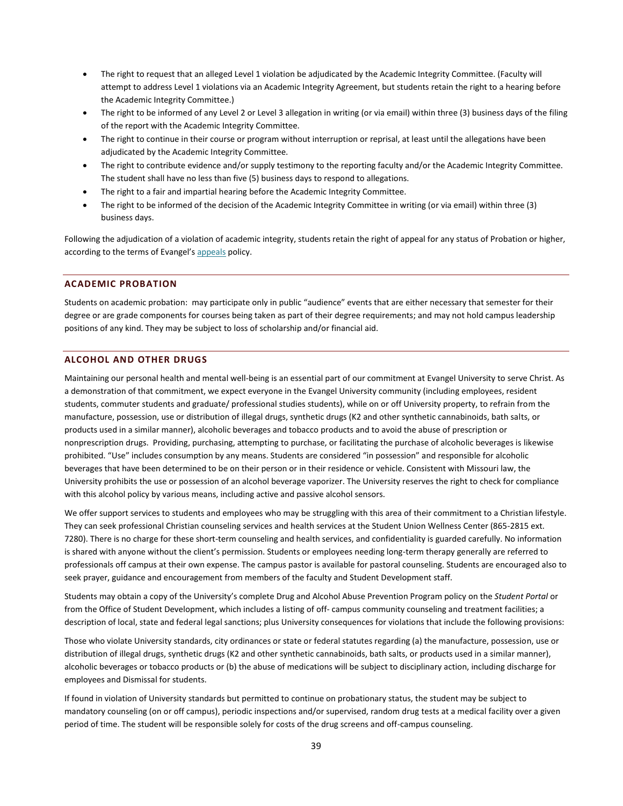- The right to request that an alleged Level 1 violation be adjudicated by the Academic Integrity Committee. (Faculty will attempt to address Level 1 violations via an Academic Integrity Agreement, but students retain the right to a hearing before the Academic Integrity Committee.)
- The right to be informed of any Level 2 or Level 3 allegation in writing (or via email) within three (3) business days of the filing of the report with the Academic Integrity Committee.
- The right to continue in their course or program without interruption or reprisal, at least until the allegations have been adjudicated by the Academic Integrity Committee.
- The right to contribute evidence and/or supply testimony to the reporting faculty and/or the Academic Integrity Committee. The student shall have no less than five (5) business days to respond to allegations.
- The right to a fair and impartial hearing before the Academic Integrity Committee.
- The right to be informed of the decision of the Academic Integrity Committee in writing (or via email) within three (3) business days.

Following the adjudication of a violation of academic integrity, students retain the right of appeal for any status of Probation or higher, according to the terms of Evangel's [appeals](#page-34-0) policy.

#### <span id="page-39-0"></span>**ACADEMIC PROBATION**

Students on academic probation: may participate only in public "audience" events that are either necessary that semester for their degree or are grade components for courses being taken as part of their degree requirements; and may not hold campus leadership positions of any kind. They may be subject to loss of scholarship and/or financial aid.

#### <span id="page-39-1"></span>**ALCOHOL AND OTHER DRUGS**

Maintaining our personal health and mental well-being is an essential part of our commitment at Evangel University to serve Christ. As a demonstration of that commitment, we expect everyone in the Evangel University community (including employees, resident students, commuter students and graduate/ professional studies students), while on or off University property, to refrain from the manufacture, possession, use or distribution of illegal drugs, synthetic drugs (K2 and other synthetic cannabinoids, bath salts, or products used in a similar manner), alcoholic beverages and tobacco products and to avoid the abuse of prescription or nonprescription drugs. Providing, purchasing, attempting to purchase, or facilitating the purchase of alcoholic beverages is likewise prohibited. "Use" includes consumption by any means. Students are considered "in possession" and responsible for alcoholic beverages that have been determined to be on their person or in their residence or vehicle. Consistent with Missouri law, the University prohibits the use or possession of an alcohol beverage vaporizer. The University reserves the right to check for compliance with this alcohol policy by various means, including active and passive alcohol sensors.

We offer support services to students and employees who may be struggling with this area of their commitment to a Christian lifestyle. They can seek professional Christian counseling services and health services at the Student Union Wellness Center (865-2815 ext. 7280). There is no charge for these short-term counseling and health services, and confidentiality is guarded carefully. No information is shared with anyone without the client's permission. Students or employees needing long-term therapy generally are referred to professionals off campus at their own expense. The campus pastor is available for pastoral counseling. Students are encouraged also to seek prayer, guidance and encouragement from members of the faculty and Student Development staff.

Students may obtain a copy of the University's complete Drug and Alcohol Abuse Prevention Program policy on the *Student Portal* or from the Office of Student Development, which includes a listing of off- campus community counseling and treatment facilities; a description of local, state and federal legal sanctions; plus University consequences for violations that include the following provisions:

Those who violate University standards, city ordinances or state or federal statutes regarding (a) the manufacture, possession, use or distribution of illegal drugs, synthetic drugs (K2 and other synthetic cannabinoids, bath salts, or products used in a similar manner), alcoholic beverages or tobacco products or (b) the abuse of medications will be subject to disciplinary action, including discharge for employees and Dismissal for students.

If found in violation of University standards but permitted to continue on probationary status, the student may be subject to mandatory counseling (on or off campus), periodic inspections and/or supervised, random drug tests at a medical facility over a given period of time. The student will be responsible solely for costs of the drug screens and off-campus counseling.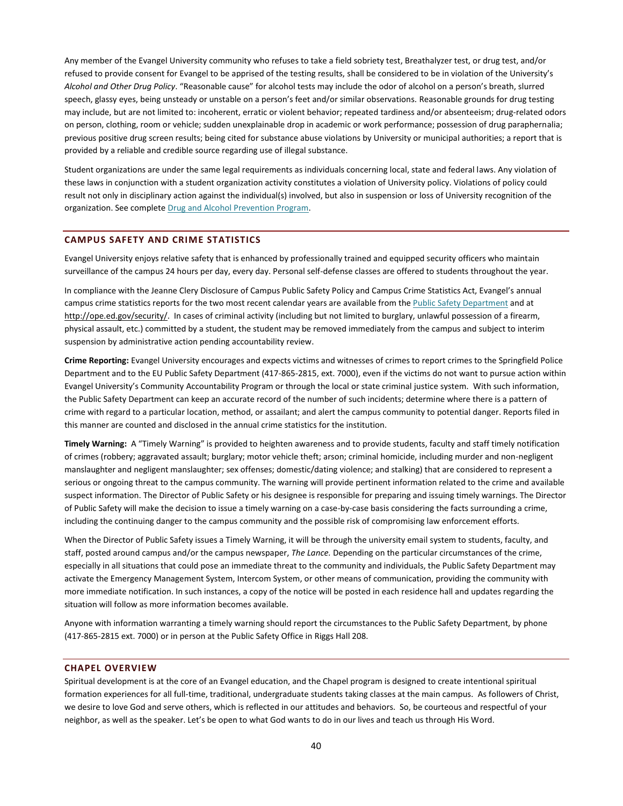Any member of the Evangel University community who refuses to take a field sobriety test, Breathalyzer test, or drug test, and/or refused to provide consent for Evangel to be apprised of the testing results, shall be considered to be in violation of the University's *Alcohol and Other Drug Policy*. "Reasonable cause" for alcohol tests may include the odor of alcohol on a person's breath, slurred speech, glassy eyes, being unsteady or unstable on a person's feet and/or similar observations. Reasonable grounds for drug testing may include, but are not limited to: incoherent, erratic or violent behavior; repeated tardiness and/or absenteeism; drug-related odors on person, clothing, room or vehicle; sudden unexplainable drop in academic or work performance; possession of drug paraphernalia; previous positive drug screen results; being cited for substance abuse violations by University or municipal authorities; a report that is provided by a reliable and credible source regarding use of illegal substance.

Student organizations are under the same legal requirements as individuals concerning local, state and federal laws. Any violation of these laws in conjunction with a student organization activity constitutes a violation of University policy. Violations of policy could result not only in disciplinary action against the individual(s) involved, but also in suspension or loss of University recognition of the organization. See complete [Drug and Alcohol Prevention Program.](http://www.evangel.edu/wp-content/uploads/2013/11/Drug_and_Alcohol_Abuse_Prevention_Program-updated-09202013.pdf)

#### <span id="page-40-0"></span>**CAMPUS SAFETY AND CRIME STATISTICS**

Evangel University enjoys relative safety that is enhanced by professionally trained and equipped security officers who maintain surveillance of the campus 24 hours per day, every day. Personal self-defense classes are offered to students throughout the year.

In compliance with the Jeanne Clery Disclosure of Campus Public Safety Policy and Campus Crime Statistics Act, Evangel's annual campus crime statistics reports for the two most recent calendar years are available from th[e Public Safety Department](https://www.evangel.edu/offices/student-development/public-safety/) and at [http://ope.ed.gov/security/.](http://ope.ed.gov/security/) In cases of criminal activity (including but not limited to burglary, unlawful possession of a firearm, physical assault, etc.) committed by a student, the student may be removed immediately from the campus and subject to interim suspension by administrative action pending accountability review.

**Crime Reporting:** Evangel University encourages and expects victims and witnesses of crimes to report crimes to the Springfield Police Department and to the EU Public Safety Department (417-865-2815, ext. 7000), even if the victims do not want to pursue action within Evangel University's Community Accountability Program or through the local or state criminal justice system. With such information, the Public Safety Department can keep an accurate record of the number of such incidents; determine where there is a pattern of crime with regard to a particular location, method, or assailant; and alert the campus community to potential danger. Reports filed in this manner are counted and disclosed in the annual crime statistics for the institution.

**Timely Warning:** A "Timely Warning" is provided to heighten awareness and to provide students, faculty and staff timely notification of crimes (robbery; aggravated assault; burglary; motor vehicle theft; arson; criminal homicide, including murder and non-negligent manslaughter and negligent manslaughter; sex offenses; domestic/dating violence; and stalking) that are considered to represent a serious or ongoing threat to the campus community. The warning will provide pertinent information related to the crime and available suspect information. The Director of Public Safety or his designee is responsible for preparing and issuing timely warnings. The Director of Public Safety will make the decision to issue a timely warning on a case-by-case basis considering the facts surrounding a crime, including the continuing danger to the campus community and the possible risk of compromising law enforcement efforts.

When the Director of Public Safety issues a Timely Warning, it will be through the university email system to students, faculty, and staff, posted around campus and/or the campus newspaper, *The Lance.* Depending on the particular circumstances of the crime, especially in all situations that could pose an immediate threat to the community and individuals, the Public Safety Department may activate the Emergency Management System, Intercom System, or other means of communication, providing the community with more immediate notification. In such instances, a copy of the notice will be posted in each residence hall and updates regarding the situation will follow as more information becomes available.

Anyone with information warranting a timely warning should report the circumstances to the Public Safety Department, by phone (417-865-2815 ext. 7000) or in person at the Public Safety Office in Riggs Hall 208.

#### <span id="page-40-1"></span>**CHAPEL OVERVIEW**

Spiritual development is at the core of an Evangel education, and the Chapel program is designed to create intentional spiritual formation experiences for all full-time, traditional, undergraduate students taking classes at the main campus. As followers of Christ, we desire to love God and serve others, which is reflected in our attitudes and behaviors. So, be courteous and respectful of your neighbor, as well as the speaker. Let's be open to what God wants to do in our lives and teach us through His Word.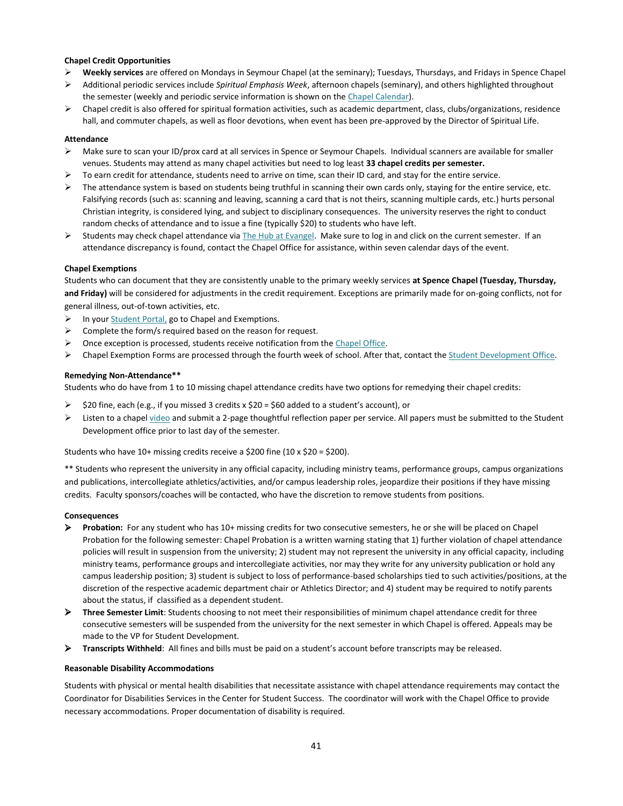#### **Chapel Credit Opportunities**

- **Weekly services** are offered on Mondays in Seymour Chapel (at the seminary); Tuesdays, Thursdays, and Fridays in Spence Chapel
- Additional periodic services include *Spiritual Emphasis Week*, afternoon chapels (seminary), and others highlighted throughout the semester (weekly and periodic service information is shown on the [Chapel Calendar\)](http://www.evangel.edu/spiritual-life/chapel/chapel-calendar/).
- $\triangleright$  Chapel credit is also offered for spiritual formation activities, such as academic department, class, clubs/organizations, residence hall, and commuter chapels, as well as floor devotions, when event has been pre-approved by the Director of Spiritual Life.

#### **Attendance**

- Make sure to scan your ID/prox card at all services in Spence or Seymour Chapels. Individual scanners are available for smaller venues. Students may attend as many chapel activities but need to log least **33 chapel credits per semester.**
- To earn credit for attendance, students need to arrive on time, scan their ID card, and stay for the entire service.
- $\triangleright$  The attendance system is based on students being truthful in scanning their own cards only, staying for the entire service, etc. Falsifying records (such as: scanning and leaving, scanning a card that is not theirs, scanning multiple cards, etc.) hurts personal Christian integrity, is considered lying, and subject to disciplinary consequences. The university reserves the right to conduct random checks of attendance and to issue a fine (typically \$20) to students who have left.
- Students may check chapel attendance vi[a The Hub at Evangel.](https://thehub.evangel.edu/) Make sure to log in and click on the current semester. If an attendance discrepancy is found, contact the Chapel Office for assistance, within seven calendar days of the event.

#### **Chapel Exemptions**

Students who can document that they are consistently unable to the primary weekly services **at Spence Chapel (Tuesday, Thursday, and Friday)** will be considered for adjustments in the credit requirement. Exceptions are primarily made for on-going conflicts, not for general illness, out-of-town activities, etc.

- $\triangleright$  In you[r Student Portal,](https://web.evangel.edu/portal/student/index.asp) go to Chapel and Exemptions.
- $\triangleright$  Complete the form/s required based on the reason for request.
- Once exception is processed, students receive notification from the [Chapel Office.](mailto:goret@evangel.edu)
- Chapel Exemption Forms are processed through the fourth week of school. After that, contact th[e Student Development Office.](mailto:dixona@evangel.edu)

#### **Remedying Non-Attendance\*\***

Students who do have from 1 to 10 missing chapel attendance credits have two options for remedying their chapel credits:

- \$20 fine, each (e.g., if you missed 3 credits x \$20 = \$60 added to a student's account), or
- Listen to a chape[l video](https://www.evangel.edu/spiritual-life/chapel/chapel-video/) and submit a 2-page thoughtful reflection paper per service. All papers must be submitted to the Student Development office prior to last day of the semester.

Students who have 10+ missing credits receive a \$200 fine (10 x \$20 = \$200).

\*\* Students who represent the university in any official capacity, including ministry teams, performance groups, campus organizations and publications, intercollegiate athletics/activities, and/or campus leadership roles, jeopardize their positions if they have missing credits. Faculty sponsors/coaches will be contacted, who have the discretion to remove students from positions.

#### **Consequences**

- **Probation:** For any student who has 10+ missing credits for two consecutive semesters, he or she will be placed on Chapel Probation for the following semester: Chapel Probation is a written warning stating that 1) further violation of chapel attendance policies will result in suspension from the university; 2) student may not represent the university in any official capacity, including ministry teams, performance groups and intercollegiate activities, nor may they write for any university publication or hold any campus leadership position; 3) student is subject to loss of performance-based scholarships tied to such activities/positions, at the discretion of the respective academic department chair or Athletics Director; and 4) student may be required to notify parents about the status, if classified as a dependent student.
- **Three Semester Limit**: Students choosing to not meet their responsibilities of minimum chapel attendance credit for three consecutive semesters will be suspended from the university for the next semester in which Chapel is offered. Appeals may be made to the VP for Student Development.
- **Transcripts Withheld**: All fines and bills must be paid on a student's account before transcripts may be released.

#### **Reasonable Disability Accommodations**

Students with physical or mental health disabilities that necessitate assistance with chapel attendance requirements may contact the Coordinator for Disabilities Services in the Center for Student Success. The coordinator will work with the Chapel Office to provide necessary accommodations. Proper documentation of disability is required.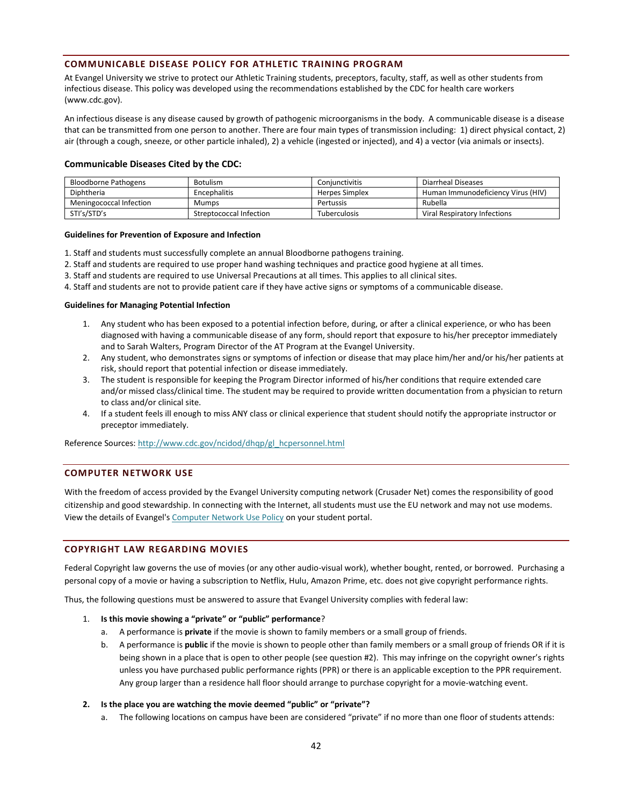#### <span id="page-42-0"></span>**COMMUNICABLE DISEASE POLICY FOR ATHLETIC TRAINING PROGRAM**

At Evangel University we strive to protect our Athletic Training students, preceptors, faculty, staff, as well as other students from infectious disease. This policy was developed using the recommendations established by the CDC for health care workers (www.cdc.gov).

An infectious disease is any disease caused by growth of pathogenic microorganisms in the body. A communicable disease is a disease that can be transmitted from one person to another. There are four main types of transmission including: 1) direct physical contact, 2) air (through a cough, sneeze, or other particle inhaled), 2) a vehicle (ingested or injected), and 4) a vector (via animals or insects).

#### **Communicable Diseases Cited by the CDC:**

| <b>Bloodborne Pathogens</b> | Botulism                | Coniunctivitis | Diarrheal Diseases                 |
|-----------------------------|-------------------------|----------------|------------------------------------|
| Diphtheria                  | Encephalitis            | Herpes Simplex | Human Immunodeficiency Virus (HIV) |
| Meningococcal Infection     | <b>Mumps</b>            | Pertussis      | Rubella                            |
| STI's/STD's                 | Streptococcal Infection | Tuberculosis   | Viral Respiratory Infections       |

#### **Guidelines for Prevention of Exposure and Infection**

- 1. Staff and students must successfully complete an annual Bloodborne pathogens training.
- 2. Staff and students are required to use proper hand washing techniques and practice good hygiene at all times.
- 3. Staff and students are required to use Universal Precautions at all times. This applies to all clinical sites.

4. Staff and students are not to provide patient care if they have active signs or symptoms of a communicable disease.

#### **Guidelines for Managing Potential Infection**

- 1. Any student who has been exposed to a potential infection before, during, or after a clinical experience, or who has been diagnosed with having a communicable disease of any form, should report that exposure to his/her preceptor immediately and to Sarah Walters, Program Director of the AT Program at the Evangel University.
- 2. Any student, who demonstrates signs or symptoms of infection or disease that may place him/her and/or his/her patients at risk, should report that potential infection or disease immediately.
- 3. The student is responsible for keeping the Program Director informed of his/her conditions that require extended care and/or missed class/clinical time. The student may be required to provide written documentation from a physician to return to class and/or clinical site.
- 4. If a student feels ill enough to miss ANY class or clinical experience that student should notify the appropriate instructor or preceptor immediately.

<span id="page-42-1"></span>Reference Sources[: http://www.cdc.gov/ncidod/dhqp/gl\\_hcpersonnel.html](http://www.cdc.gov/ncidod/dhqp/gl_hcpersonnel.html)

#### **COMPUTER NETWORK USE**

With the freedom of access provided by the Evangel University computing network (Crusader Net) comes the responsibility of good citizenship and good stewardship. In connecting with the Internet, all students must use the EU network and may not use modems. View the details of Evangel'[s Computer Network Use Policy](http://www.evangel.edu/CurrentStudents/CrusaderNet/Resources/%20NetworkUsePolicy.asp) on your student portal.

#### <span id="page-42-2"></span>**COPYRIGHT LAW REGARDING MOVIES**

Federal Copyright law governs the use of movies (or any other audio-visual work), whether bought, rented, or borrowed. Purchasing a personal copy of a movie or having a subscription to Netflix, Hulu, Amazon Prime, etc. does not give copyright performance rights.

Thus, the following questions must be answered to assure that Evangel University complies with federal law:

#### 1. **Is this movie showing a "private" or "public" performance**?

- a. A performance is **private** if the movie is shown to family members or a small group of friends.
- b. A performance is **public** if the movie is shown to people other than family members or a small group of friends OR if it is being shown in a place that is open to other people (see question #2). This may infringe on the copyright owner's rights unless you have purchased public performance rights (PPR) or there is an applicable exception to the PPR requirement. Any group larger than a residence hall floor should arrange to purchase copyright for a movie-watching event.

#### **2. Is the place you are watching the movie deemed "public" or "private"?**

a. The following locations on campus have been are considered "private" if no more than one floor of students attends: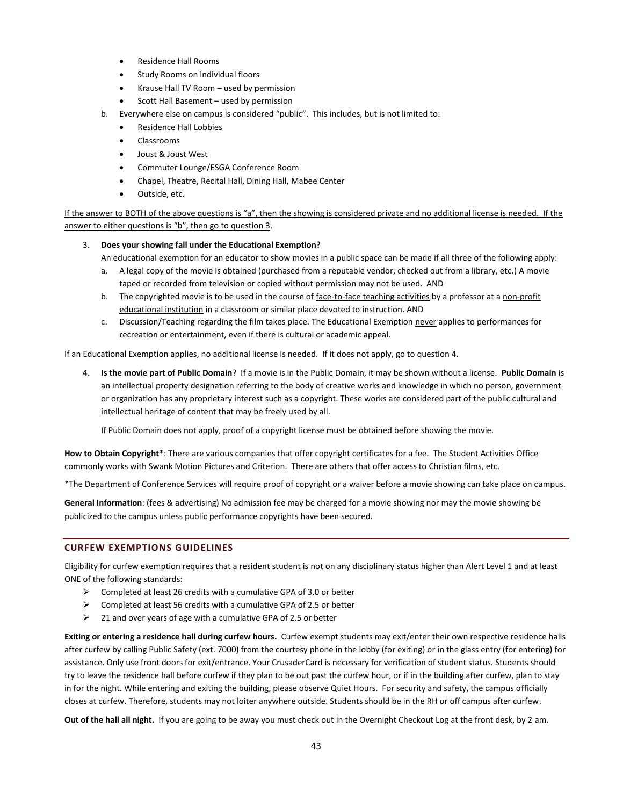- Residence Hall Rooms
- Study Rooms on individual floors
- Krause Hall TV Room used by permission
- Scott Hall Basement used by permission
- b. Everywhere else on campus is considered "public". This includes, but is not limited to:
	- Residence Hall Lobbies
	- Classrooms
	- Joust & Joust West
	- Commuter Lounge/ESGA Conference Room
	- Chapel, Theatre, Recital Hall, Dining Hall, Mabee Center
	- Outside, etc.

If the answer to BOTH of the above questions is "a", then the showing is considered private and no additional license is needed. If the answer to either questions is "b", then go to question 3.

#### 3. **Does your showing fall under the Educational Exemption?**

An educational exemption for an educator to show movies in a public space can be made if all three of the following apply:

- a. A legal copy of the movie is obtained (purchased from a reputable vendor, checked out from a library, etc.) A movie taped or recorded from television or copied without permission may not be used. AND
- b. The copyrighted movie is to be used in the course of face-to-face teaching activities by a professor at a non-profit educational institution in a classroom or similar place devoted to instruction. AND
- c. Discussion/Teaching regarding the film takes place. The Educational Exemption never applies to performances for recreation or entertainment, even if there is cultural or academic appeal.

If an Educational Exemption applies, no additional license is needed. If it does not apply, go to question 4.

4. **Is the movie part of Public Domain**? If a movie is in the Public Domain, it may be shown without a license. **Public Domain** is an intellectual property designation referring to the body of creative works and knowledge in which no person, government or organization has any proprietary interest such as a copyright. These works are considered part of the public cultural and intellectual heritage of content that may be freely used by all.

If Public Domain does not apply, proof of a copyright license must be obtained before showing the movie.

**How to Obtain Copyright**\*: There are various companies that offer copyright certificates for a fee. The Student Activities Office commonly works with Swank Motion Pictures and Criterion. There are others that offer access to Christian films, etc.

\*The Department of Conference Services will require proof of copyright or a waiver before a movie showing can take place on campus.

**General Information**: (fees & advertising) No admission fee may be charged for a movie showing nor may the movie showing be publicized to the campus unless public performance copyrights have been secured.

# <span id="page-43-0"></span>**CURFEW EXEMPTIONS GUIDELINES**

Eligibility for curfew exemption requires that a resident student is not on any disciplinary status higher than Alert Level 1 and at least ONE of the following standards:

- $\triangleright$  Completed at least 26 credits with a cumulative GPA of 3.0 or better
- $\triangleright$  Completed at least 56 credits with a cumulative GPA of 2.5 or better
- $\geq$  21 and over years of age with a cumulative GPA of 2.5 or better

**Exiting or entering a residence hall during curfew hours.** Curfew exempt students may exit/enter their own respective residence halls after curfew by calling Public Safety (ext. 7000) from the courtesy phone in the lobby (for exiting) or in the glass entry (for entering) for assistance. Only use front doors for exit/entrance. Your CrusaderCard is necessary for verification of student status. Students should try to leave the residence hall before curfew if they plan to be out past the curfew hour, or if in the building after curfew, plan to stay in for the night. While entering and exiting the building, please observe Quiet Hours. For security and safety, the campus officially closes at curfew. Therefore, students may not loiter anywhere outside. Students should be in the RH or off campus after curfew.

**Out of the hall all night.** If you are going to be away you must check out in the Overnight Checkout Log at the front desk, by 2 am.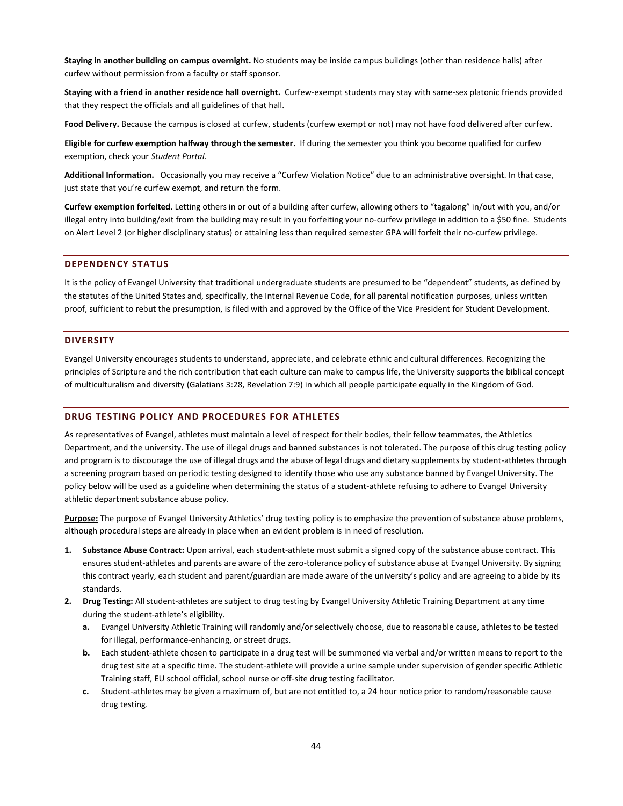**Staying in another building on campus overnight.** No students may be inside campus buildings (other than residence halls) after curfew without permission from a faculty or staff sponsor.

**Staying with a friend in another residence hall overnight.** Curfew-exempt students may stay with same-sex platonic friends provided that they respect the officials and all guidelines of that hall.

**Food Delivery.** Because the campus is closed at curfew, students (curfew exempt or not) may not have food delivered after curfew.

**Eligible for curfew exemption halfway through the semester.** If during the semester you think you become qualified for curfew exemption, check your *Student Portal.*

**Additional Information.** Occasionally you may receive a "Curfew Violation Notice" due to an administrative oversight. In that case, just state that you're curfew exempt, and return the form.

**Curfew exemption forfeited**. Letting others in or out of a building after curfew, allowing others to "tagalong" in/out with you, and/or illegal entry into building/exit from the building may result in you forfeiting your no-curfew privilege in addition to a \$50 fine. Students on Alert Level 2 (or higher disciplinary status) or attaining less than required semester GPA will forfeit their no-curfew privilege.

#### <span id="page-44-0"></span>**DEPENDENCY STATUS**

It is the policy of Evangel University that traditional undergraduate students are presumed to be "dependent" students, as defined by the statutes of the United States and, specifically, the Internal Revenue Code, for all parental notification purposes, unless written proof, sufficient to rebut the presumption, is filed with and approved by the Office of the Vice President for Student Development.

#### <span id="page-44-1"></span>**DIVERSITY**

Evangel University encourages students to understand, appreciate, and celebrate ethnic and cultural differences. Recognizing the principles of Scripture and the rich contribution that each culture can make to campus life, the University supports the biblical concept of multiculturalism and diversity (Galatians 3:28, Revelation 7:9) in which all people participate equally in the Kingdom of God.

#### <span id="page-44-2"></span>**DRUG TESTING POLICY AND PROCEDURES FOR ATHLETES**

As representatives of Evangel, athletes must maintain a level of respect for their bodies, their fellow teammates, the Athletics Department, and the university. The use of illegal drugs and banned substances is not tolerated. The purpose of this drug testing policy and program is to discourage the use of illegal drugs and the abuse of legal drugs and dietary supplements by student-athletes through a screening program based on periodic testing designed to identify those who use any substance banned by Evangel University. The policy below will be used as a guideline when determining the status of a student-athlete refusing to adhere to Evangel University athletic department substance abuse policy.

**Purpose:** The purpose of Evangel University Athletics' drug testing policy is to emphasize the prevention of substance abuse problems, although procedural steps are already in place when an evident problem is in need of resolution.

- **1. Substance Abuse Contract:** Upon arrival, each student-athlete must submit a signed copy of the substance abuse contract. This ensures student-athletes and parents are aware of the zero-tolerance policy of substance abuse at Evangel University. By signing this contract yearly, each student and parent/guardian are made aware of the university's policy and are agreeing to abide by its standards.
- **2. Drug Testing:** All student-athletes are subject to drug testing by Evangel University Athletic Training Department at any time during the student-athlete's eligibility.
	- **a.** Evangel University Athletic Training will randomly and/or selectively choose, due to reasonable cause, athletes to be tested for illegal, performance-enhancing, or street drugs.
	- **b.** Each student-athlete chosen to participate in a drug test will be summoned via verbal and/or written means to report to the drug test site at a specific time. The student-athlete will provide a urine sample under supervision of gender specific Athletic Training staff, EU school official, school nurse or off-site drug testing facilitator.
	- **c.** Student-athletes may be given a maximum of, but are not entitled to, a 24 hour notice prior to random/reasonable cause drug testing.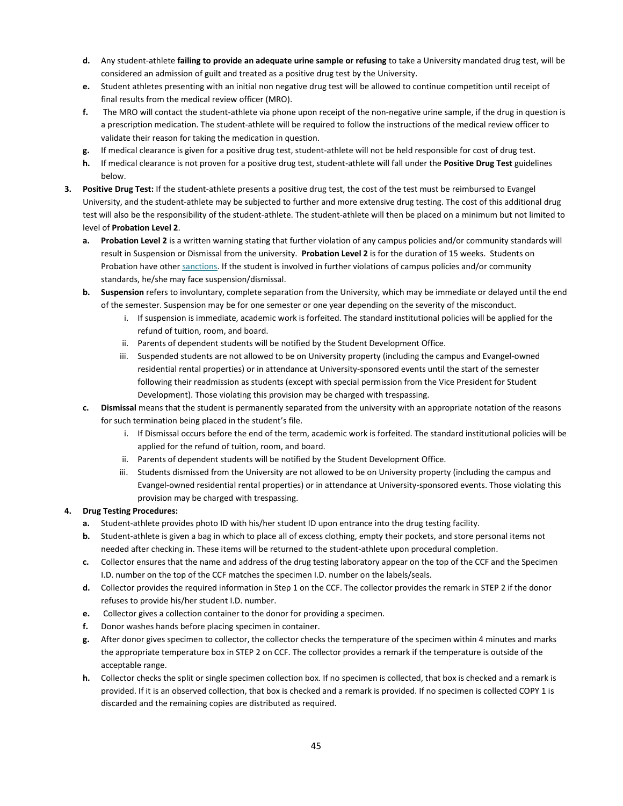- **d.** Any student-athlete **failing to provide an adequate urine sample or refusing** to take a University mandated drug test, will be considered an admission of guilt and treated as a positive drug test by the University.
- **e.** Student athletes presenting with an initial non negative drug test will be allowed to continue competition until receipt of final results from the medical review officer (MRO).
- **f.** The MRO will contact the student-athlete via phone upon receipt of the non-negative urine sample, if the drug in question is a prescription medication. The student-athlete will be required to follow the instructions of the medical review officer to validate their reason for taking the medication in question.
- **g.** If medical clearance is given for a positive drug test, student-athlete will not be held responsible for cost of drug test.
- **h.** If medical clearance is not proven for a positive drug test, student-athlete will fall under the **Positive Drug Test** guidelines below.
- **3. Positive Drug Test:** If the student-athlete presents a positive drug test, the cost of the test must be reimbursed to Evangel University, and the student-athlete may be subjected to further and more extensive drug testing. The cost of this additional drug test will also be the responsibility of the student-athlete. The student-athlete will then be placed on a minimum but not limited to level of **Probation Level 2**.
	- **a. Probation Level 2** is a written warning stating that further violation of any campus policies and/or community standards will result in Suspension or Dismissal from the university. **Probation Level 2** is for the duration of 15 weeks. Students on Probation have othe[r sanctions.](#page-30-1) If the student is involved in further violations of campus policies and/or community standards, he/she may face suspension/dismissal.
	- **b. Suspension** refers to involuntary, complete separation from the University, which may be immediate or delayed until the end of the semester. Suspension may be for one semester or one year depending on the severity of the misconduct.
		- i. If suspension is immediate, academic work is forfeited. The standard institutional policies will be applied for the refund of tuition, room, and board.
		- ii. Parents of dependent students will be notified by the Student Development Office.
		- iii. Suspended students are not allowed to be on University property (including the campus and Evangel-owned residential rental properties) or in attendance at University-sponsored events until the start of the semester following their readmission as students (except with special permission from the Vice President for Student Development). Those violating this provision may be charged with trespassing.
	- **c. Dismissal** means that the student is permanently separated from the university with an appropriate notation of the reasons for such termination being placed in the student's file.
		- i. If Dismissal occurs before the end of the term, academic work is forfeited. The standard institutional policies will be applied for the refund of tuition, room, and board.
		- ii. Parents of dependent students will be notified by the Student Development Office.
		- iii. Students dismissed from the University are not allowed to be on University property (including the campus and Evangel-owned residential rental properties) or in attendance at University-sponsored events. Those violating this provision may be charged with trespassing.

# **4. Drug Testing Procedures:**

- **a.** Student-athlete provides photo ID with his/her student ID upon entrance into the drug testing facility.
- **b.** Student-athlete is given a bag in which to place all of excess clothing, empty their pockets, and store personal items not needed after checking in. These items will be returned to the student-athlete upon procedural completion.
- **c.** Collector ensures that the name and address of the drug testing laboratory appear on the top of the CCF and the Specimen I.D. number on the top of the CCF matches the specimen I.D. number on the labels/seals.
- **d.** Collector provides the required information in Step 1 on the CCF. The collector provides the remark in STEP 2 if the donor refuses to provide his/her student I.D. number.
- **e.** Collector gives a collection container to the donor for providing a specimen.
- **f.** Donor washes hands before placing specimen in container.
- **g.** After donor gives specimen to collector, the collector checks the temperature of the specimen within 4 minutes and marks the appropriate temperature box in STEP 2 on CCF. The collector provides a remark if the temperature is outside of the acceptable range.
- **h.** Collector checks the split or single specimen collection box. If no specimen is collected, that box is checked and a remark is provided. If it is an observed collection, that box is checked and a remark is provided. If no specimen is collected COPY 1 is discarded and the remaining copies are distributed as required.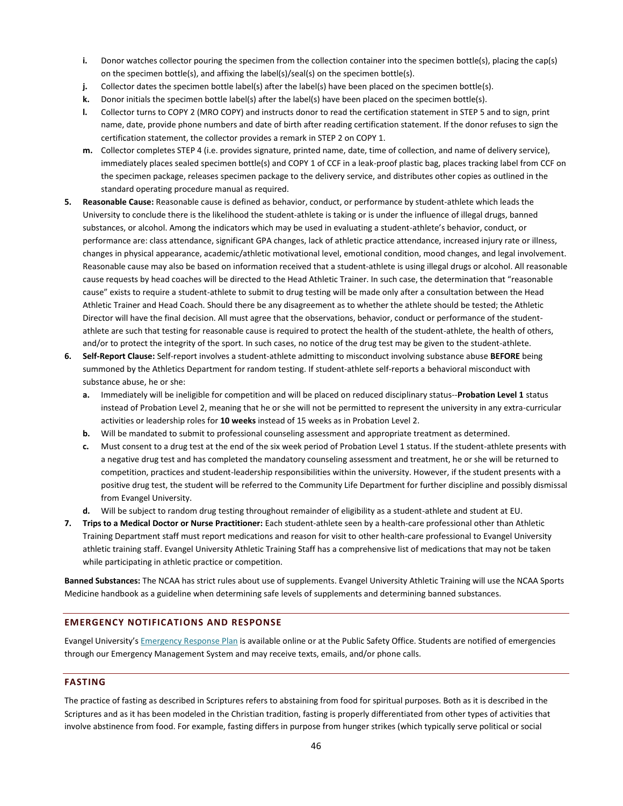- **i.** Donor watches collector pouring the specimen from the collection container into the specimen bottle(s), placing the cap(s) on the specimen bottle(s), and affixing the label(s)/seal(s) on the specimen bottle(s).
- **j.** Collector dates the specimen bottle label(s) after the label(s) have been placed on the specimen bottle(s).
- **k.** Donor initials the specimen bottle label(s) after the label(s) have been placed on the specimen bottle(s).
- **l.** Collector turns to COPY 2 (MRO COPY) and instructs donor to read the certification statement in STEP 5 and to sign, print name, date, provide phone numbers and date of birth after reading certification statement. If the donor refuses to sign the certification statement, the collector provides a remark in STEP 2 on COPY 1.
- **m.** Collector completes STEP 4 (i.e. provides signature, printed name, date, time of collection, and name of delivery service), immediately places sealed specimen bottle(s) and COPY 1 of CCF in a leak-proof plastic bag, places tracking label from CCF on the specimen package, releases specimen package to the delivery service, and distributes other copies as outlined in the standard operating procedure manual as required.
- **5. Reasonable Cause:** Reasonable cause is defined as behavior, conduct, or performance by student-athlete which leads the University to conclude there is the likelihood the student-athlete is taking or is under the influence of illegal drugs, banned substances, or alcohol. Among the indicators which may be used in evaluating a student-athlete's behavior, conduct, or performance are: class attendance, significant GPA changes, lack of athletic practice attendance, increased injury rate or illness, changes in physical appearance, academic/athletic motivational level, emotional condition, mood changes, and legal involvement. Reasonable cause may also be based on information received that a student-athlete is using illegal drugs or alcohol. All reasonable cause requests by head coaches will be directed to the Head Athletic Trainer. In such case, the determination that "reasonable cause" exists to require a student-athlete to submit to drug testing will be made only after a consultation between the Head Athletic Trainer and Head Coach. Should there be any disagreement as to whether the athlete should be tested; the Athletic Director will have the final decision. All must agree that the observations, behavior, conduct or performance of the studentathlete are such that testing for reasonable cause is required to protect the health of the student-athlete, the health of others, and/or to protect the integrity of the sport. In such cases, no notice of the drug test may be given to the student-athlete.
- **6. Self-Report Clause:** Self-report involves a student-athlete admitting to misconduct involving substance abuse **BEFORE** being summoned by the Athletics Department for random testing. If student-athlete self-reports a behavioral misconduct with substance abuse, he or she:
	- **a.** Immediately will be ineligible for competition and will be placed on reduced disciplinary status--**Probation Level 1** status instead of Probation Level 2, meaning that he or she will not be permitted to represent the university in any extra-curricular activities or leadership roles for **10 weeks** instead of 15 weeks as in Probation Level 2.
	- **b.** Will be mandated to submit to professional counseling assessment and appropriate treatment as determined.
	- **c.** Must consent to a drug test at the end of the six week period of Probation Level 1 status. If the student-athlete presents with a negative drug test and has completed the mandatory counseling assessment and treatment, he or she will be returned to competition, practices and student-leadership responsibilities within the university. However, if the student presents with a positive drug test, the student will be referred to the Community Life Department for further discipline and possibly dismissal from Evangel University.
	- **d.** Will be subject to random drug testing throughout remainder of eligibility as a student-athlete and student at EU.
- **7. Trips to a Medical Doctor or Nurse Practitioner:** Each student-athlete seen by a health-care professional other than Athletic Training Department staff must report medications and reason for visit to other health-care professional to Evangel University athletic training staff. Evangel University Athletic Training Staff has a comprehensive list of medications that may not be taken while participating in athletic practice or competition.

**Banned Substances:** The NCAA has strict rules about use of supplements. Evangel University Athletic Training will use the NCAA Sports Medicine handbook as a guideline when determining safe levels of supplements and determining banned substances.

# <span id="page-46-0"></span>**EMERGENCY NOTIFICATIONS AND RESPONSE**

Evangel University's **[Emergency Response Plan](http://www.evangel.edu/financial/more-information/consumer-information/emergency-or-crisis-plan/)** is available online or at the Public Safety Office. Students are notified of emergencies through our Emergency Management System and may receive texts, emails, and/or phone calls.

#### <span id="page-46-1"></span>**FASTING**

The practice of fasting as described in Scriptures refers to abstaining from food for spiritual purposes. Both as it is described in the Scriptures and as it has been modeled in the Christian tradition, fasting is properly differentiated from other types of activities that involve abstinence from food. For example, fasting differs in purpose from hunger strikes (which typically serve political or social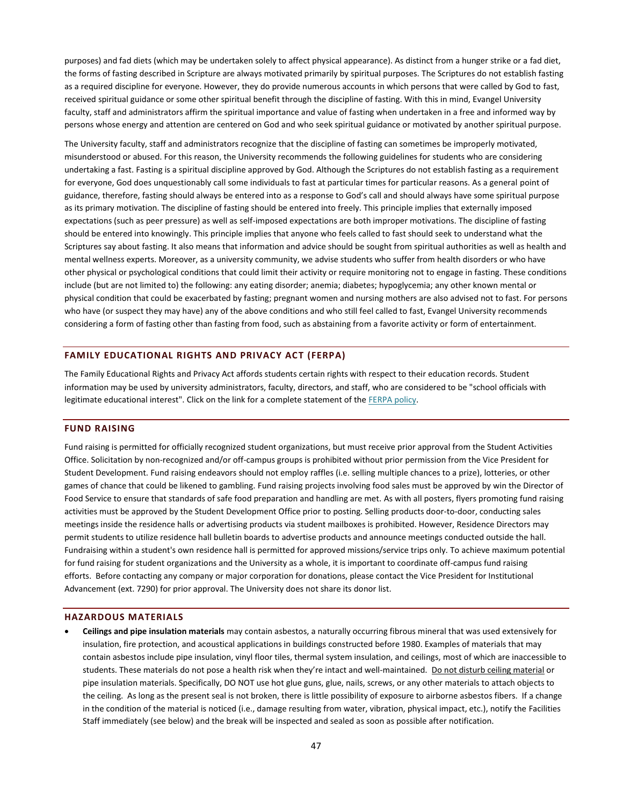purposes) and fad diets (which may be undertaken solely to affect physical appearance). As distinct from a hunger strike or a fad diet, the forms of fasting described in Scripture are always motivated primarily by spiritual purposes. The Scriptures do not establish fasting as a required discipline for everyone. However, they do provide numerous accounts in which persons that were called by God to fast, received spiritual guidance or some other spiritual benefit through the discipline of fasting. With this in mind, Evangel University faculty, staff and administrators affirm the spiritual importance and value of fasting when undertaken in a free and informed way by persons whose energy and attention are centered on God and who seek spiritual guidance or motivated by another spiritual purpose.

The University faculty, staff and administrators recognize that the discipline of fasting can sometimes be improperly motivated, misunderstood or abused. For this reason, the University recommends the following guidelines for students who are considering undertaking a fast. Fasting is a spiritual discipline approved by God. Although the Scriptures do not establish fasting as a requirement for everyone, God does unquestionably call some individuals to fast at particular times for particular reasons. As a general point of guidance, therefore, fasting should always be entered into as a response to God's call and should always have some spiritual purpose as its primary motivation. The discipline of fasting should be entered into freely. This principle implies that externally imposed expectations (such as peer pressure) as well as self-imposed expectations are both improper motivations. The discipline of fasting should be entered into knowingly. This principle implies that anyone who feels called to fast should seek to understand what the Scriptures say about fasting. It also means that information and advice should be sought from spiritual authorities as well as health and mental wellness experts. Moreover, as a university community, we advise students who suffer from health disorders or who have other physical or psychological conditions that could limit their activity or require monitoring not to engage in fasting. These conditions include (but are not limited to) the following: any eating disorder; anemia; diabetes; hypoglycemia; any other known mental or physical condition that could be exacerbated by fasting; pregnant women and nursing mothers are also advised not to fast. For persons who have (or suspect they may have) any of the above conditions and who still feel called to fast, Evangel University recommends considering a form of fasting other than fasting from food, such as abstaining from a favorite activity or form of entertainment.

#### <span id="page-47-0"></span>**FAMILY EDUCATIONAL RIGHTS AND PRIVACY ACT (FERPA)**

The Family Educational Rights and Privacy Act affords students certain rights with respect to their education records. Student information may be used by university administrators, faculty, directors, and staff, who are considered to be "school officials with legitimate educational interest". Click on the link for a complete statement of th[e FERPA policy.](http://www2.ed.gov/policy/gen/guid/fpco/ferpa/index.html)

#### <span id="page-47-1"></span>**FUND RAISING**

Fund raising is permitted for officially recognized student organizations, but must receive prior approval from the Student Activities Office. Solicitation by non-recognized and/or off-campus groups is prohibited without prior permission from the Vice President for Student Development. Fund raising endeavors should not employ raffles (i.e. selling multiple chances to a prize), lotteries, or other games of chance that could be likened to gambling. Fund raising projects involving food sales must be approved by win the Director of Food Service to ensure that standards of safe food preparation and handling are met. As with all posters, flyers promoting fund raising activities must be approved by the Student Development Office prior to posting. Selling products door-to-door, conducting sales meetings inside the residence halls or advertising products via student mailboxes is prohibited. However, Residence Directors may permit students to utilize residence hall bulletin boards to advertise products and announce meetings conducted outside the hall. Fundraising within a student's own residence hall is permitted for approved missions/service trips only. To achieve maximum potential for fund raising for student organizations and the University as a whole, it is important to coordinate off-campus fund raising efforts. Before contacting any company or major corporation for donations, please contact the Vice President for Institutional Advancement (ext. 7290) for prior approval. The University does not share its donor list.

#### <span id="page-47-2"></span>**HAZARDOUS MATERIALS**

 **Ceilings and pipe insulation materials** may contain asbestos, a naturally occurring fibrous mineral that was used extensively for insulation, fire protection, and acoustical applications in buildings constructed before 1980. Examples of materials that may contain asbestos include pipe insulation, vinyl floor tiles, thermal system insulation, and ceilings, most of which are inaccessible to students. These materials do not pose a health risk when they're intact and well-maintained. Do not disturb ceiling material or pipe insulation materials. Specifically, DO NOT use hot glue guns, glue, nails, screws, or any other materials to attach objects to the ceiling. As long as the present seal is not broken, there is little possibility of exposure to airborne asbestos fibers. If a change in the condition of the material is noticed (i.e., damage resulting from water, vibration, physical impact, etc.), notify the Facilities Staff immediately (see below) and the break will be inspected and sealed as soon as possible after notification.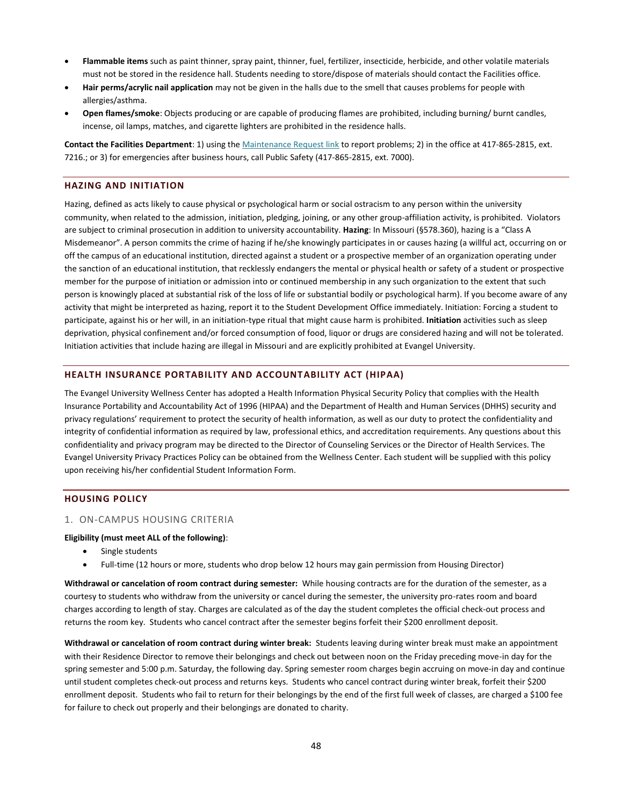- **Flammable items** such as paint thinner, spray paint, thinner, fuel, fertilizer, insecticide, herbicide, and other volatile materials must not be stored in the residence hall. Students needing to store/dispose of materials should contact the Facilities office.
- **Hair perms/acrylic nail application** may not be given in the halls due to the smell that causes problems for people with allergies/asthma.
- **Open flames/smoke**: Objects producing or are capable of producing flames are prohibited, including burning/ burnt candles, incense, oil lamps, matches, and cigarette lighters are prohibited in the residence halls.

**Contact the Facilities Department**: 1) using th[e Maintenance Request link](https://www.myschoolbuilding.com/myschoolbuilding/myrequest.asp) to report problems; 2) in the office at 417-865-2815, ext. 7216.; or 3) for emergencies after business hours, call Public Safety (417-865-2815, ext. 7000).

#### <span id="page-48-0"></span>**HAZING AND INITIATION**

Hazing, defined as acts likely to cause physical or psychological harm or social ostracism to any person within the university community, when related to the admission, initiation, pledging, joining, or any other group-affiliation activity, is prohibited. Violators are subject to criminal prosecution in addition to university accountability. **Hazing**: In Missouri (§578.360), hazing is a "Class A Misdemeanor". A person commits the crime of hazing if he/she knowingly participates in or causes hazing (a willful act, occurring on or off the campus of an educational institution, directed against a student or a prospective member of an organization operating under the sanction of an educational institution, that recklessly endangers the mental or physical health or safety of a student or prospective member for the purpose of initiation or admission into or continued membership in any such organization to the extent that such person is knowingly placed at substantial risk of the loss of life or substantial bodily or psychological harm). If you become aware of any activity that might be interpreted as hazing, report it to the Student Development Office immediately. Initiation: Forcing a student to participate, against his or her will, in an initiation-type ritual that might cause harm is prohibited. **Initiation** activities such as sleep deprivation, physical confinement and/or forced consumption of food, liquor or drugs are considered hazing and will not be tolerated. Initiation activities that include hazing are illegal in Missouri and are explicitly prohibited at Evangel University.

#### <span id="page-48-1"></span>**HEALTH INSURANCE PORTABILITY AND ACCOUNTABILITY ACT (HIPAA)**

The Evangel University Wellness Center has adopted a Health Information Physical Security Policy that complies with the Health Insurance Portability and Accountability Act of 1996 (HIPAA) and the Department of Health and Human Services (DHHS) security and privacy regulations' requirement to protect the security of health information, as well as our duty to protect the confidentiality and integrity of confidential information as required by law, professional ethics, and accreditation requirements. Any questions about this confidentiality and privacy program may be directed to the Director of Counseling Services or the Director of Health Services. The Evangel University Privacy Practices Policy can be obtained from the Wellness Center. Each student will be supplied with this policy upon receiving his/her confidential Student Information Form.

#### <span id="page-48-2"></span>**HOUSING POLICY**

#### 1. ON-CAMPUS HOUSING CRITERIA

#### **Eligibility (must meet ALL of the following)**:

- Single students
- Full-time (12 hours or more, students who drop below 12 hours may gain permission from Housing Director)

**Withdrawal or cancelation of room contract during semester:** While housing contracts are for the duration of the semester, as a courtesy to students who withdraw from the university or cancel during the semester, the university pro-rates room and board charges according to length of stay. Charges are calculated as of the day the student completes the official check-out process and returns the room key. Students who cancel contract after the semester begins forfeit their \$200 enrollment deposit.

**Withdrawal or cancelation of room contract during winter break:** Students leaving during winter break must make an appointment with their Residence Director to remove their belongings and check out between noon on the Friday preceding move-in day for the spring semester and 5:00 p.m. Saturday, the following day. Spring semester room charges begin accruing on move-in day and continue until student completes check-out process and returns keys. Students who cancel contract during winter break, forfeit their \$200 enrollment deposit. Students who fail to return for their belongings by the end of the first full week of classes, are charged a \$100 fee for failure to check out properly and their belongings are donated to charity.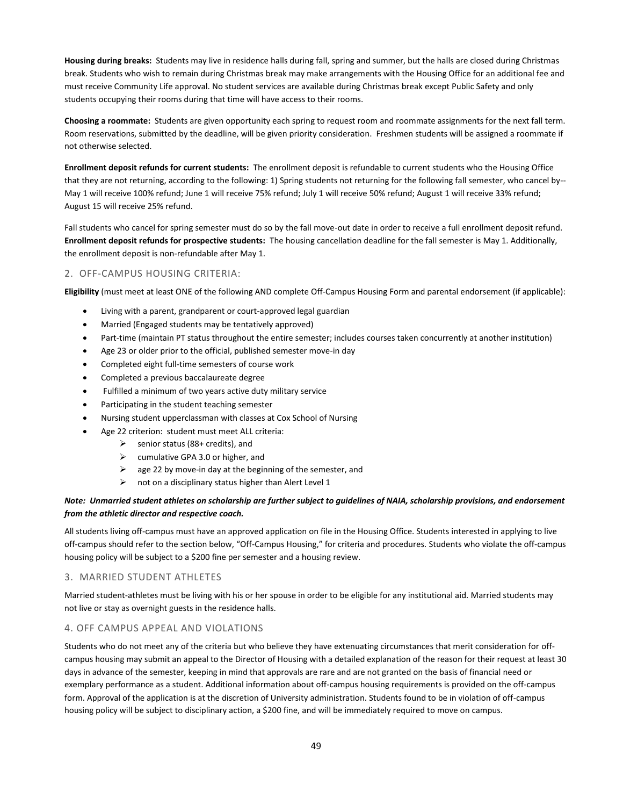**Housing during breaks:** Students may live in residence halls during fall, spring and summer, but the halls are closed during Christmas break. Students who wish to remain during Christmas break may make arrangements with the Housing Office for an additional fee and must receive Community Life approval. No student services are available during Christmas break except Public Safety and only students occupying their rooms during that time will have access to their rooms.

**Choosing a roommate:** Students are given opportunity each spring to request room and roommate assignments for the next fall term. Room reservations, submitted by the deadline, will be given priority consideration. Freshmen students will be assigned a roommate if not otherwise selected.

**Enrollment deposit refunds for current students:** The enrollment deposit is refundable to current students who the Housing Office that they are not returning, according to the following: 1) Spring students not returning for the following fall semester, who cancel by-- May 1 will receive 100% refund; June 1 will receive 75% refund; July 1 will receive 50% refund; August 1 will receive 33% refund; August 15 will receive 25% refund.

Fall students who cancel for spring semester must do so by the fall move-out date in order to receive a full enrollment deposit refund. **Enrollment deposit refunds for prospective students:** The housing cancellation deadline for the fall semester is May 1. Additionally, the enrollment deposit is non-refundable after May 1.

# 2. OFF-CAMPUS HOUSING CRITERIA:

**Eligibility** (must meet at least ONE of the following AND complete Off-Campus Housing Form and parental endorsement (if applicable):

- Living with a parent, grandparent or court-approved legal guardian
- Married (Engaged students may be tentatively approved)
- Part-time (maintain PT status throughout the entire semester; includes courses taken concurrently at another institution)
- Age 23 or older prior to the official, published semester move-in day
- Completed eight full-time semesters of course work
- Completed a previous baccalaureate degree
- Fulfilled a minimum of two years active duty military service
- Participating in the student teaching semester
- Nursing student upperclassman with classes at Cox School of Nursing
- Age 22 criterion: student must meet ALL criteria:
	- $\triangleright$  senior status (88+ credits), and
	- $\triangleright$  cumulative GPA 3.0 or higher, and
	- $\triangleright$  age 22 by move-in day at the beginning of the semester, and
	- $\triangleright$  not on a disciplinary status higher than Alert Level 1

# *Note: Unmarried student athletes on scholarship are further subject to guidelines of NAIA, scholarship provisions, and endorsement from the athletic director and respective coach.*

All students living off-campus must have an approved application on file in the Housing Office. Students interested in applying to live off-campus should refer to the section below, "Off-Campus Housing," for criteria and procedures. Students who violate the off-campus housing policy will be subject to a \$200 fine per semester and a housing review.

#### 3. MARRIED STUDENT ATHLETES

Married student-athletes must be living with his or her spouse in order to be eligible for any institutional aid. Married students may not live or stay as overnight guests in the residence halls.

#### 4. OFF CAMPUS APPEAL AND VIOLATIONS

Students who do not meet any of the criteria but who believe they have extenuating circumstances that merit consideration for offcampus housing may submit an appeal to the Director of Housing with a detailed explanation of the reason for their request at least 30 days in advance of the semester, keeping in mind that approvals are rare and are not granted on the basis of financial need or exemplary performance as a student. Additional information about off-campus housing requirements is provided on the off-campus form. Approval of the application is at the discretion of University administration. Students found to be in violation of off-campus housing policy will be subject to disciplinary action, a \$200 fine, and will be immediately required to move on campus.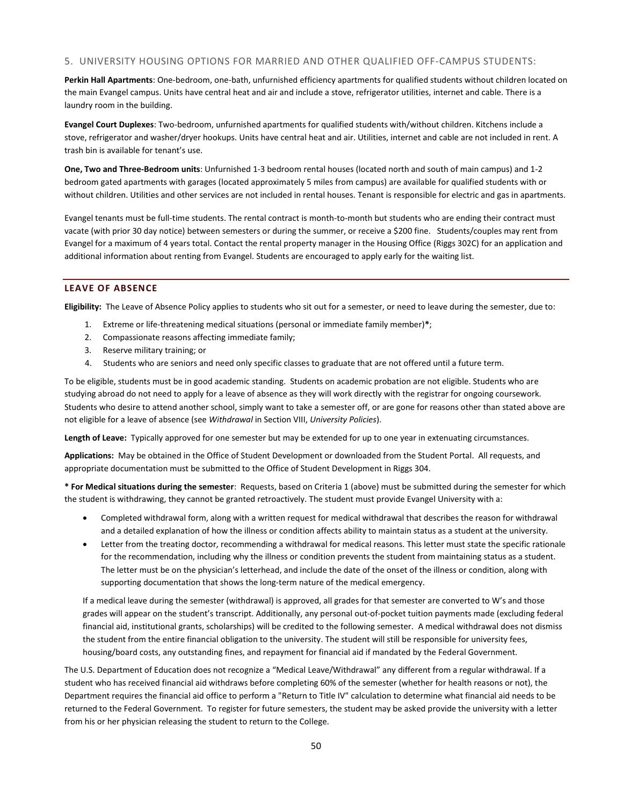#### 5. UNIVERSITY HOUSING OPTIONS FOR MARRIED AND OTHER QUALIFIED OFF-CAMPUS STUDENTS:

Perkin Hall Apartments: One-bedroom, one-bath, unfurnished efficiency apartments for qualified students without children located on the main Evangel campus. Units have central heat and air and include a stove, refrigerator utilities, internet and cable. There is a laundry room in the building.

**Evangel Court Duplexes**: Two-bedroom, unfurnished apartments for qualified students with/without children. Kitchens include a stove, refrigerator and washer/dryer hookups. Units have central heat and air. Utilities, internet and cable are not included in rent. A trash bin is available for tenant's use.

**One, Two and Three-Bedroom units**: Unfurnished 1-3 bedroom rental houses (located north and south of main campus) and 1-2 bedroom gated apartments with garages (located approximately 5 miles from campus) are available for qualified students with or without children. Utilities and other services are not included in rental houses. Tenant is responsible for electric and gas in apartments.

Evangel tenants must be full-time students. The rental contract is month-to-month but students who are ending their contract must vacate (with prior 30 day notice) between semesters or during the summer, or receive a \$200 fine. Students/couples may rent from Evangel for a maximum of 4 years total. Contact the rental property manager in the Housing Office (Riggs 302C) for an application and additional information about renting from Evangel. Students are encouraged to apply early for the waiting list.

# <span id="page-50-0"></span>**LEAVE OF ABSENCE**

**Eligibility:** The Leave of Absence Policy applies to students who sit out for a semester, or need to leave during the semester, due to:

- 1. Extreme or life-threatening medical situations (personal or immediate family member)**\***;
- 2. Compassionate reasons affecting immediate family;
- 3. Reserve military training; or
- 4. Students who are seniors and need only specific classes to graduate that are not offered until a future term.

To be eligible, students must be in good academic standing. Students on academic probation are not eligible. Students who are studying abroad do not need to apply for a leave of absence as they will work directly with the registrar for ongoing coursework. Students who desire to attend another school, simply want to take a semester off, or are gone for reasons other than stated above are not eligible for a leave of absence (see *Withdrawal* in Section VIII, *University Policies*).

**Length of Leave:** Typically approved for one semester but may be extended for up to one year in extenuating circumstances.

**Applications:** May be obtained in the Office of Student Development or downloaded from the Student Portal. All requests, and appropriate documentation must be submitted to the Office of Student Development in Riggs 304.

**\* For Medical situations during the semester**: Requests, based on Criteria 1 (above) must be submitted during the semester for which the student is withdrawing, they cannot be granted retroactively. The student must provide Evangel University with a:

- Completed withdrawal form, along with a written request for medical withdrawal that describes the reason for withdrawal and a detailed explanation of how the illness or condition affects ability to maintain status as a student at the university.
- Letter from the treating doctor, recommending a withdrawal for medical reasons. This letter must state the specific rationale for the recommendation, including why the illness or condition prevents the student from maintaining status as a student. The letter must be on the physician's letterhead, and include the date of the onset of the illness or condition, along with supporting documentation that shows the long-term nature of the medical emergency.

If a medical leave during the semester (withdrawal) is approved, all grades for that semester are converted to W's and those grades will appear on the student's transcript. Additionally, any personal out-of-pocket tuition payments made (excluding federal financial aid, institutional grants, scholarships) will be credited to the following semester. A medical withdrawal does not dismiss the student from the entire financial obligation to the university. The student will still be responsible for university fees, housing/board costs, any outstanding fines, and repayment for financial aid if mandated by the Federal Government.

The U.S. Department of Education does not recognize a "Medical Leave/Withdrawal" any different from a regular withdrawal. If a student who has received financial aid withdraws before completing 60% of the semester (whether for health reasons or not), the Department requires the financial aid office to perform a "Return to Title IV" calculation to determine what financial aid needs to be returned to the Federal Government. To register for future semesters, the student may be asked provide the university with a letter from his or her physician releasing the student to return to the College.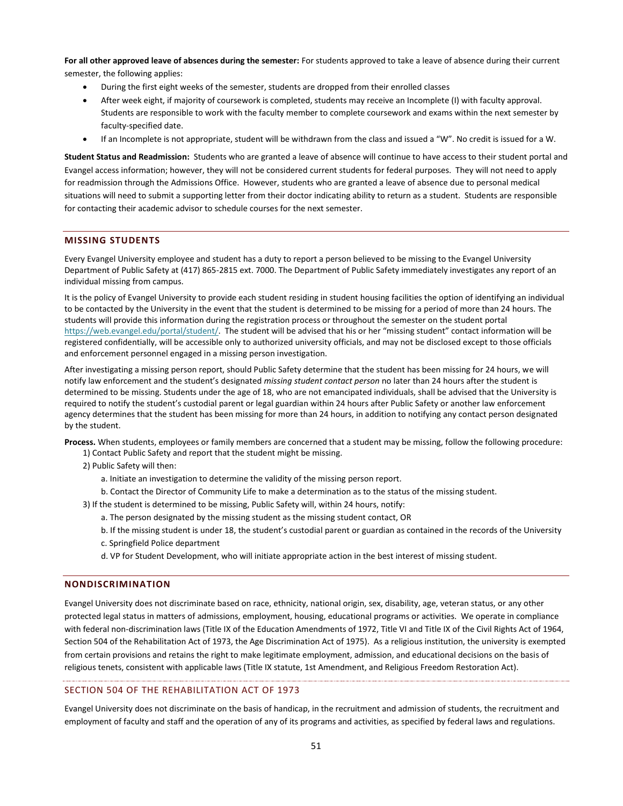**For all other approved leave of absences during the semester:** For students approved to take a leave of absence during their current semester, the following applies:

- During the first eight weeks of the semester, students are dropped from their enrolled classes
- After week eight, if majority of coursework is completed, students may receive an Incomplete (I) with faculty approval. Students are responsible to work with the faculty member to complete coursework and exams within the next semester by faculty-specified date.
- If an Incomplete is not appropriate, student will be withdrawn from the class and issued a "W". No credit is issued for a W.

**Student Status and Readmission:** Students who are granted a leave of absence will continue to have access to their student portal and Evangel access information; however, they will not be considered current students for federal purposes. They will not need to apply for readmission through the Admissions Office. However, students who are granted a leave of absence due to personal medical situations will need to submit a supporting letter from their doctor indicating ability to return as a student. Students are responsible for contacting their academic advisor to schedule courses for the next semester.

## <span id="page-51-0"></span>**MISSING STUDENTS**

Every Evangel University employee and student has a duty to report a person believed to be missing to the Evangel University Department of Public Safety at (417) 865-2815 ext. 7000. The Department of Public Safety immediately investigates any report of an individual missing from campus.

It is the policy of Evangel University to provide each student residing in student housing facilities the option of identifying an individual to be contacted by the University in the event that the student is determined to be missing for a period of more than 24 hours. The students will provide this information during the registration process or throughout the semester on the student portal <https://web.evangel.edu/portal/student/>. The student will be advised that his or her "missing student" contact information will be registered confidentially, will be accessible only to authorized university officials, and may not be disclosed except to those officials and enforcement personnel engaged in a missing person investigation.

After investigating a missing person report, should Public Safety determine that the student has been missing for 24 hours, we will notify law enforcement and the student's designated *missing student contact person* no later than 24 hours after the student is determined to be missing. Students under the age of 18, who are not emancipated individuals, shall be advised that the University is required to notify the student's custodial parent or legal guardian within 24 hours after Public Safety or another law enforcement agency determines that the student has been missing for more than 24 hours, in addition to notifying any contact person designated by the student.

**Process.** When students, employees or family members are concerned that a student may be missing, follow the following procedure:

1) Contact Public Safety and report that the student might be missing.

- 2) Public Safety will then:
	- a. Initiate an investigation to determine the validity of the missing person report.
	- b. Contact the Director of Community Life to make a determination as to the status of the missing student.

3) If the student is determined to be missing, Public Safety will, within 24 hours, notify:

- a. The person designated by the missing student as the missing student contact, OR
- b. If the missing student is under 18, the student's custodial parent or guardian as contained in the records of the University c. Springfield Police department
- d. VP for Student Development, who will initiate appropriate action in the best interest of missing student.

#### <span id="page-51-1"></span>**NONDISCRIMINATION**

Evangel University does not discriminate based on race, ethnicity, national origin, sex, disability, age, veteran status, or any other protected legal status in matters of admissions, employment, housing, educational programs or activities. We operate in compliance with federal non-discrimination laws (Title IX of the Education Amendments of 1972, Title VI and Title IX of the Civil Rights Act of 1964, Section 504 of the Rehabilitation Act of 1973, the Age Discrimination Act of 1975). As a religious institution, the university is exempted from certain provisions and retains the right to make legitimate employment, admission, and educational decisions on the basis of religious tenets, consistent with applicable laws (Title IX statute, 1st Amendment, and Religious Freedom Restoration Act).

#### SECTION 504 OF THE REHABILITATION ACT OF 1973

Evangel University does not discriminate on the basis of handicap, in the recruitment and admission of students, the recruitment and employment of faculty and staff and the operation of any of its programs and activities, as specified by federal laws and regulations.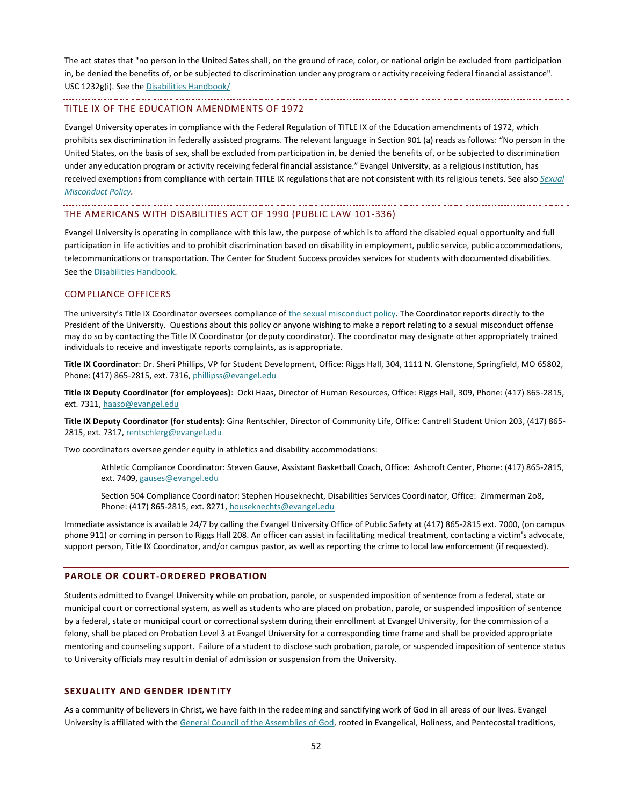The act states that "no person in the United Sates shall, on the ground of race, color, or national origin be excluded from participation in, be denied the benefits of, or be subjected to discrimination under any program or activity receiving federal financial assistance". USC 1232g(i). See the [Disabilities Handbook/](http://www.evangel.edu/financial/more-information/consumer-information/students-with-disabilities-handbook/)

#### TITLE IX OF THE EDUCATION AMENDMENTS OF 1972

Evangel University operates in compliance with the Federal Regulation of TITLE IX of the Education amendments of 1972, which prohibits sex discrimination in federally assisted programs. The relevant language in Section 901 (a) reads as follows: "No person in the United States, on the basis of sex, shall be excluded from participation in, be denied the benefits of, or be subjected to discrimination under any education program or activity receiving federal financial assistance." Evangel University, as a religious institution, has received exemptions from compliance with certain TITLE IX regulations that are not consistent with its religious tenets. See also *[Sexual](#page-53-0)  [Misconduct](#page-53-0) Policy.*

#### THE AMERICANS WITH DISABILITIES ACT OF 1990 (PUBLIC LAW 101-336)

Evangel University is operating in compliance with this law, the purpose of which is to afford the disabled equal opportunity and full participation in life activities and to prohibit discrimination based on disability in employment, public service, public accommodations, telecommunications or transportation. The Center for Student Success provides services for students with documented disabilities. See th[e Disabilities Handbook.](http://www.evangel.edu/financial/more-information/consumer-information/students-with-disabilities-handbook/)

#### <span id="page-52-2"></span>COMPLIANCE OFFICERS

The university's Title IX Coordinator oversees compliance of [the sexual misconduct policy.](https://web.evangel.edu/Portal/Student/Services/SexBasedOffensesPolicyandProcedures.pdf) The Coordinator reports directly to the President of the University. Questions about this policy or anyone wishing to make a report relating to a sexual misconduct offense may do so by contacting the Title IX Coordinator (or deputy coordinator). The coordinator may designate other appropriately trained individuals to receive and investigate reports complaints, as is appropriate.

**Title IX Coordinator**: Dr. Sheri Phillips, VP for Student Development, Office: Riggs Hall, 304, 1111 N. Glenstone, Springfield, MO 65802, Phone: (417) 865-2815, ext. 7316[, phillipss@evangel.edu](mailto:phillipss@evangel.edu)

**Title IX Deputy Coordinator (for employees)**: Ocki Haas, Director of Human Resources, Office: Riggs Hall, 309, Phone: (417) 865-2815, ext. 7311[, haaso@evangel.edu](mailto:haaso@evangel.edu)

**Title IX Deputy Coordinator (for students)**: Gina Rentschler, Director of Community Life, Office: Cantrell Student Union 203, (417) 865- 2815, ext. 7317[, rentschlerg@evangel.edu](mailto:rentschlerg@evangel.edu)

Two coordinators oversee gender equity in athletics and disability accommodations:

Athletic Compliance Coordinator: Steven Gause, Assistant Basketball Coach, Office: Ashcroft Center, Phone: (417) 865-2815, ext. 7409[, gauses@evangel.edu](mailto:gauses@evangel.edu)

Section 504 Compliance Coordinator: Stephen Houseknecht, Disabilities Services Coordinator, Office: Zimmerman 2o8, Phone: (417) 865-2815, ext. 8271[, houseknechts@evangel.edu](mailto:houseknechts@evangel.edu)

Immediate assistance is available 24/7 by calling the Evangel University Office of Public Safety at (417) 865-2815 ext. 7000, (on campus phone 911) or coming in person to Riggs Hall 208. An officer can assist in facilitating medical treatment, contacting a victim's advocate, support person, Title IX Coordinator, and/or campus pastor, as well as reporting the crime to local law enforcement (if requested).

#### <span id="page-52-0"></span>**PAROLE OR COURT-ORDERED PROBATION**

Students admitted to Evangel University while on probation, parole, or suspended imposition of sentence from a federal, state or municipal court or correctional system, as well as students who are placed on probation, parole, or suspended imposition of sentence by a federal, state or municipal court or correctional system during their enrollment at Evangel University, for the commission of a felony, shall be placed on Probation Level 3 at Evangel University for a corresponding time frame and shall be provided appropriate mentoring and counseling support. Failure of a student to disclose such probation, parole, or suspended imposition of sentence status to University officials may result in denial of admission or suspension from the University.

#### <span id="page-52-1"></span>**SEXUALITY AND GENDER IDENTITY**

As a community of believers in Christ, we have faith in the redeeming and sanctifying work of God in all areas of our lives. Evangel University is affiliated with the [General Council of the Assemblies of God,](http://www.ag.org/) rooted in Evangelical, Holiness, and Pentecostal traditions,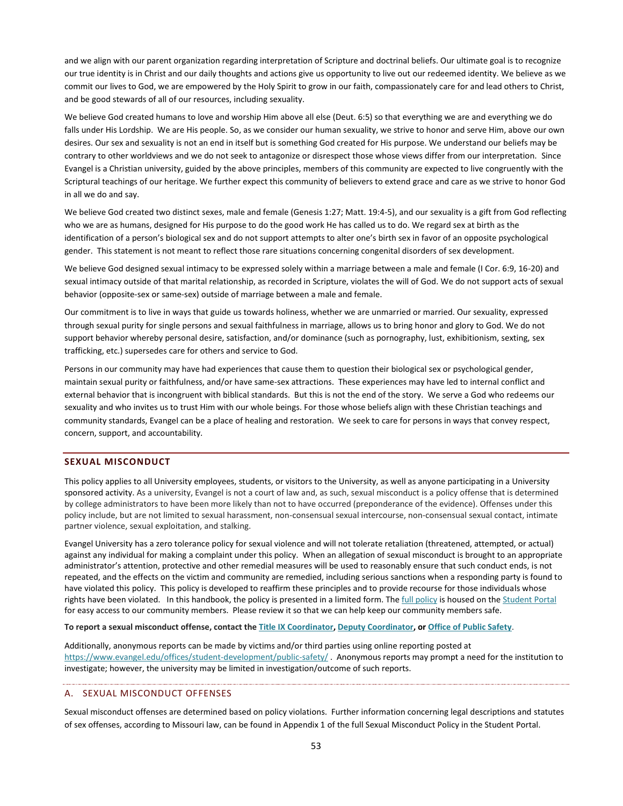and we align with our parent organization regarding interpretation of Scripture and doctrinal beliefs. Our ultimate goal is to recognize our true identity is in Christ and our daily thoughts and actions give us opportunity to live out our redeemed identity. We believe as we commit our lives to God, we are empowered by the Holy Spirit to grow in our faith, compassionately care for and lead others to Christ, and be good stewards of all of our resources, including sexuality.

We believe God created humans to love and worship Him above all else (Deut. 6:5) so that everything we are and everything we do falls under His Lordship. We are His people. So, as we consider our human sexuality, we strive to honor and serve Him, above our own desires. Our sex and sexuality is not an end in itself but is something God created for His purpose. We understand our beliefs may be contrary to other worldviews and we do not seek to antagonize or disrespect those whose views differ from our interpretation. Since Evangel is a Christian university, guided by the above principles, members of this community are expected to live congruently with the Scriptural teachings of our heritage. We further expect this community of believers to extend grace and care as we strive to honor God in all we do and say.

We believe God created two distinct sexes, male and female (Genesis 1:27; Matt. 19:4-5), and our sexuality is a gift from God reflecting who we are as humans, designed for His purpose to do the good work He has called us to do. We regard sex at birth as the identification of a person's biological sex and do not support attempts to alter one's birth sex in favor of an opposite psychological gender. This statement is not meant to reflect those rare situations concerning congenital disorders of sex development.

We believe God designed sexual intimacy to be expressed solely within a marriage between a male and female (I Cor. 6:9, 16-20) and sexual intimacy outside of that marital relationship, as recorded in Scripture, violates the will of God. We do not support acts of sexual behavior (opposite-sex or same-sex) outside of marriage between a male and female.

Our commitment is to live in ways that guide us towards holiness, whether we are unmarried or married. Our sexuality, expressed through sexual purity for single persons and sexual faithfulness in marriage, allows us to bring honor and glory to God. We do not support behavior whereby personal desire, satisfaction, and/or dominance (such as pornography, lust, exhibitionism, sexting, sex trafficking, etc.) supersedes care for others and service to God.

Persons in our community may have had experiences that cause them to question their biological sex or psychological gender, maintain sexual purity or faithfulness, and/or have same-sex attractions. These experiences may have led to internal conflict and external behavior that is incongruent with biblical standards. But this is not the end of the story. We serve a God who redeems our sexuality and who invites us to trust Him with our whole beings. For those whose beliefs align with these Christian teachings and community standards, Evangel can be a place of healing and restoration. We seek to care for persons in ways that convey respect, concern, support, and accountability.

#### <span id="page-53-0"></span>**SEXUAL MISCONDUCT**

This policy applies to all University employees, students, or visitors to the University, as well as anyone participating in a University sponsored activity. As a university, Evangel is not a court of law and, as such, sexual misconduct is a policy offense that is determined by college administrators to have been more likely than not to have occurred (preponderance of the evidence). Offenses under this policy include, but are not limited to sexual harassment, non-consensual sexual intercourse, non-consensual sexual contact, intimate partner violence, sexual exploitation, and stalking.

Evangel University has a zero tolerance policy for sexual violence and will not tolerate retaliation (threatened, attempted, or actual) against any individual for making a complaint under this policy. When an allegation of sexual misconduct is brought to an appropriate administrator's attention, protective and other remedial measures will be used to reasonably ensure that such conduct ends, is not repeated, and the effects on the victim and community are remedied, including serious sanctions when a responding party is found to have violated this policy. This policy is developed to reaffirm these principles and to provide recourse for those individuals whose rights have been violated. In this handbook, the policy is presented in a limited form. The [full policy](https://web.evangel.edu/Portal/Student/Services/SexBasedOffensesPolicyandProcedures.pdf) is housed on th[e Student Portal](https://web.evangel.edu/Portal/Student/Services/index.asp) for easy access to our community members. Please review it so that we can help keep our community members safe.

**To report a sexual misconduct offense, contact th[e Title IX Coordinator,](mailto:phillipss@evangel.edu) [Deputy Coordinator,](mailto:rentschlerg@evangel.edu) or [Office of Public Safety](mailto:revellt@evangel.edu)**.

Additionally, anonymous reports can be made by victims and/or third parties using online reporting posted at <https://www.evangel.edu/offices/student-development/public-safety/> . Anonymous reports may prompt a need for the institution to investigate; however, the university may be limited in investigation/outcome of such reports.

## A. SEXUAL MISCONDUCT OFFENSES

Sexual misconduct offenses are determined based on policy violations. Further information concerning legal descriptions and statutes of sex offenses, according to Missouri law, can be found in Appendix 1 of the full Sexual Misconduct Policy in the Student Portal.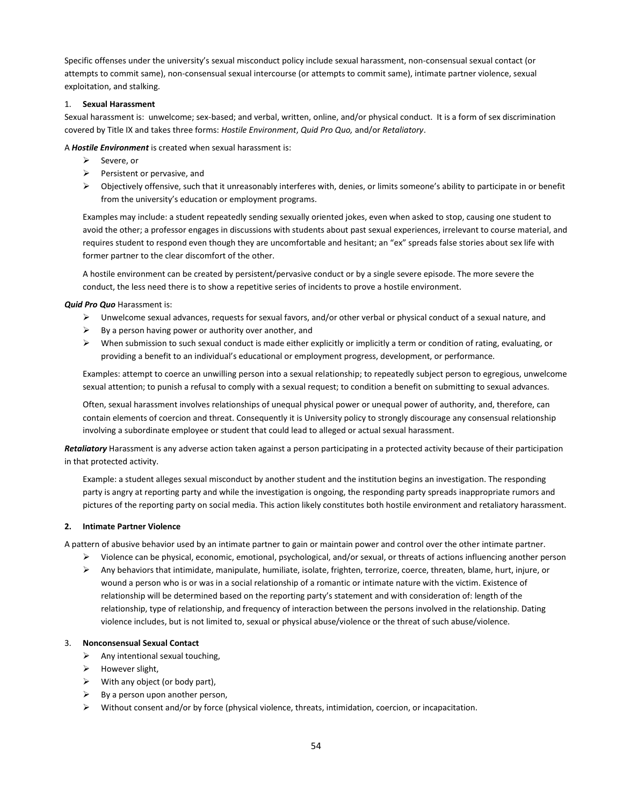Specific offenses under the university's sexual misconduct policy include sexual harassment, non-consensual sexual contact (or attempts to commit same), non-consensual sexual intercourse (or attempts to commit same), intimate partner violence, sexual exploitation, and stalking.

#### 1. **Sexual Harassment**

Sexual harassment is: unwelcome; sex-based; and verbal, written, online, and/or physical conduct. It is a form of sex discrimination covered by Title IX and takes three forms: *Hostile Environment*, *Quid Pro Quo,* and/or *Retaliatory*.

A *Hostile Environment* is created when sexual harassment is:

- $\triangleright$  Severe, or
- $\triangleright$  Persistent or pervasive, and
- $\triangleright$  Objectively offensive, such that it unreasonably interferes with, denies, or limits someone's ability to participate in or benefit from the university's education or employment programs.

Examples may include: a student repeatedly sending sexually oriented jokes, even when asked to stop, causing one student to avoid the other; a professor engages in discussions with students about past sexual experiences, irrelevant to course material, and requires student to respond even though they are uncomfortable and hesitant; an "ex" spreads false stories about sex life with former partner to the clear discomfort of the other.

A hostile environment can be created by persistent/pervasive conduct or by a single severe episode. The more severe the conduct, the less need there is to show a repetitive series of incidents to prove a hostile environment.

#### *Quid Pro Quo* Harassment is:

- $\triangleright$  Unwelcome sexual advances, requests for sexual favors, and/or other verbal or physical conduct of a sexual nature, and
- $\triangleright$  By a person having power or authority over another, and
- $\triangleright$  When submission to such sexual conduct is made either explicitly or implicitly a term or condition of rating, evaluating, or providing a benefit to an individual's educational or employment progress, development, or performance.

Examples: attempt to coerce an unwilling person into a sexual relationship; to repeatedly subject person to egregious, unwelcome sexual attention; to punish a refusal to comply with a sexual request; to condition a benefit on submitting to sexual advances.

Often, sexual harassment involves relationships of unequal physical power or unequal power of authority, and, therefore, can contain elements of coercion and threat. Consequently it is University policy to strongly discourage any consensual relationship involving a subordinate employee or student that could lead to alleged or actual sexual harassment.

*Retaliatory* Harassment is any adverse action taken against a person participating in a protected activity because of their participation in that protected activity.

Example: a student alleges sexual misconduct by another student and the institution begins an investigation. The responding party is angry at reporting party and while the investigation is ongoing, the responding party spreads inappropriate rumors and pictures of the reporting party on social media. This action likely constitutes both hostile environment and retaliatory harassment.

#### **2. Intimate Partner Violence**

A pattern of abusive behavior used by an intimate partner to gain or maintain power and control over the other intimate partner.

- $\triangleright$  Violence can be physical, economic, emotional, psychological, and/or sexual, or threats of actions influencing another person
- $\triangleright$  Any behaviors that intimidate, manipulate, humiliate, isolate, frighten, terrorize, coerce, threaten, blame, hurt, injure, or wound a person who is or was in a social relationship of a romantic or intimate nature with the victim. Existence of relationship will be determined based on the reporting party's statement and with consideration of: length of the relationship, type of relationship, and frequency of interaction between the persons involved in the relationship. Dating violence includes, but is not limited to, sexual or physical abuse/violence or the threat of such abuse/violence.

#### 3. **Nonconsensual Sexual Contact**

- $\triangleright$  Any intentional sexual touching,
- $\triangleright$  However slight,
- $\triangleright$  With any object (or body part),
- $\triangleright$  By a person upon another person,
- $\triangleright$  Without consent and/or by force (physical violence, threats, intimidation, coercion, or incapacitation.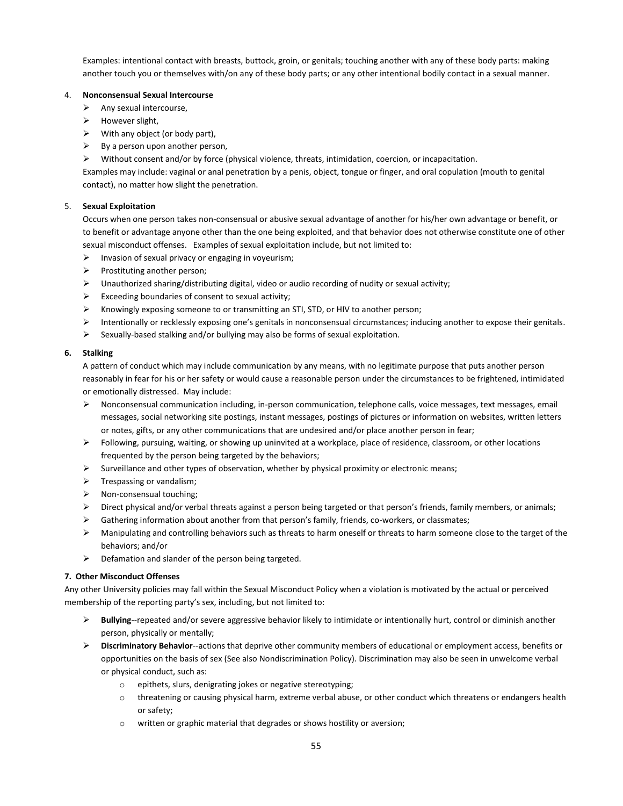Examples: intentional contact with breasts, buttock, groin, or genitals; touching another with any of these body parts: making another touch you or themselves with/on any of these body parts; or any other intentional bodily contact in a sexual manner.

#### 4. **Nonconsensual Sexual Intercourse**

- $\triangleright$  Any sexual intercourse,
- $\triangleright$  However slight,
- $\triangleright$  With any object (or body part),
- $\triangleright$  By a person upon another person,
- $\triangleright$  Without consent and/or by force (physical violence, threats, intimidation, coercion, or incapacitation.

Examples may include: vaginal or anal penetration by a penis, object, tongue or finger, and oral copulation (mouth to genital contact), no matter how slight the penetration.

#### 5. **Sexual Exploitation**

Occurs when one person takes non-consensual or abusive sexual advantage of another for his/her own advantage or benefit, or to benefit or advantage anyone other than the one being exploited, and that behavior does not otherwise constitute one of other sexual misconduct offenses. Examples of sexual exploitation include, but not limited to:

- $\triangleright$  Invasion of sexual privacy or engaging in voyeurism;
- $\triangleright$  Prostituting another person;
- $\triangleright$  Unauthorized sharing/distributing digital, video or audio recording of nudity or sexual activity;
- $\triangleright$  Exceeding boundaries of consent to sexual activity;
- $\triangleright$  Knowingly exposing someone to or transmitting an STI, STD, or HIV to another person;
- Intentionally or recklessly exposing one's genitals in nonconsensual circumstances; inducing another to expose their genitals.
- $\triangleright$  Sexually-based stalking and/or bullying may also be forms of sexual exploitation.

#### **6. Stalking**

A pattern of conduct which may include communication by any means, with no legitimate purpose that puts another person reasonably in fear for his or her safety or would cause a reasonable person under the circumstances to be frightened, intimidated or emotionally distressed. May include:

- $\triangleright$  Nonconsensual communication including, in-person communication, telephone calls, voice messages, text messages, email messages, social networking site postings, instant messages, postings of pictures or information on websites, written letters or notes, gifts, or any other communications that are undesired and/or place another person in fear;
- $\triangleright$  Following, pursuing, waiting, or showing up uninvited at a workplace, place of residence, classroom, or other locations frequented by the person being targeted by the behaviors;
- $\triangleright$  Surveillance and other types of observation, whether by physical proximity or electronic means;
- $\triangleright$  Trespassing or vandalism;
- $\triangleright$  Non-consensual touching;
- $\triangleright$  Direct physical and/or verbal threats against a person being targeted or that person's friends, family members, or animals;
- $\triangleright$  Gathering information about another from that person's family, friends, co-workers, or classmates;
- $\triangleright$  Manipulating and controlling behaviors such as threats to harm oneself or threats to harm someone close to the target of the behaviors; and/or
- $\triangleright$  Defamation and slander of the person being targeted.

#### **7. Other Misconduct Offenses**

Any other University policies may fall within the Sexual Misconduct Policy when a violation is motivated by the actual or perceived membership of the reporting party's sex, including, but not limited to:

- **Bullying**--repeated and/or severe aggressive behavior likely to intimidate or intentionally hurt, control or diminish another person, physically or mentally;
- **Discriminatory Behavior**--actions that deprive other community members of educational or employment access, benefits or opportunities on the basis of sex (See also Nondiscrimination Policy). Discrimination may also be seen in unwelcome verbal or physical conduct, such as:
	- o epithets, slurs, denigrating jokes or negative stereotyping;
	- o threatening or causing physical harm, extreme verbal abuse, or other conduct which threatens or endangers health or safety;
	- o written or graphic material that degrades or shows hostility or aversion;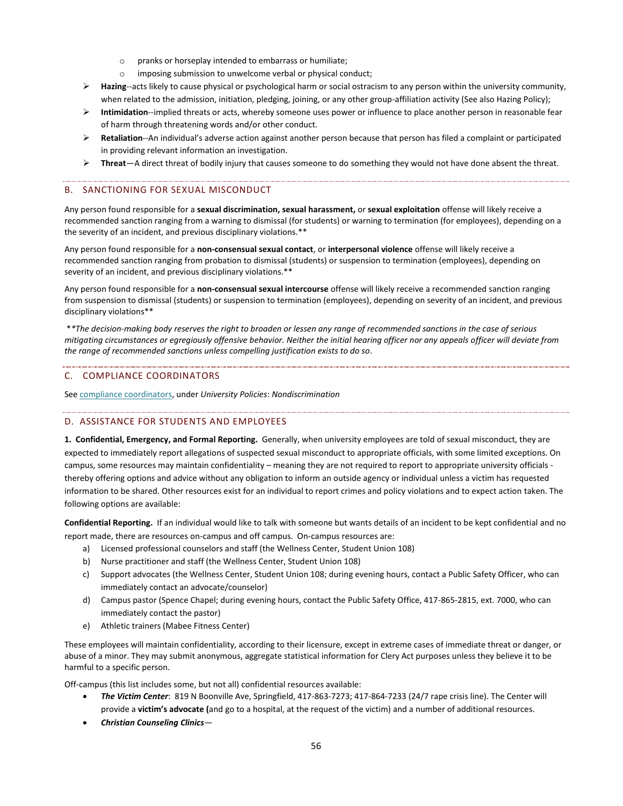- o pranks or horseplay intended to embarrass or humiliate;
- o imposing submission to unwelcome verbal or physical conduct;
- **Hazing**--acts likely to cause physical or psychological harm or social ostracism to any person within the university community, when related to the admission, initiation, pledging, joining, or any other group-affiliation activity (See also Hazing Policy);
- **Intimidation**--implied threats or acts, whereby someone uses power or influence to place another person in reasonable fear of harm through threatening words and/or other conduct.
- **Retaliation**--An individual's adverse action against another person because that person has filed a complaint or participated in providing relevant information an investigation.
- **Threat**—A direct threat of bodily injury that causes someone to do something they would not have done absent the threat.

#### B. SANCTIONING FOR SEXUAL MISCONDUCT

Any person found responsible for a **sexual discrimination, sexual harassment,** or **sexual exploitation** offense will likely receive a recommended sanction ranging from a warning to dismissal (for students) or warning to termination (for employees), depending on a the severity of an incident, and previous disciplinary violations.\*\*

Any person found responsible for a **non-consensual sexual contact**, or **interpersonal violence** offense will likely receive a recommended sanction ranging from probation to dismissal (students) or suspension to termination (employees), depending on severity of an incident, and previous disciplinary violations.\*\*

Any person found responsible for a **non-consensual sexual intercourse** offense will likely receive a recommended sanction ranging from suspension to dismissal (students) or suspension to termination (employees), depending on severity of an incident, and previous disciplinary violations\*\*

\**\*The decision-making body reserves the right to broaden or lessen any range of recommended sanctions in the case of serious mitigating circumstances or egregiously offensive behavior. Neither the initial hearing officer nor any appeals officer will deviate from the range of recommended sanctions unless compelling justification exists to do so*.

#### C. COMPLIANCE COORDINATORS

Se[e compliance coordinators,](#page-52-2) under *University Policies*: *Nondiscrimination*

#### <span id="page-56-0"></span>D. ASSISTANCE FOR STUDENTS AND EMPLOYEES

**1. Confidential, Emergency, and Formal Reporting.** Generally, when university employees are told of sexual misconduct, they are expected to immediately report allegations of suspected sexual misconduct to appropriate officials, with some limited exceptions. On campus, some resources may maintain confidentiality – meaning they are not required to report to appropriate university officials thereby offering options and advice without any obligation to inform an outside agency or individual unless a victim has requested information to be shared. Other resources exist for an individual to report crimes and policy violations and to expect action taken. The following options are available:

**Confidential Reporting.** If an individual would like to talk with someone but wants details of an incident to be kept confidential and no report made, there are resources on-campus and off campus. On-campus resources are:

- a) Licensed professional counselors and staff (the Wellness Center, Student Union 108)
- b) Nurse practitioner and staff (the Wellness Center, Student Union 108)
- c) Support advocates (the Wellness Center, Student Union 108; during evening hours, contact a Public Safety Officer, who can immediately contact an advocate/counselor)
- d) Campus pastor (Spence Chapel; during evening hours, contact the Public Safety Office, 417-865-2815, ext. 7000, who can immediately contact the pastor)
- e) Athletic trainers (Mabee Fitness Center)

These employees will maintain confidentiality, according to their licensure, except in extreme cases of immediate threat or danger, or abuse of a minor. They may submit anonymous, aggregate statistical information for Clery Act purposes unless they believe it to be harmful to a specific person.

Off-campus (this list includes some, but not all) confidential resources available:

- *The Victim Center*: 819 N Boonville Ave, Springfield, 417-863-7273; 417-864-7233 (24/7 rape crisis line). The Center will provide a **victim's advocate (**and go to a hospital, at the request of the victim) and a number of additional resources.
- *Christian Counseling Clinics*—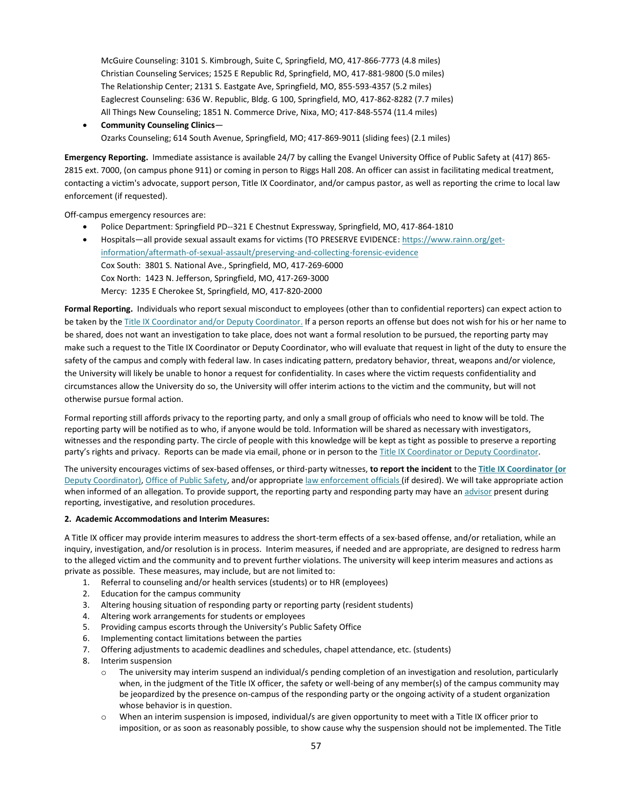McGuire Counseling: 3101 S. Kimbrough, Suite C, Springfield, MO, 417-866-7773 (4.8 miles) Christian Counseling Services; 1525 E Republic Rd, Springfield, MO, 417-881-9800 (5.0 miles) The Relationship Center; 2131 S. Eastgate Ave, Springfield, MO, 855-593-4357 (5.2 miles) Eaglecrest Counseling: 636 W. Republic, Bldg. G 100, Springfield, MO, 417-862-8282 (7.7 miles) All Things New Counseling; 1851 N. Commerce Drive, Nixa, MO; 417-848-5574 (11.4 miles)

 **Community Counseling Clinics**— Ozarks Counseling; 614 South Avenue, Springfield, MO; 417-869-9011 (sliding fees) (2.1 miles)

**Emergency Reporting.** Immediate assistance is available 24/7 by calling the Evangel University Office of Public Safety at (417) 865- 2815 ext. 7000, (on campus phone 911) or coming in person to Riggs Hall 208. An officer can assist in facilitating medical treatment, contacting a victim's advocate, support person, Title IX Coordinator, and/or campus pastor, as well as reporting the crime to local law enforcement (if requested).

Off-campus emergency resources are:

- Police Department: Springfield PD--321 E Chestnut Expressway, Springfield, MO, 417-864-1810
- Hospitals—all provide sexual assault exams for victims (TO PRESERVE EVIDENCE[: https://www.rainn.org/get](https://www.rainn.org/get-information/aftermath-of-sexual-assault/preserving-and-collecting-forensic-evidence)[information/aftermath-of-sexual-assault/preserving-and-collecting-forensic-evidence](https://www.rainn.org/get-information/aftermath-of-sexual-assault/preserving-and-collecting-forensic-evidence)  Cox South: 3801 S. National Ave., Springfield, MO, 417-269-6000 Cox North: 1423 N. Jefferson, Springfield, MO, 417-269-3000 Mercy: 1235 E Cherokee St, Springfield, MO, 417-820-2000

**Formal Reporting.** Individuals who report sexual misconduct to employees (other than to confidential reporters) can expect action to be taken by the Title IX Coordinator and/or Deputy Coordinator. If a person reports an offense but does not wish for his or her name to be shared, does not want an investigation to take place, does not want a formal resolution to be pursued, the reporting party may make such a request to the Title IX Coordinator or Deputy Coordinator, who will evaluate that request in light of the duty to ensure the safety of the campus and comply with federal law. In cases indicating pattern, predatory behavior, threat, weapons and/or violence, the University will likely be unable to honor a request for confidentiality. In cases where the victim requests confidentiality and circumstances allow the University do so, the University will offer interim actions to the victim and the community, but will not otherwise pursue formal action.

Formal reporting still affords privacy to the reporting party, and only a small group of officials who need to know will be told. The reporting party will be notified as to who, if anyone would be told. Information will be shared as necessary with investigators, witnesses and the responding party. The circle of people with this knowledge will be kept as tight as possible to preserve a reporting party's rights and privacy. Reports can be made via email, phone or in person to the Title IX Coordinator or Deputy Coordinator.

The university encourages victims of sex-based offenses, or third-party witnesses, **to report the incident** to the **Title IX Coordinator (or**  Deputy Coordinator)[, Office of Public Safety,](#page-57-0) and/or appropriat[e law enforcement officials](#page-56-0) (if desired). We will take appropriate action when informed of an allegation. To provide support, the reporting party and responding party may have an advisor present during reporting, investigative, and resolution procedures.

#### <span id="page-57-0"></span>**2. Academic Accommodations and Interim Measures:**

A Title IX officer may provide interim measures to address the short-term effects of a sex-based offense, and/or retaliation, while an inquiry, investigation, and/or resolution is in process. Interim measures, if needed and are appropriate, are designed to redress harm to the alleged victim and the community and to prevent further violations. The university will keep interim measures and actions as private as possible. These measures, may include, but are not limited to:

- 1. Referral to counseling and/or health services (students) or to HR (employees)
- 2. Education for the campus community
- 3. Altering housing situation of responding party or reporting party (resident students)
- 4. Altering work arrangements for students or employees
- 5. Providing campus escorts through the University's Public Safety Office
- 6. Implementing contact limitations between the parties
- 7. Offering adjustments to academic deadlines and schedules, chapel attendance, etc. (students)
- 8. Interim suspension
	- $\circ$  The university may interim suspend an individual/s pending completion of an investigation and resolution, particularly when, in the judgment of the Title IX officer, the safety or well-being of any member(s) of the campus community may be jeopardized by the presence on-campus of the responding party or the ongoing activity of a student organization whose behavior is in question.
	- o When an interim suspension is imposed, individual/s are given opportunity to meet with a Title IX officer prior to imposition, or as soon as reasonably possible, to show cause why the suspension should not be implemented. The Title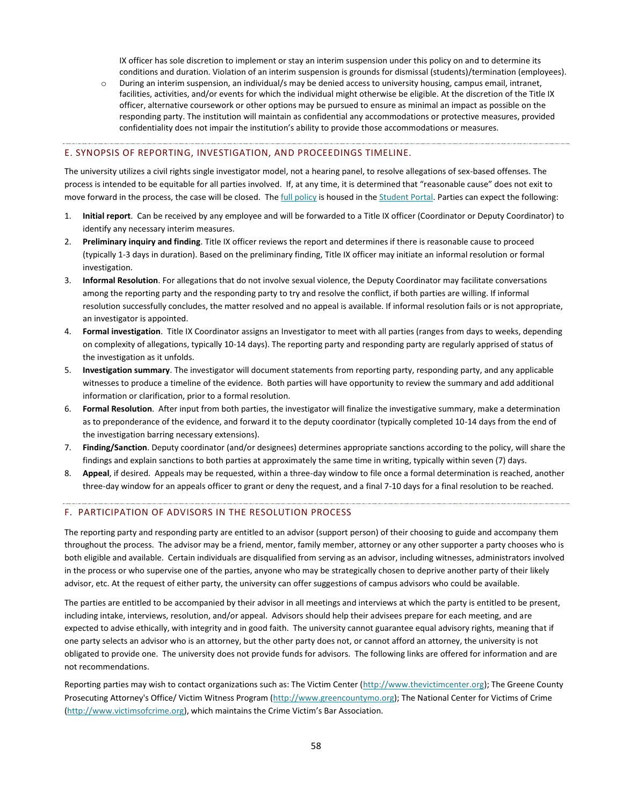IX officer has sole discretion to implement or stay an interim suspension under this policy on and to determine its conditions and duration. Violation of an interim suspension is grounds for dismissal (students)/termination (employees).

o During an interim suspension, an individual/s may be denied access to university housing, campus email, intranet, facilities, activities, and/or events for which the individual might otherwise be eligible. At the discretion of the Title IX officer, alternative coursework or other options may be pursued to ensure as minimal an impact as possible on the responding party. The institution will maintain as confidential any accommodations or protective measures, provided confidentiality does not impair the institution's ability to provide those accommodations or measures.

#### E. SYNOPSIS OF REPORTING, INVESTIGATION, AND PROCEEDINGS TIMELINE.

The university utilizes a civil rights single investigator model, not a hearing panel, to resolve allegations of sex-based offenses. The process is intended to be equitable for all parties involved. If, at any time, it is determined that "reasonable cause" does not exit to move forward in the process, the case will be closed. Th[e full policy](https://web.evangel.edu/Portal/Student/Services/SexBasedOffensesPolicyandProcedures.pdf) is housed in the [Student Portal.](https://web.evangel.edu/Portal/Student/Services/index.asp) Parties can expect the following:

- 1. **Initial report**. Can be received by any employee and will be forwarded to a Title IX officer (Coordinator or Deputy Coordinator) to identify any necessary interim measures.
- 2. **Preliminary inquiry and finding**. Title IX officer reviews the report and determines if there is reasonable cause to proceed (typically 1-3 days in duration). Based on the preliminary finding, Title IX officer may initiate an informal resolution or formal investigation.
- 3. **Informal Resolution**. For allegations that do not involve sexual violence, the Deputy Coordinator may facilitate conversations among the reporting party and the responding party to try and resolve the conflict, if both parties are willing. If informal resolution successfully concludes, the matter resolved and no appeal is available. If informal resolution fails or is not appropriate, an investigator is appointed.
- 4. **Formal investigation**. Title IX Coordinator assigns an Investigator to meet with all parties (ranges from days to weeks, depending on complexity of allegations, typically 10-14 days). The reporting party and responding party are regularly apprised of status of the investigation as it unfolds.
- 5. **Investigation summary**. The investigator will document statements from reporting party, responding party, and any applicable witnesses to produce a timeline of the evidence. Both parties will have opportunity to review the summary and add additional information or clarification, prior to a formal resolution.
- 6. **Formal Resolution**. After input from both parties, the investigator will finalize the investigative summary, make a determination as to preponderance of the evidence, and forward it to the deputy coordinator (typically completed 10-14 days from the end of the investigation barring necessary extensions).
- 7. **Finding/Sanction**. Deputy coordinator (and/or designees) determines appropriate sanctions according to the policy, will share the findings and explain sanctions to both parties at approximately the same time in writing, typically within seven (7) days.
- 8. **Appeal**, if desired. Appeals may be requested, within a three-day window to file once a formal determination is reached, another three-day window for an appeals officer to grant or deny the request, and a final 7-10 days for a final resolution to be reached.

#### F. PARTICIPATION OF ADVISORS IN THE RESOLUTION PROCESS

The reporting party and responding party are entitled to an advisor (support person) of their choosing to guide and accompany them throughout the process. The advisor may be a friend, mentor, family member, attorney or any other supporter a party chooses who is both eligible and available. Certain individuals are disqualified from serving as an advisor, including witnesses, administrators involved in the process or who supervise one of the parties, anyone who may be strategically chosen to deprive another party of their likely advisor, etc. At the request of either party, the university can offer suggestions of campus advisors who could be available.

The parties are entitled to be accompanied by their advisor in all meetings and interviews at which the party is entitled to be present, including intake, interviews, resolution, and/or appeal. Advisors should help their advisees prepare for each meeting, and are expected to advise ethically, with integrity and in good faith. The university cannot guarantee equal advisory rights, meaning that if one party selects an advisor who is an attorney, but the other party does not, or cannot afford an attorney, the university is not obligated to provide one. The university does not provide funds for advisors. The following links are offered for information and are not recommendations.

Reporting parties may wish to contact organizations such as: The Victim Center [\(http://www.thevictimcenter.org\)](http://www.thevictimcenter.org/); The Greene County Prosecuting Attorney's Office/ Victim Witness Program [\(http://www.greencountymo.org\)](http://www.greencountymo.org/); The National Center for Victims of Crime [\(http://www.victimsofcrime.org](http://www.victimsofcrime.org/)), which maintains the Crime Victim's Bar Association.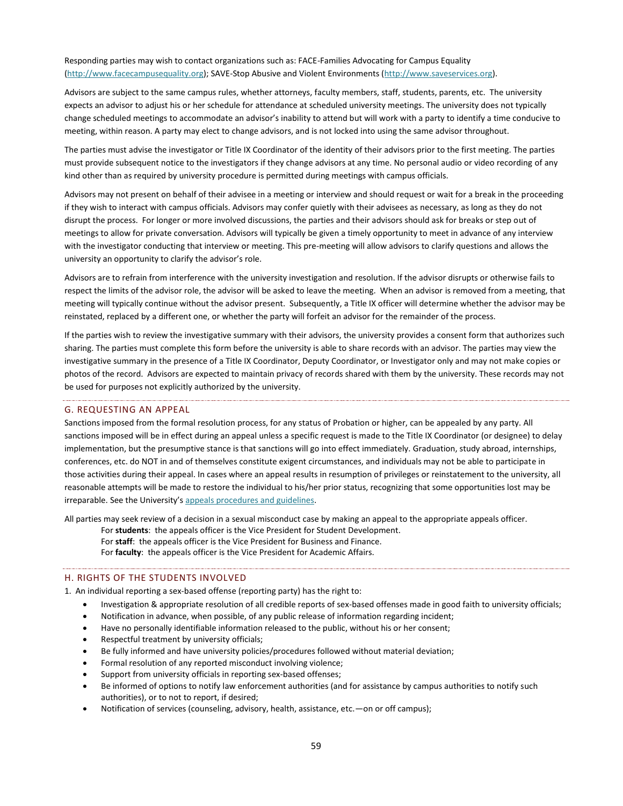Responding parties may wish to contact organizations such as: FACE-Families Advocating for Campus Equality [\(http://www.facecampusequality.org\)](http://www.facecampusequality.org/); SAVE-Stop Abusive and Violent Environments [\(http://www.saveservices.org\)](http://www.saveservices.org/).

Advisors are subject to the same campus rules, whether attorneys, faculty members, staff, students, parents, etc. The university expects an advisor to adjust his or her schedule for attendance at scheduled university meetings. The university does not typically change scheduled meetings to accommodate an advisor's inability to attend but will work with a party to identify a time conducive to meeting, within reason. A party may elect to change advisors, and is not locked into using the same advisor throughout.

The parties must advise the investigator or Title IX Coordinator of the identity of their advisors prior to the first meeting. The parties must provide subsequent notice to the investigators if they change advisors at any time. No personal audio or video recording of any kind other than as required by university procedure is permitted during meetings with campus officials.

Advisors may not present on behalf of their advisee in a meeting or interview and should request or wait for a break in the proceeding if they wish to interact with campus officials. Advisors may confer quietly with their advisees as necessary, as long as they do not disrupt the process. For longer or more involved discussions, the parties and their advisors should ask for breaks or step out of meetings to allow for private conversation. Advisors will typically be given a timely opportunity to meet in advance of any interview with the investigator conducting that interview or meeting. This pre-meeting will allow advisors to clarify questions and allows the university an opportunity to clarify the advisor's role.

Advisors are to refrain from interference with the university investigation and resolution. If the advisor disrupts or otherwise fails to respect the limits of the advisor role, the advisor will be asked to leave the meeting. When an advisor is removed from a meeting, that meeting will typically continue without the advisor present. Subsequently, a Title IX officer will determine whether the advisor may be reinstated, replaced by a different one, or whether the party will forfeit an advisor for the remainder of the process.

If the parties wish to review the investigative summary with their advisors, the university provides a consent form that authorizes such sharing. The parties must complete this form before the university is able to share records with an advisor. The parties may view the investigative summary in the presence of a Title IX Coordinator, Deputy Coordinator, or Investigator only and may not make copies or photos of the record. Advisors are expected to maintain privacy of records shared with them by the university. These records may not be used for purposes not explicitly authorized by the university.

#### G. REQUESTING AN APPEAL

Sanctions imposed from the formal resolution process, for any status of Probation or higher, can be appealed by any party. All sanctions imposed will be in effect during an appeal unless a specific request is made to the Title IX Coordinator (or designee) to delay implementation, but the presumptive stance is that sanctions will go into effect immediately. Graduation, study abroad, internships, conferences, etc. do NOT in and of themselves constitute exigent circumstances, and individuals may not be able to participate in those activities during their appeal. In cases where an appeal results in resumption of privileges or reinstatement to the university, all reasonable attempts will be made to restore the individual to his/her prior status, recognizing that some opportunities lost may be irreparable. See the University's appeals [procedures and guidelines.](#page-34-0)

All parties may seek review of a decision in a sexual misconduct case by making an appeal to the appropriate appeals officer.

For **students**: the appeals officer is the Vice President for Student Development.

For **staff**: the appeals officer is the Vice President for Business and Finance.

For **faculty**: the appeals officer is the Vice President for Academic Affairs.

#### H. RIGHTS OF THE STUDENTS INVOLVED

1. An individual reporting a sex-based offense (reporting party) has the right to:

- Investigation & appropriate resolution of all credible reports of sex-based offenses made in good faith to university officials;
- Notification in advance, when possible, of any public release of information regarding incident;
- Have no personally identifiable information released to the public, without his or her consent;
- Respectful treatment by university officials;
- Be fully informed and have university policies/procedures followed without material deviation;
- Formal resolution of any reported misconduct involving violence;
- Support from university officials in reporting sex-based offenses;
- Be informed of options to notify law enforcement authorities (and for assistance by campus authorities to notify such authorities), or to not to report, if desired;
- Notification of services (counseling, advisory, health, assistance, etc.—on or off campus);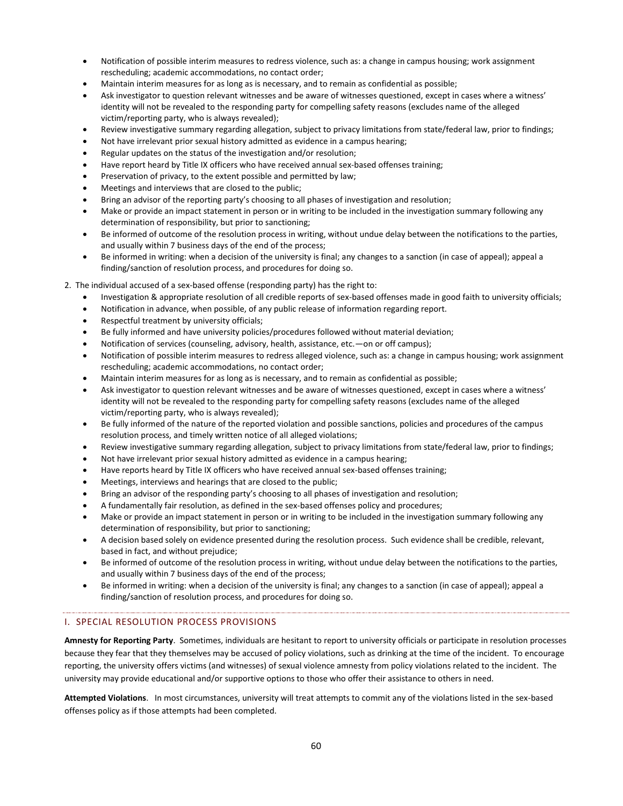- Notification of possible interim measures to redress violence, such as: a change in campus housing; work assignment rescheduling; academic accommodations, no contact order;
- Maintain interim measures for as long as is necessary, and to remain as confidential as possible;
- Ask investigator to question relevant witnesses and be aware of witnesses questioned, except in cases where a witness' identity will not be revealed to the responding party for compelling safety reasons (excludes name of the alleged victim/reporting party, who is always revealed);
- Review investigative summary regarding allegation, subject to privacy limitations from state/federal law, prior to findings;
- Not have irrelevant prior sexual history admitted as evidence in a campus hearing;
- Regular updates on the status of the investigation and/or resolution;
- Have report heard by Title IX officers who have received annual sex-based offenses training;
- Preservation of privacy, to the extent possible and permitted by law;
- Meetings and interviews that are closed to the public;
- Bring an advisor of the reporting party's choosing to all phases of investigation and resolution;
- Make or provide an impact statement in person or in writing to be included in the investigation summary following any determination of responsibility, but prior to sanctioning;
- Be informed of outcome of the resolution process in writing, without undue delay between the notifications to the parties, and usually within 7 business days of the end of the process;
- Be informed in writing: when a decision of the university is final; any changes to a sanction (in case of appeal); appeal a finding/sanction of resolution process, and procedures for doing so.

2. The individual accused of a sex-based offense (responding party) has the right to:

- Investigation & appropriate resolution of all credible reports of sex-based offenses made in good faith to university officials;
- Notification in advance, when possible, of any public release of information regarding report.
- Respectful treatment by university officials;
- Be fully informed and have university policies/procedures followed without material deviation;
- Notification of services (counseling, advisory, health, assistance, etc.—on or off campus);
- Notification of possible interim measures to redress alleged violence, such as: a change in campus housing; work assignment rescheduling; academic accommodations, no contact order;
- Maintain interim measures for as long as is necessary, and to remain as confidential as possible;
- Ask investigator to question relevant witnesses and be aware of witnesses questioned, except in cases where a witness' identity will not be revealed to the responding party for compelling safety reasons (excludes name of the alleged victim/reporting party, who is always revealed);
- Be fully informed of the nature of the reported violation and possible sanctions, policies and procedures of the campus resolution process, and timely written notice of all alleged violations;
- Review investigative summary regarding allegation, subject to privacy limitations from state/federal law, prior to findings;
- Not have irrelevant prior sexual history admitted as evidence in a campus hearing;
- Have reports heard by Title IX officers who have received annual sex-based offenses training;
- Meetings, interviews and hearings that are closed to the public;
- Bring an advisor of the responding party's choosing to all phases of investigation and resolution;
- A fundamentally fair resolution, as defined in the sex-based offenses policy and procedures;
- Make or provide an impact statement in person or in writing to be included in the investigation summary following any determination of responsibility, but prior to sanctioning;
- A decision based solely on evidence presented during the resolution process. Such evidence shall be credible, relevant, based in fact, and without prejudice;
- Be informed of outcome of the resolution process in writing, without undue delay between the notifications to the parties, and usually within 7 business days of the end of the process;
- Be informed in writing: when a decision of the university is final; any changes to a sanction (in case of appeal); appeal a finding/sanction of resolution process, and procedures for doing so.

#### <span id="page-60-0"></span>I. SPECIAL RESOLUTION PROCESS PROVISIONS

**Amnesty for Reporting Party**. Sometimes, individuals are hesitant to report to university officials or participate in resolution processes because they fear that they themselves may be accused of policy violations, such as drinking at the time of the incident. To encourage reporting, the university offers victims (and witnesses) of sexual violence amnesty from policy violations related to the incident. The university may provide educational and/or supportive options to those who offer their assistance to others in need.

**Attempted Violations**. In most circumstances, university will treat attempts to commit any of the violations listed in the sex-based offenses policy as if those attempts had been completed.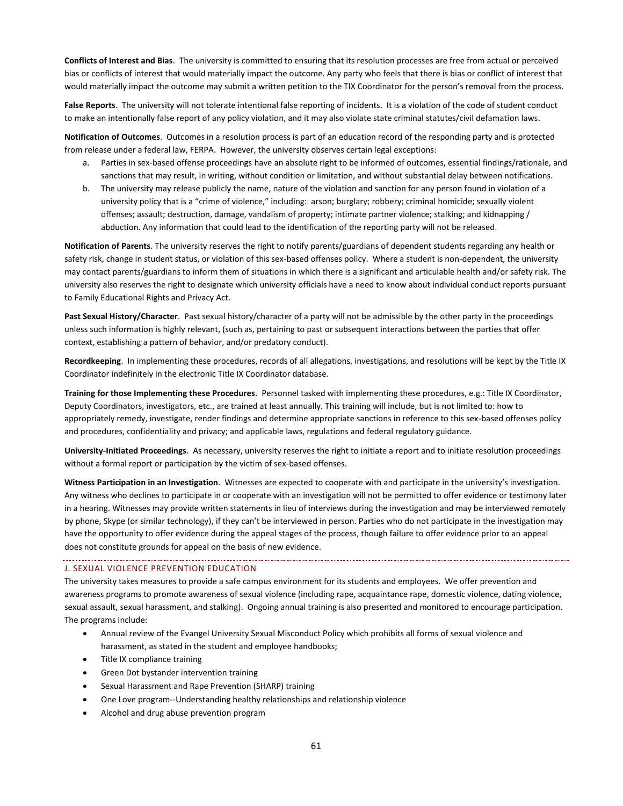**Conflicts of Interest and Bias**. The university is committed to ensuring that its resolution processes are free from actual or perceived bias or conflicts of interest that would materially impact the outcome. Any party who feels that there is bias or conflict of interest that would materially impact the outcome may submit a written petition to the TIX Coordinator for the person's removal from the process.

**False Reports**. The university will not tolerate intentional false reporting of incidents. It is a violation of the code of student conduct to make an intentionally false report of any policy violation, and it may also violate state criminal statutes/civil defamation laws.

**Notification of Outcomes**. Outcomes in a resolution process is part of an education record of the responding party and is protected from release under a federal law, FERPA. However, the university observes certain legal exceptions:

- a. Parties in sex-based offense proceedings have an absolute right to be informed of outcomes, essential findings/rationale, and sanctions that may result, in writing, without condition or limitation, and without substantial delay between notifications.
- b. The university may release publicly the name, nature of the violation and sanction for any person found in violation of a university policy that is a "crime of violence," including: arson; burglary; robbery; criminal homicide; sexually violent offenses; assault; destruction, damage, vandalism of property; intimate partner violence; stalking; and kidnapping / abduction. Any information that could lead to the identification of the reporting party will not be released.

**Notification of Parents**. The university reserves the right to notify parents/guardians of dependent students regarding any health or safety risk, change in student status, or violation of this sex-based offenses policy. Where a student is non-dependent, the university may contact parents/guardians to inform them of situations in which there is a significant and articulable health and/or safety risk. The university also reserves the right to designate which university officials have a need to know about individual conduct reports pursuant to Family Educational Rights and Privacy Act.

**Past Sexual History/Character**. Past sexual history/character of a party will not be admissible by the other party in the proceedings unless such information is highly relevant, (such as, pertaining to past or subsequent interactions between the parties that offer context, establishing a pattern of behavior, and/or predatory conduct).

**Recordkeeping**. In implementing these procedures, records of all allegations, investigations, and resolutions will be kept by the Title IX Coordinator indefinitely in the electronic Title IX Coordinator database.

**Training for those Implementing these Procedures**. Personnel tasked with implementing these procedures, e.g.: Title IX Coordinator, Deputy Coordinators, investigators, etc., are trained at least annually. This training will include, but is not limited to: how to appropriately remedy, investigate, render findings and determine appropriate sanctions in reference to this sex-based offenses policy and procedures, confidentiality and privacy; and applicable laws, regulations and federal regulatory guidance.

**University-Initiated Proceedings**. As necessary, university reserves the right to initiate a report and to initiate resolution proceedings without a formal report or participation by the victim of sex-based offenses.

**Witness Participation in an Investigation**. Witnesses are expected to cooperate with and participate in the university's investigation. Any witness who declines to participate in or cooperate with an investigation will not be permitted to offer evidence or testimony later in a hearing. Witnesses may provide written statements in lieu of interviews during the investigation and may be interviewed remotely by phone, Skype (or similar technology), if they can't be interviewed in person. Parties who do not participate in the investigation may have the opportunity to offer evidence during the appeal stages of the process, though failure to offer evidence prior to an appeal does not constitute grounds for appeal on the basis of new evidence.

#### J. SEXUAL VIOLENCE PREVENTION EDUCATION

The university takes measures to provide a safe campus environment for its students and employees. We offer prevention and awareness programs to promote awareness of sexual violence (including rape, acquaintance rape, domestic violence, dating violence, sexual assault, sexual harassment, and stalking). Ongoing annual training is also presented and monitored to encourage participation. The programs include:

- Annual review of the Evangel University Sexual Misconduct Policy which prohibits all forms of sexual violence and harassment, as stated in the student and employee handbooks;
- Title IX compliance training
- Green Dot bystander intervention training
- Sexual Harassment and Rape Prevention (SHARP) training
- One Love program--Understanding healthy relationships and relationship violence
- Alcohol and drug abuse prevention program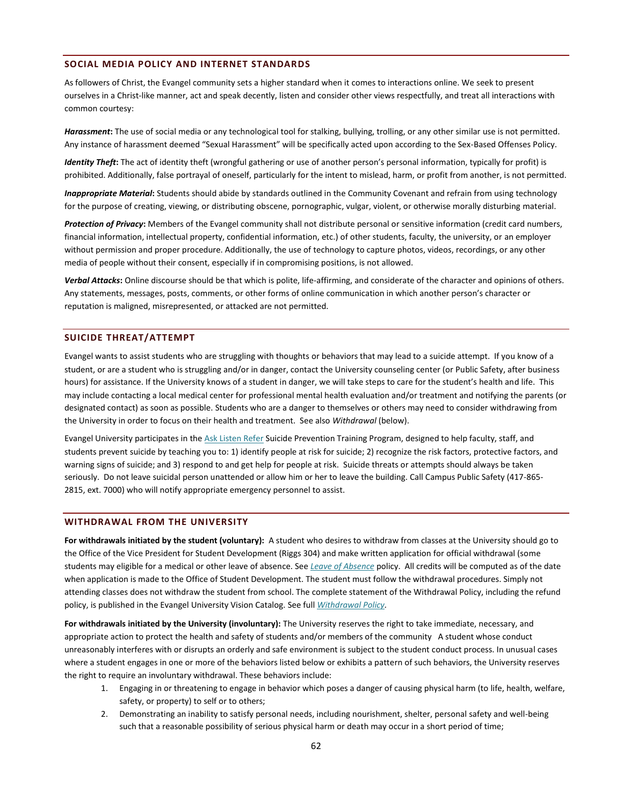#### <span id="page-62-0"></span>**SOCIAL MEDIA POLICY AND INTERNET STANDARDS**

As followers of Christ, the Evangel community sets a higher standard when it comes to interactions online. We seek to present ourselves in a Christ-like manner, act and speak decently, listen and consider other views respectfully, and treat all interactions with common courtesy:

*Harassment***:** The use of social media or any technological tool for stalking, bullying, trolling, or any other similar use is not permitted. Any instance of harassment deemed "Sexual Harassment" will be specifically acted upon according to the Sex-Based Offenses Policy.

*Identity Theft***:** The act of identity theft (wrongful gathering or use of another person's personal information, typically for profit) is prohibited. Additionally, false portrayal of oneself, particularly for the intent to mislead, harm, or profit from another, is not permitted.

*Inappropriate Material***:** Students should abide by standards outlined in the Community Covenant and refrain from using technology for the purpose of creating, viewing, or distributing obscene, pornographic, vulgar, violent, or otherwise morally disturbing material.

Protection of Privacy: Members of the Evangel community shall not distribute personal or sensitive information (credit card numbers, financial information, intellectual property, confidential information, etc.) of other students, faculty, the university, or an employer without permission and proper procedure. Additionally, the use of technology to capture photos, videos, recordings, or any other media of people without their consent, especially if in compromising positions, is not allowed.

Verbal Attacks: Online discourse should be that which is polite, life-affirming, and considerate of the character and opinions of others. Any statements, messages, posts, comments, or other forms of online communication in which another person's character or reputation is maligned, misrepresented, or attacked are not permitted.

#### <span id="page-62-1"></span>**SUICIDE THREAT/ATTEMPT**

Evangel wants to assist students who are struggling with thoughts or behaviors that may lead to a suicide attempt. If you know of a student, or are a student who is struggling and/or in danger, contact the University counseling center (or Public Safety, after business hours) for assistance. If the University knows of a student in danger, we will take steps to care for the student's health and life. This may include contacting a local medical center for professional mental health evaluation and/or treatment and notifying the parents (or designated contact) as soon as possible. Students who are a danger to themselves or others may need to consider withdrawing from the University in order to focus on their health and treatment. See also *Withdrawal* (below).

Evangel University participates in the [Ask Listen Refer](http://www.asklistenrefer.org/evangel) Suicide Prevention Training Program, designed to help faculty, staff, and students prevent suicide by teaching you to: 1) identify people at risk for suicide; 2) recognize the risk factors, protective factors, and warning signs of suicide; and 3) respond to and get help for people at risk. Suicide threats or attempts should always be taken seriously. Do not leave suicidal person unattended or allow him or her to leave the building. Call Campus Public Safety (417-865- 2815, ext. 7000) who will notify appropriate emergency personnel to assist.

#### <span id="page-62-2"></span>**WITHDRAWAL FROM THE UNIVERSITY**

**For withdrawals initiated by the student (voluntary):** A student who desires to withdraw from classes at the University should go to the Office of the Vice President for Student Development (Riggs 304) and make written application for official withdrawal (some students may eligible for a medical or other leave of absence. See *[Leave of Absence](#page-50-0)* policy. All credits will be computed as of the date when application is made to the Office of Student Development. The student must follow the withdrawal procedures. Simply not attending classes does not withdraw the student from school. The complete statement of the Withdrawal Policy, including the refund policy, is published in the Evangel University Vision Catalog. See full *[Withdrawal Policy.](http://www.evangel.edu/financial/more-information/policies/#withdrawl)*

**For withdrawals initiated by the University (involuntary):** The University reserves the right to take immediate, necessary, and appropriate action to protect the health and safety of students and/or members of the community A student whose conduct unreasonably interferes with or disrupts an orderly and safe environment is subject to the student conduct process. In unusual cases where a student engages in one or more of the behaviors listed below or exhibits a pattern of such behaviors, the University reserves the right to require an involuntary withdrawal. These behaviors include:

- 1. Engaging in or threatening to engage in behavior which poses a danger of causing physical harm (to life, health, welfare, safety, or property) to self or to others;
- 2. Demonstrating an inability to satisfy personal needs, including nourishment, shelter, personal safety and well-being such that a reasonable possibility of serious physical harm or death may occur in a short period of time;